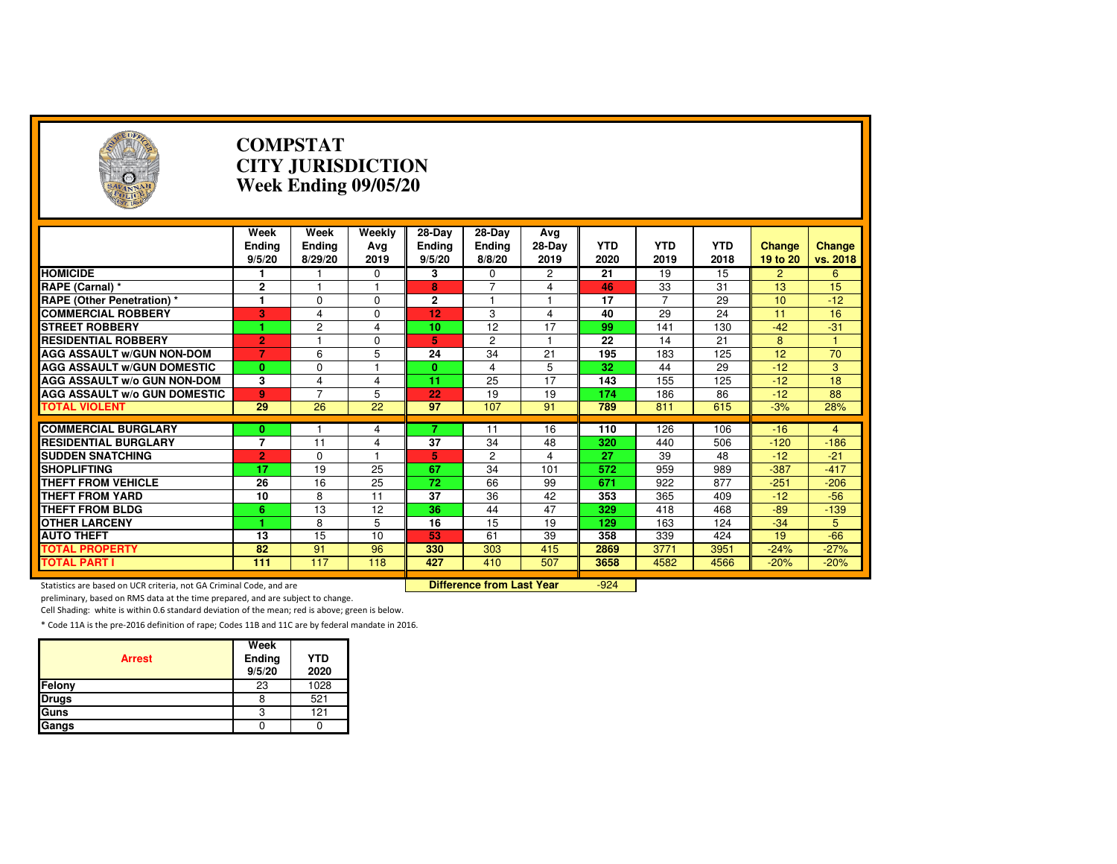| Э                                                                   |                                 | <b>COMPSTAT</b><br><b>CITY JURISDICTION</b><br>Week Ending 09/05/20 |                       |                                   |                                  |                       |                    |                    |                    |                           |                    |  |
|---------------------------------------------------------------------|---------------------------------|---------------------------------------------------------------------|-----------------------|-----------------------------------|----------------------------------|-----------------------|--------------------|--------------------|--------------------|---------------------------|--------------------|--|
|                                                                     | Week<br><b>Ending</b><br>9/5/20 | Week<br><b>Ending</b><br>8/29/20                                    | Weekly<br>Avg<br>2019 | 28-Day<br><b>Ending</b><br>9/5/20 | 28-Day<br>Ending<br>8/8/20       | Avg<br>28-Day<br>2019 | <b>YTD</b><br>2020 | <b>YTD</b><br>2019 | <b>YTD</b><br>2018 | <b>Change</b><br>19 to 20 | Change<br>vs. 2018 |  |
| <b>HOMICIDE</b>                                                     | 1                               |                                                                     | 0                     | 3                                 | $\Omega$                         | 2                     | 21                 | 19                 | 15                 | $\overline{2}$            | 6                  |  |
| RAPE (Carnal) *                                                     | 2                               | 1                                                                   | $\mathbf{1}$          | 8                                 | 7                                | 4                     | 46                 | 33                 | 31                 | 13                        | 15                 |  |
| <b>RAPE (Other Penetration) *</b>                                   | $\overline{1}$                  | $\Omega$                                                            | $\Omega$              | $\mathbf{2}$                      | 1                                | 1                     | 17                 | $\overline{7}$     | $\overline{29}$    | 10                        | $-12$              |  |
| <b>COMMERCIAL ROBBERY</b>                                           | 3                               | 4                                                                   | $\Omega$              | 12                                | 3                                | 4                     | 40                 | 29                 | $\overline{24}$    | 11                        | 16                 |  |
| <b>STREET ROBBERY</b>                                               | 1.                              | $\overline{2}$                                                      | 4                     | 10                                | 12                               | 17                    | 99                 | 141                | 130                | $-42$                     | $-31$              |  |
| <b>RESIDENTIAL ROBBERY</b>                                          | $\overline{2}$                  | 1                                                                   | $\Omega$              | 5                                 | $\overline{2}$                   | $\mathbf{1}$          | 22                 | 14                 | 21                 | 8                         | $\mathbf{1}$       |  |
| <b>AGG ASSAULT W/GUN NON-DOM</b>                                    | $\overline{7}$                  | 6                                                                   | 5                     | $\overline{24}$                   | $\overline{34}$                  | $\overline{21}$       | 195                | 183                | 125                | $\overline{12}$           | $\overline{70}$    |  |
| <b>AGG ASSAULT W/GUN DOMESTIC</b>                                   | $\mathbf{0}$                    | 0                                                                   | 1                     | $\mathbf{0}$                      | 4                                | 5                     | 32                 | 44                 | 29                 | $-12$                     | 3                  |  |
| <b>AGG ASSAULT W/o GUN NON-DOM</b>                                  | 3                               | 4                                                                   | $\overline{4}$        | 11                                | 25                               | 17                    | 143                | 155                | 125                | $-12$                     | 18                 |  |
| <b>AGG ASSAULT W/o GUN DOMESTIC</b>                                 | 9                               | $\overline{7}$                                                      | 5                     | 22                                | 19                               | 19                    | 174                | 186                | 86                 | $-12$                     | 88                 |  |
| <b>TOTAL VIOLENT</b>                                                | 29                              | 26                                                                  | 22                    | 97                                | 107                              | 91                    | 789                | 811                | 615                | $-3%$                     | 28%                |  |
|                                                                     |                                 |                                                                     |                       |                                   |                                  |                       |                    |                    |                    |                           |                    |  |
| <b>COMMERCIAL BURGLARY</b>                                          | 0                               |                                                                     | 4                     | 7                                 | 11                               | 16                    | 110                | 126                | 106                | $-16$                     | $\overline{4}$     |  |
| <b>RESIDENTIAL BURGLARY</b>                                         | 7                               | 11                                                                  | 4                     | 37                                | 34                               | 48                    | 320                | 440                | 506                | $-120$                    | $-186$             |  |
| <b>SUDDEN SNATCHING</b>                                             | $\overline{2}$                  | $\Omega$                                                            | 1                     | 5                                 | $\overline{2}$                   | 4                     | $\overline{27}$    | 39                 | 48                 | $-12$                     | $-21$              |  |
| <b>SHOPLIFTING</b>                                                  | $\overline{17}$                 | $\overline{19}$                                                     | $\overline{25}$       | 67                                | $\overline{34}$                  | 101                   | 572                | 959                | 989                | $-387$                    | $-417$             |  |
| <b>THEFT FROM VEHICLE</b>                                           | 26                              | 16                                                                  | 25                    | 72                                | 66                               | 99                    | 671                | 922                | 877                | $-251$                    | $-206$             |  |
| <b>THEFT FROM YARD</b>                                              | 10                              | 8                                                                   | 11                    | $\overline{37}$                   | 36                               | 42                    | 353                | 365                | 409                | $-12$                     | $-56$              |  |
| <b>THEFT FROM BLDG</b>                                              | 6                               | 13                                                                  | 12                    | $\overline{36}$                   | 44                               | 47                    | 329                | 418                | 468                | $-89$                     | $-139$             |  |
| <b>OTHER LARCENY</b>                                                | 1                               | 8                                                                   | 5                     | 16                                | 15                               | 19                    | 129                | 163                | 124                | $-34$                     | 5                  |  |
| <b>AUTO THEFT</b>                                                   | 13                              | 15                                                                  | 10                    | 53                                | 61                               | 39                    | 358                | 339                | 424                | 19                        | $-66$              |  |
| <b>TOTAL PROPERTY</b>                                               | 82                              | 91                                                                  | 96                    | 330                               | 303                              | 415                   | 2869               | 3771               | 3951               | $-24%$                    | $-27%$             |  |
| <b>TOTAL PART I</b>                                                 | 111                             | 117                                                                 | 118                   | 427                               | 410                              | 507                   | 3658               | 4582               | 4566               | $-20%$                    | $-20%$             |  |
| Statistics are based on UCR criteria, not GA Criminal Code, and are |                                 |                                                                     |                       |                                   | <b>Difference from Last Year</b> |                       | $-924$             |                    |                    |                           |                    |  |

preliminary, based on RMS data at the time prepared, and are subject to change.

Cell Shading: white is within 0.6 standard deviation of the mean; red is above; green is below.

| <b>Arrest</b> | Week<br>Ending<br>9/5/20 | <b>YTD</b><br>2020 |
|---------------|--------------------------|--------------------|
| Felony        | 23                       | 1028               |
| <b>Drugs</b>  |                          | 521                |
| Guns          |                          | 121                |
| Gangs         |                          |                    |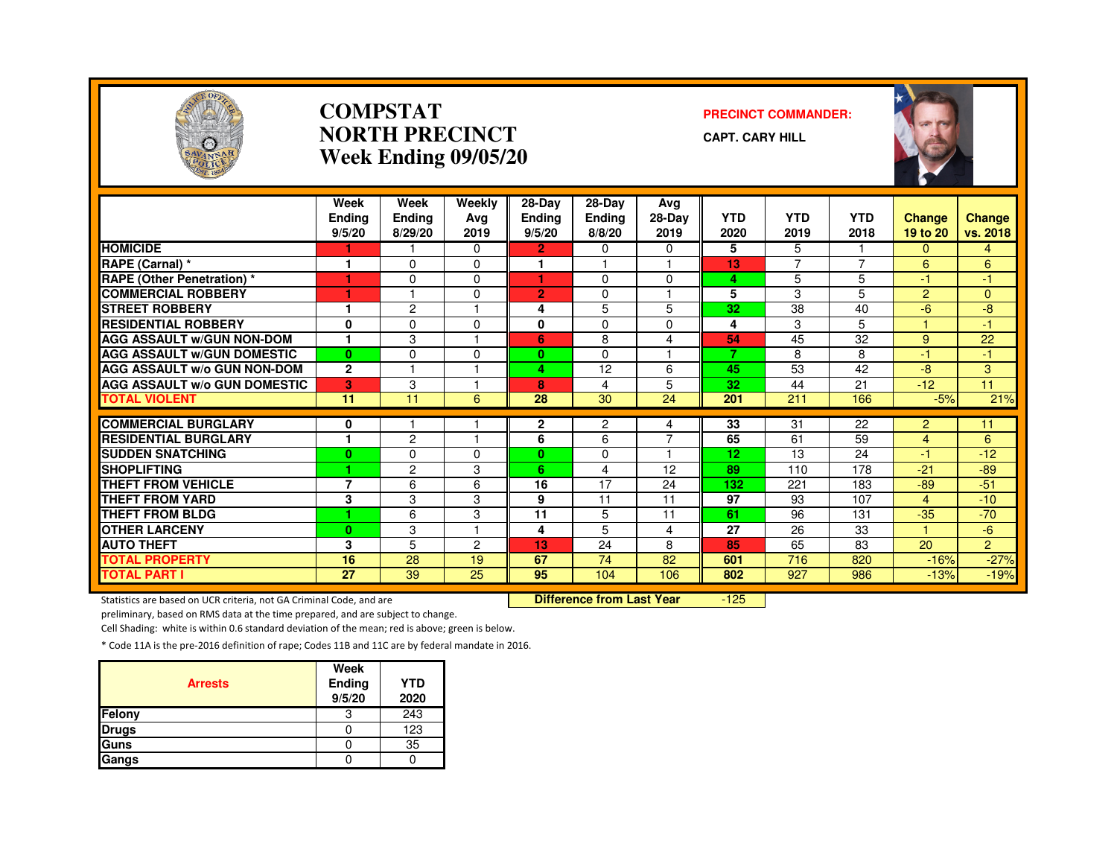

#### **COMPSTATNORTH PRECINCTWeek Ending 09/05/20**

#### **PRECINCT COMMANDER:**

**CAPT. CARY HILL**



|                                     | Week<br><b>Ending</b><br>9/5/20 | Week<br><b>Ending</b><br>8/29/20 | Weekly<br>Ava<br>2019 | 28-Day<br><b>Ending</b><br>9/5/20 | 28-Day<br>Ending<br>8/8/20 | Avg<br>28-Day<br>2019   | <b>YTD</b><br>2020 | <b>YTD</b><br>2019 | <b>YTD</b><br>2018 | <b>Change</b><br>19 to 20 | <b>Change</b><br>vs. 2018 |
|-------------------------------------|---------------------------------|----------------------------------|-----------------------|-----------------------------------|----------------------------|-------------------------|--------------------|--------------------|--------------------|---------------------------|---------------------------|
| <b>HOMICIDE</b>                     |                                 |                                  | $\Omega$              | $\overline{2}$                    | $\Omega$                   | $\Omega$                | 5                  | 5                  |                    | $\Omega$                  | $\overline{4}$            |
| RAPE (Carnal) *                     | $\overline{\phantom{a}}$        | $\Omega$                         | $\Omega$              | м                                 |                            | $\overline{1}$          | 13                 | $\overline{7}$     | $\overline{7}$     | 6                         | 6                         |
| <b>RAPE (Other Penetration) *</b>   | 1                               | $\Omega$                         | $\Omega$              | и                                 | $\Omega$                   | $\Omega$                | 4                  | 5                  | 5                  | $-1$                      | $\bullet$                 |
| <b>COMMERCIAL ROBBERY</b>           |                                 |                                  | $\Omega$              | $\overline{2}$                    | 0                          |                         | 5                  | 3                  | 5.                 | $\overline{2}$            | $\Omega$                  |
| <b>STREET ROBBERY</b>               |                                 | $\overline{c}$                   |                       | 4                                 | 5                          | 5                       | 32                 | 38                 | 40                 | $-6$                      | $-8$                      |
| <b>RESIDENTIAL ROBBERY</b>          | $\mathbf{0}$                    | $\Omega$                         | $\Omega$              | 0                                 | $\Omega$                   | $\Omega$                | 4                  | 3                  | 5.                 |                           | 47                        |
| <b>AGG ASSAULT W/GUN NON-DOM</b>    |                                 | 3                                |                       | 6                                 | 8                          | 4                       | 54                 | 45                 | 32                 | 9                         | 22                        |
| <b>AGG ASSAULT W/GUN DOMESTIC</b>   | $\mathbf{0}$                    | $\Omega$                         | $\Omega$              | 0                                 | $\Omega$                   | $\overline{\mathbf{1}}$ | 7                  | 8                  | 8                  | $-1$                      | $-1$                      |
| <b>AGG ASSAULT w/o GUN NON-DOM</b>  | $\mathbf{2}$                    |                                  |                       | 4                                 | 12                         | 6                       | 45                 | 53                 | 42                 | $-8$                      | 3                         |
| <b>AGG ASSAULT W/o GUN DOMESTIC</b> | 3                               | 3                                |                       | 8                                 | 4                          | 5                       | 32                 | 44                 | 21                 | $-12$                     | 11                        |
| <b>TOTAL VIOLENT</b>                | 11                              | 11                               | 6                     | 28                                | 30                         | 24                      | 201                | 211                | 166                | $-5%$                     | 21%                       |
|                                     |                                 |                                  |                       |                                   |                            |                         |                    |                    |                    |                           |                           |
| <b>COMMERCIAL BURGLARY</b>          | 0<br>٠                          |                                  |                       | $\mathbf{2}$                      | $\overline{c}$             | 4                       | $\overline{33}$    | 31                 | 22                 | $\overline{2}$            | 11                        |
| <b>RESIDENTIAL BURGLARY</b>         |                                 | $\overline{c}$                   |                       | 6                                 | 6                          | $\overline{7}$          | 65                 | 61                 | 59                 | 4                         | 6                         |
| <b>SUDDEN SNATCHING</b>             | $\bf{0}$                        | $\Omega$                         | $\Omega$              | $\mathbf{0}$                      | $\Omega$                   |                         | 12                 | 13                 | 24                 | -1                        | $-12$                     |
| <b>SHOPLIFTING</b>                  | ٠                               | $\overline{c}$                   | 3                     | 6                                 | 4                          | 12                      | 89                 | 110                | 178                | $-21$                     | $-89$                     |
| <b>THEFT FROM VEHICLE</b>           | $\overline{7}$                  | 6                                | 6                     | 16                                | 17                         | 24                      | 132                | 221                | 183                | $-89$                     | $-51$                     |
| <b>THEFT FROM YARD</b>              | 3                               | 3                                | 3                     | 9                                 | 11                         | 11                      | 97                 | 93                 | 107                | 4                         | $-10$                     |
| <b>THEFT FROM BLDG</b>              | 4                               | 6                                | 3                     | $\overline{11}$                   | 5                          | 11                      | 61                 | 96                 | 131                | $-35$                     | $-70$                     |
| <b>OTHER LARCENY</b>                | $\bf{0}$                        | 3                                |                       | 4                                 | 5                          | 4                       | 27                 | 26                 | 33                 |                           | $-6$                      |
| <b>AUTO THEFT</b>                   | 3                               | 5                                | 2                     | 13                                | 24                         | 8                       | 85                 | 65                 | 83                 | 20                        | $\overline{2}$            |
| <b>TOTAL PROPERTY</b>               | 16                              | 28                               | 19                    | 67                                | 74                         | 82                      | 601                | 716                | 820                | $-16%$                    | $-27%$                    |
| <b>TOTAL PART I</b>                 | $\overline{27}$                 | $\overline{39}$                  | $\overline{25}$       | 95                                | 104                        | 106                     | 802                | 927                | 986                | $-13%$                    | $-19%$                    |

Statistics are based on UCR criteria, not GA Criminal Code, and are **Difference from Last Year** 

 $-125$ 

preliminary, based on RMS data at the time prepared, and are subject to change.

Cell Shading: white is within 0.6 standard deviation of the mean; red is above; green is below.

| <b>Arrests</b> | Week<br>Ending<br>9/5/20 | <b>YTD</b><br>2020 |
|----------------|--------------------------|--------------------|
| <b>Felony</b>  | 3                        | 243                |
| <b>Drugs</b>   |                          | 123                |
| Guns           |                          | 35                 |
| Gangs          |                          |                    |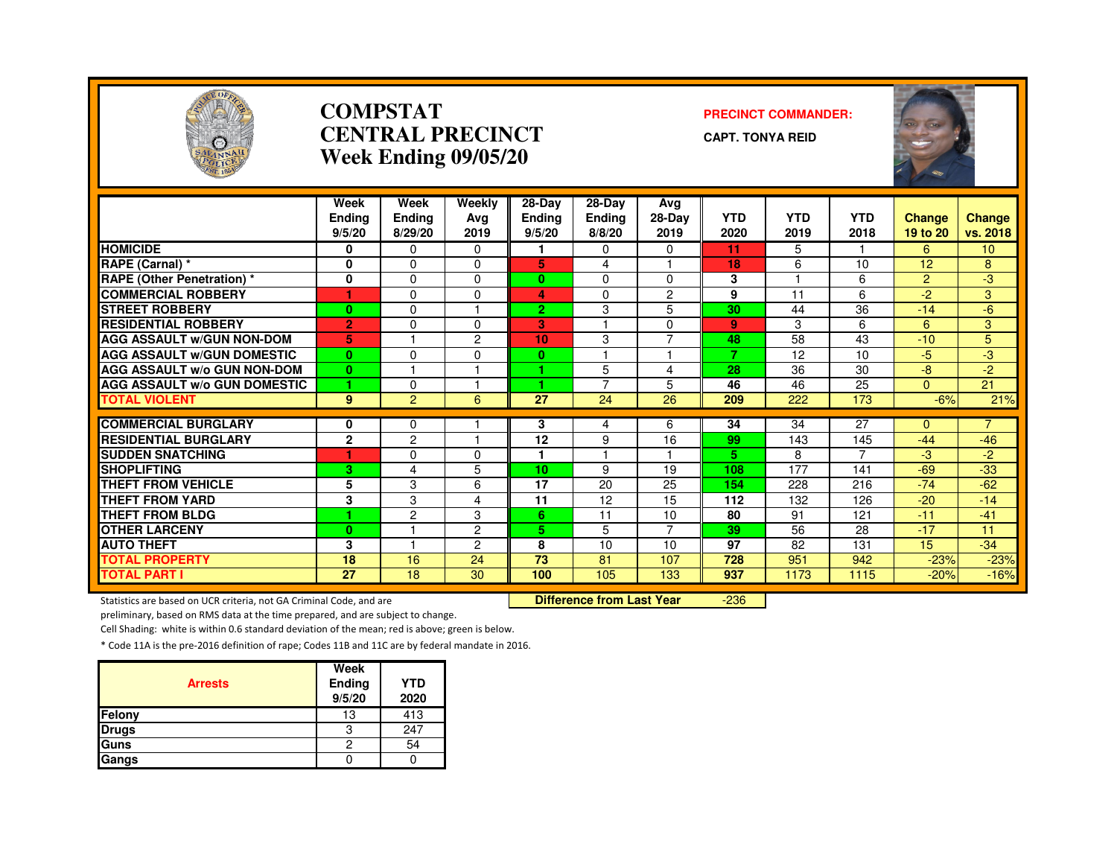

#### **COMPSTATCENTRAL PRECINCTWeek Ending 09/05/20**

#### **PRECINCT COMMANDER:**

**CAPT. TONYA REID**



|                                                                     | Week<br>Ending | Week<br><b>Ending</b> | Weekly<br>Avg                    | 28-Day<br><b>Endina</b> | 28-Day<br><b>Ending</b> | Avg<br>28-Day  | <b>YTD</b> | <b>YTD</b> | <b>YTD</b> | <b>Change</b>  | <b>Change</b>   |
|---------------------------------------------------------------------|----------------|-----------------------|----------------------------------|-------------------------|-------------------------|----------------|------------|------------|------------|----------------|-----------------|
|                                                                     | 9/5/20         | 8/29/20               | 2019                             | 9/5/20                  | 8/8/20                  | 2019           | 2020       | 2019       | 2018       | 19 to 20       | vs. 2018        |
| <b>HOMICIDE</b>                                                     | 0              | 0                     | 0                                | 1                       | 0                       | 0              | 11         | 5.         |            | 6              | 10 <sup>°</sup> |
| RAPE (Carnal) *                                                     | 0              | $\Omega$              | $\Omega$                         | 5                       | 4                       |                | 18         | 6          | 10         | 12             | 8               |
| <b>RAPE (Other Penetration) *</b>                                   | 0              | $\Omega$              | $\Omega$                         | $\bf{0}$                | $\mathbf 0$             | $\mathbf 0$    | 3          |            | 6          | $\overline{2}$ | $-3$            |
| <b>COMMERCIAL ROBBERY</b>                                           | 1              | 0                     | 0                                | 4                       | 0                       | $\overline{2}$ | 9          | 11         | 6          | $-2$           | 3               |
| <b>STREET ROBBERY</b>                                               | $\bf{0}$       | 0                     |                                  | $\mathbf{2}$            | 3                       | 5              | 30         | 44         | 36         | $-14$          | $-6$            |
| <b>RESIDENTIAL ROBBERY</b>                                          | $\overline{2}$ | 0                     | 0                                | 3                       |                         | 0              | 9          | 3          | 6          | 6              | 3               |
| <b>AGG ASSAULT W/GUN NON-DOM</b>                                    | 5              |                       | $\overline{2}$                   | 10                      | 3                       | $\overline{7}$ | 48         | 58         | 43         | $-10$          | $\overline{5}$  |
| <b>AGG ASSAULT W/GUN DOMESTIC</b>                                   | $\bf{0}$       | 0                     | $\Omega$                         | $\bf{0}$                |                         |                | 7          | 12         | 10         | $-5$           | $\overline{a}$  |
| <b>AGG ASSAULT w/o GUN NON-DOM</b>                                  | $\mathbf{0}$   |                       |                                  |                         | 5                       | 4              | 28         | 36         | 30         | $-8$           | $-2$            |
| <b>AGG ASSAULT W/o GUN DOMESTIC</b>                                 |                | $\Omega$              |                                  |                         | $\overline{7}$          | 5              | 46         | 46         | 25         | $\mathbf{0}$   | 21              |
| <b>TOTAL VIOLENT</b>                                                | 9              | $\overline{2}$        | 6                                | 27                      | 24                      | 26             | 209        | 222        | 173        | $-6%$          | 21%             |
| <b>COMMERCIAL BURGLARY</b>                                          | 0              | 0                     |                                  | 3                       | 4                       | 6              | 34         | 34         | 27         | 0              |                 |
| <b>RESIDENTIAL BURGLARY</b>                                         | $\mathbf{2}$   | $\overline{2}$        |                                  | 12                      | 9                       | 16             | 99         | 143        | 145        | $-44$          | $-46$           |
| <b>SUDDEN SNATCHING</b>                                             |                | 0                     | $\Omega$                         | 1                       |                         |                | 5.         | 8          | 7          | $-3$           | $-2$            |
| <b>SHOPLIFTING</b>                                                  | 3              | 4                     | 5                                | 10 <sub>1</sub>         | 9                       | 19             | 108        | 177        | 141        | $-69$          | $-33$           |
| <b>THEFT FROM VEHICLE</b>                                           | 5              | 3                     | 6                                | 17                      | 20                      | 25             | 154        | 228        | 216        | $-74$          | $-62$           |
| <b>THEFT FROM YARD</b>                                              | 3              | 3                     | $\overline{4}$                   | $\overline{11}$         | 12                      | 15             | 112        | 132        | 126        | $-20$          | $-14$           |
| <b>THEFT FROM BLDG</b>                                              |                | $\overline{c}$        | 3                                | 6                       | 11                      | 10             | 80         | 91         | 121        | $-11$          | $-41$           |
| <b>OTHER LARCENY</b>                                                | $\bf{0}$       |                       | $\overline{2}$                   | 5                       | 5                       | $\overline{7}$ | 39         | 56         | 28         | $-17$          | 11              |
| <b>AUTO THEFT</b>                                                   | 3              |                       | $\overline{2}$                   | 8                       | 10                      | 10             | 97         | 82         | 131        | 15             | $-34$           |
| <b>TOTAL PROPERTY</b>                                               | 18             | 16                    | 24                               | 73                      | 81                      | 107            | 728        | 951        | 942        | $-23%$         | $-23%$          |
| <b>TOTAL PART I</b>                                                 | 27             | 18                    | 30                               | 100                     | 105                     | 133            | 937        | 1173       | 1115       | $-20%$         | $-16%$          |
| Statistics are based on UCR criteria, not GA Criminal Code, and are |                |                       | <b>Difference from Last Year</b> |                         | $-236$                  |                |            |            |            |                |                 |

Statistics are based on UCR criteria, not GA Criminal Code, and are **Difference from Last Year** 

preliminary, based on RMS data at the time prepared, and are subject to change.

Cell Shading: white is within 0.6 standard deviation of the mean; red is above; green is below.

| <b>Arrests</b> | Week<br>Ending<br>9/5/20 | <b>YTD</b><br>2020 |
|----------------|--------------------------|--------------------|
| Felony         | 13                       | 413                |
| <b>Drugs</b>   |                          | 247                |
| Guns           | 2                        | 54                 |
| Gangs          |                          |                    |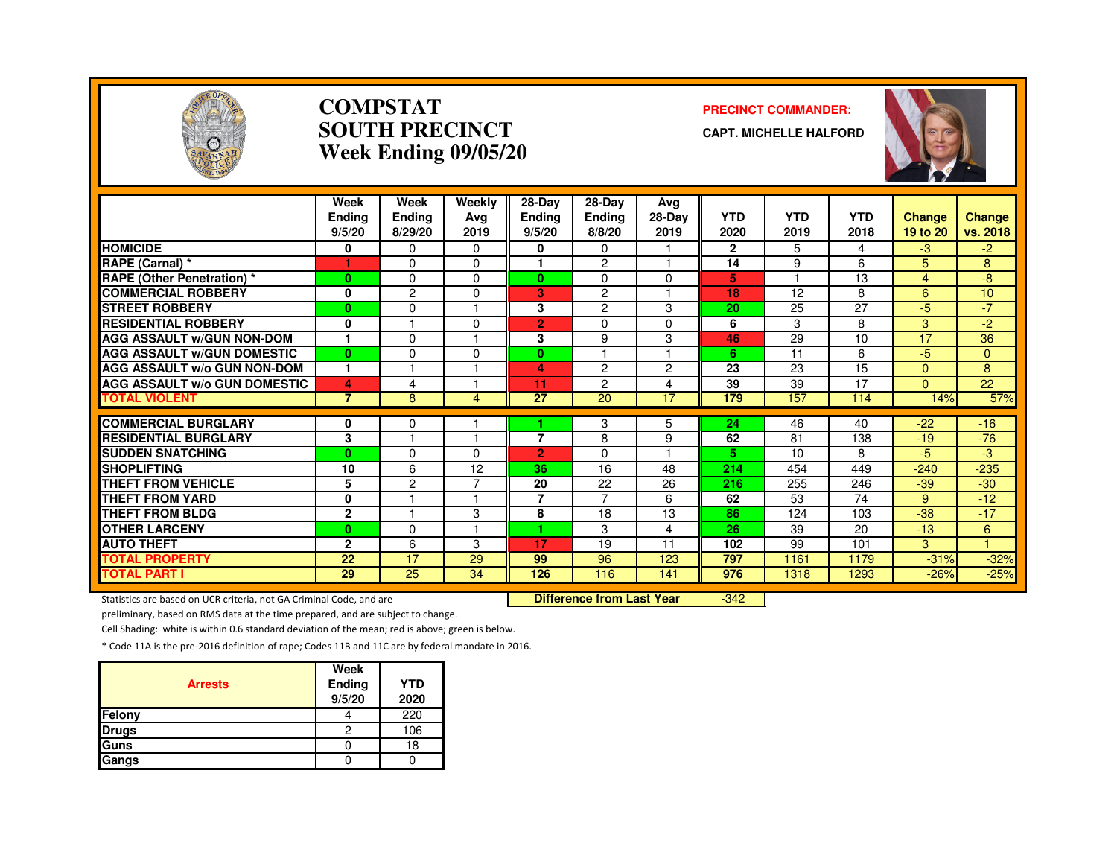

#### **COMPSTATSOUTH PRECINCTWeek Ending 09/05/20**

#### **PRECINCT COMMANDER:**

**CAPT. MICHELLE HALFORD**



|                                     | Week<br><b>Endina</b><br>9/5/20 | Week<br>Ending<br>8/29/20 | Weekly<br>Ava<br>2019 | 28-Day<br><b>Ending</b><br>9/5/20 | 28-Day<br><b>Ending</b><br>8/8/20 | Avg<br>$28-Dav$<br>2019 | <b>YTD</b><br>2020 | <b>YTD</b><br>2019 | <b>YTD</b><br>2018 | <b>Change</b><br>19 to 20 | <b>Change</b><br>vs. 2018 |
|-------------------------------------|---------------------------------|---------------------------|-----------------------|-----------------------------------|-----------------------------------|-------------------------|--------------------|--------------------|--------------------|---------------------------|---------------------------|
| <b>HOMICIDE</b>                     | 0                               | $\Omega$                  | $\Omega$              | 0                                 | $\mathbf{0}$                      |                         | $\mathbf{2}$       | 5                  | 4                  | $-3$                      | $-2$                      |
| RAPE (Carnal) *                     |                                 | $\Omega$                  | $\Omega$              |                                   | $\overline{2}$                    |                         | 14                 | 9                  | 6                  | 5                         | 8                         |
| <b>RAPE (Other Penetration)*</b>    | $\bf{0}$                        | $\Omega$                  | $\Omega$              | $\mathbf{0}$                      | $\Omega$                          | $\Omega$                | 5                  | н                  | 13                 | $\overline{4}$            | -8                        |
| <b>COMMERCIAL ROBBERY</b>           | 0                               | $\overline{c}$            | $\Omega$              | 3.                                | $\overline{2}$                    |                         | 18                 | 12                 | 8                  | 6                         | 10                        |
| <b>STREET ROBBERY</b>               | $\bf{0}$                        | $\Omega$                  |                       | 3                                 | $\overline{c}$                    | 3                       | 20                 | 25                 | 27                 | -5                        | $-7$                      |
| <b>RESIDENTIAL ROBBERY</b>          | 0                               |                           | $\Omega$              | $\overline{2}$                    | $\Omega$                          | $\Omega$                | 6                  | 3                  | 8                  | 3                         | $-2$                      |
| <b>AGG ASSAULT W/GUN NON-DOM</b>    |                                 | $\mathbf 0$               |                       | 3                                 | 9                                 | 3                       | 46                 | 29                 | 10                 | $\overline{17}$           | 36                        |
| <b>AGG ASSAULT W/GUN DOMESTIC</b>   | $\bf{0}$                        | $\Omega$                  | $\Omega$              | $\bf{0}$                          |                                   |                         | 6                  | 11                 | 6                  | -5                        | $\mathbf{0}$              |
| <b>AGG ASSAULT w/o GUN NON-DOM</b>  | $\mathbf{1}$                    |                           |                       | 4                                 | $\overline{c}$                    | $\overline{2}$          | 23                 | 23                 | 15                 | $\Omega$                  | 8                         |
| <b>AGG ASSAULT w/o GUN DOMESTIC</b> | 4                               | 4                         |                       | 11                                | $\overline{c}$                    | 4                       | 39                 | 39                 | 17                 | $\Omega$                  | 22                        |
| <b>TOTAL VIOLENT</b>                | $\overline{7}$                  | 8                         | 4                     | 27                                | 20                                | 17                      | 179                | 157                | 114                | 14%                       | 57%                       |
| <b>COMMERCIAL BURGLARY</b>          | 0                               | 0                         |                       |                                   | 3                                 | 5                       | 24                 | 46                 | 40                 | $-22$                     | $-16$                     |
| <b>RESIDENTIAL BURGLARY</b>         | 3                               |                           |                       | 7                                 | 8                                 | 9                       | 62                 | 81                 | 138                | $-19$                     | $-76$                     |
| <b>SUDDEN SNATCHING</b>             | $\bf{0}$                        | 0                         | $\Omega$              | $\overline{2}$                    | $\Omega$                          |                         | 5                  | 10                 | 8                  | -5                        | -3                        |
| <b>SHOPLIFTING</b>                  | 10                              | 6                         | 12                    | 36                                | 16                                | 48                      | 214                | 454                | 449                | $-240$                    | $-235$                    |
| THEFT FROM VEHICLE                  | 5                               | 2                         | 7                     | 20                                | 22                                | 26                      | 216                | 255                | 246                | $-39$                     | $-30$                     |
| <b>THEFT FROM YARD</b>              | 0                               |                           |                       | 7                                 | $\overline{7}$                    | 6                       | 62                 | 53                 | 74                 | 9                         | $-12$                     |
| <b>THEFT FROM BLDG</b>              | $\mathbf{2}$                    |                           | 3                     | 8                                 | 18                                | 13                      | 86                 | 124                | 103                | $-38$                     | $-17$                     |
| <b>OTHER LARCENY</b>                | $\bf{0}$                        | $\Omega$                  |                       | 4.                                | 3                                 | 4                       | 26                 | 39                 | 20                 | $-13$                     | 6                         |
| <b>AUTO THEFT</b>                   | $\mathbf{2}$                    | 6                         | 3                     | 17                                | 19                                | 11                      | 102                | 99                 | 101                | 3                         | 1                         |
| <b>TOTAL PROPERTY</b>               | 22                              | 17                        | 29                    | 99                                | 96                                | 123                     | 797                | 1161               | 1179               | $-31%$                    | $-32%$                    |
| <b>TOTAL PART I</b>                 | 29                              | 25                        | 34                    | 126                               | 116                               | 141                     | 976                | 1318               | 1293               | $-26%$                    | $-25%$                    |

Statistics are based on UCR criteria, not GA Criminal Code, and are **Difference from Last Year** 

-342

preliminary, based on RMS data at the time prepared, and are subject to change.

Cell Shading: white is within 0.6 standard deviation of the mean; red is above; green is below.

| <b>Arrests</b> | Week<br>Ending<br>9/5/20 | <b>YTD</b><br>2020 |
|----------------|--------------------------|--------------------|
| Felony         |                          | 220                |
| <b>Drugs</b>   | 2                        | 106                |
| Guns           |                          | 18                 |
| Gangs          |                          |                    |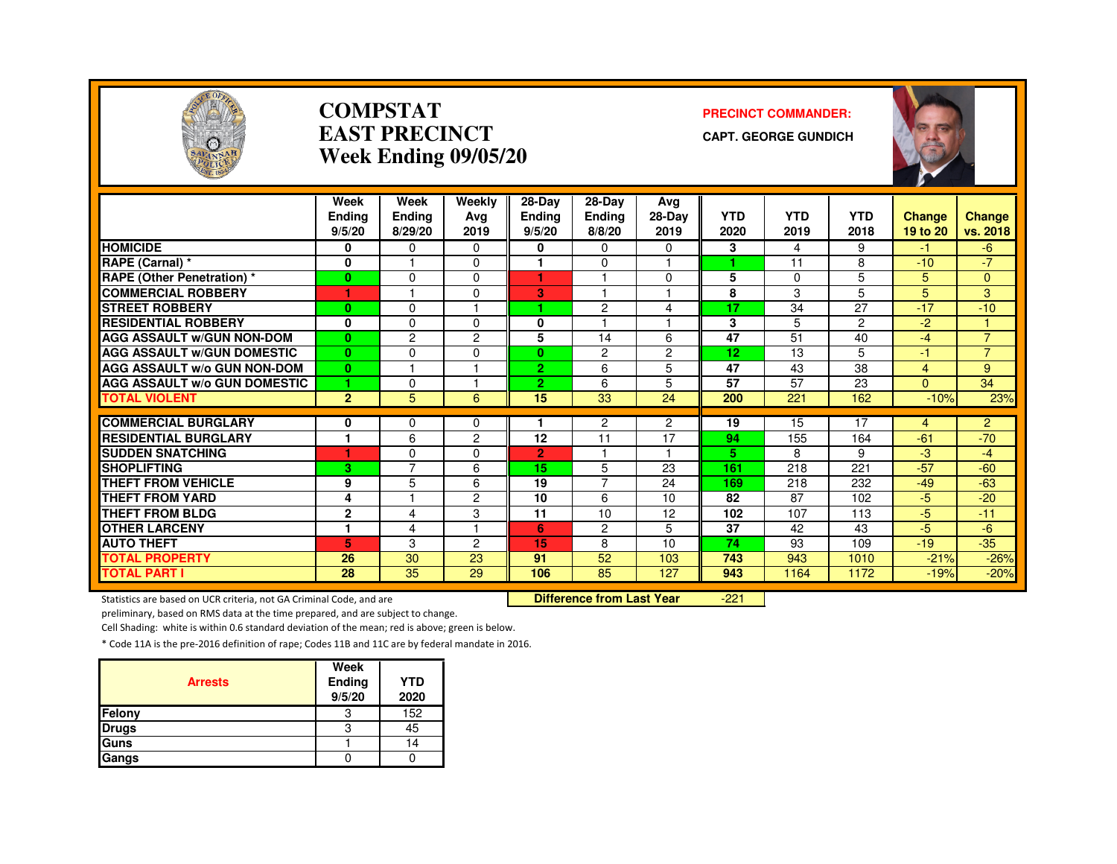

#### **COMPSTATEAST PRECINCTWeek Ending 09/05/20**

#### **PRECINCT COMMANDER:**

**CAPT. GEORGE GUNDICH**



|                                     | Week<br>Endina<br>9/5/20 | Week<br><b>Ending</b><br>8/29/20 | Weekly<br>Ava<br>2019 | $28-Dav$<br><b>Endina</b><br>9/5/20 | 28-Day<br><b>Ending</b><br>8/8/20 | Avg<br>$28-Dav$<br>2019 | <b>YTD</b><br>2020 | <b>YTD</b><br>2019 | <b>YTD</b><br>2018 | <b>Change</b><br>19 to 20 | Change<br>vs. 2018 |
|-------------------------------------|--------------------------|----------------------------------|-----------------------|-------------------------------------|-----------------------------------|-------------------------|--------------------|--------------------|--------------------|---------------------------|--------------------|
| <b>HOMICIDE</b>                     | 0                        | $\Omega$                         | $\Omega$              | 0                                   | 0                                 | $\Omega$                | 3                  | 4                  | 9                  | -1.                       | $-6$               |
| RAPE (Carnal) *                     | 0                        |                                  | $\Omega$              |                                     | $\Omega$                          |                         |                    | 11                 | 8                  | $-10$                     | $-7$               |
| <b>RAPE (Other Penetration) *</b>   | 0                        | $\Omega$                         | $\Omega$              | 1                                   |                                   | $\Omega$                | 5                  | $\Omega$           | 5                  | 5                         | $\Omega$           |
| <b>COMMERCIAL ROBBERY</b>           |                          |                                  | $\Omega$              | 3                                   |                                   |                         | 8                  | 3                  | 5                  | 5                         | 3                  |
| <b>STREET ROBBERY</b>               | $\mathbf{0}$             | $\Omega$                         |                       |                                     | 2                                 | 4                       | 17                 | 34                 | 27                 | $-17$                     | $-10$              |
| <b>RESIDENTIAL ROBBERY</b>          | 0                        | $\Omega$                         | $\Omega$              | $\mathbf{0}$                        |                                   |                         | 3                  | 5                  | $\overline{2}$     | $-2$                      |                    |
| <b>AGG ASSAULT W/GUN NON-DOM</b>    | $\mathbf{0}$             | $\overline{c}$                   | 2                     | 5                                   | 14                                | 6                       | $\overline{47}$    | 51                 | 40                 | $-4$                      | $\overline{7}$     |
| <b>AGG ASSAULT W/GUN DOMESTIC</b>   | $\bf{0}$                 | $\Omega$                         | $\Omega$              | $\mathbf{0}$                        | $\overline{c}$                    | $\overline{2}$          | 12                 | 13                 | 5                  | $-1$                      | $\overline{7}$     |
| <b>AGG ASSAULT w/o GUN NON-DOM</b>  | $\mathbf{0}$             |                                  |                       | $\overline{2}$                      | 6                                 | 5                       | 47                 | 43                 | 38                 | 4                         | 9                  |
| <b>AGG ASSAULT W/o GUN DOMESTIC</b> | 1                        | $\Omega$                         |                       | $\overline{2}$                      | 6                                 | 5                       | 57                 | 57                 | 23                 | $\Omega$                  | 34                 |
| <b>TOTAL VIOLENT</b>                | $\overline{2}$           | 5                                | 6                     | 15                                  | 33                                | 24                      | 200                | 221                | 162                | $-10%$                    | 23%                |
|                                     |                          |                                  |                       |                                     |                                   |                         |                    |                    |                    |                           |                    |
| <b>COMMERCIAL BURGLARY</b>          | 0                        | 0                                | 0                     |                                     | 2                                 | $\overline{2}$          | 19                 | 15                 | 17                 | 4                         | $\overline{2}$     |
| <b>RESIDENTIAL BURGLARY</b>         |                          | 6                                | $\overline{c}$        | 12                                  | 11                                | 17                      | 94                 | 155                | 164                | $-61$                     | $-70$              |
| <b>SUDDEN SNATCHING</b>             |                          | $\Omega$                         | 0                     | $\overline{2}$                      |                                   |                         | 5.                 | 8                  | 9                  | -3                        | $-4$               |
| <b>SHOPLIFTING</b>                  | 3                        | $\overline{7}$                   | 6                     | 15                                  | 5                                 | 23                      | 161                | 218                | 221                | $-57$                     | $-60$              |
| THEFT FROM VEHICLE                  | 9                        | 5                                | 6                     | 19                                  | 7                                 | 24                      | 169                | 218                | 232                | $-49$                     | $-63$              |
| <b>THEFT FROM YARD</b>              | 4                        |                                  | $\overline{2}$        | 10                                  | 6                                 | 10                      | 82                 | 87                 | 102                | $-5$                      | $-20$              |
| <b>THEFT FROM BLDG</b>              | $\mathbf{2}$             | 4                                | 3                     | 11                                  | 10                                | 12                      | 102                | 107                | 113                | $-5$                      | $-11$              |
| <b>OTHER LARCENY</b>                | 1                        | 4                                |                       | 6                                   | $\overline{c}$                    | 5.                      | 37                 | 42                 | 43                 | $-5$                      | $-6$               |
| <b>AUTO THEFT</b>                   | 5                        | 3                                | 2                     | 15                                  | 8                                 | 10                      | 74                 | 93                 | 109                | $-19$                     | $-35$              |
| <b>TOTAL PROPERTY</b>               | 26                       | 30                               | 23                    | 91                                  | 52                                | 103                     | 743                | 943                | 1010               | $-21%$                    | $-26%$             |
| <b>TOTAL PART I</b>                 | 28                       | 35                               | 29                    | 106                                 | 85                                | 127                     | 943                | 1164               | 1172               | $-19%$                    | $-20%$             |

Statistics are based on UCR criteria, not GA Criminal Code, and are **Difference from Last Year** 

-221

preliminary, based on RMS data at the time prepared, and are subject to change.

Cell Shading: white is within 0.6 standard deviation of the mean; red is above; green is below.

| <b>Arrests</b> | Week<br>Ending<br>9/5/20 | <b>YTD</b><br>2020 |
|----------------|--------------------------|--------------------|
| Felony         | 3                        | 152                |
| <b>Drugs</b>   | 3                        | 45                 |
| Guns           |                          | 14                 |
| Gangs          |                          |                    |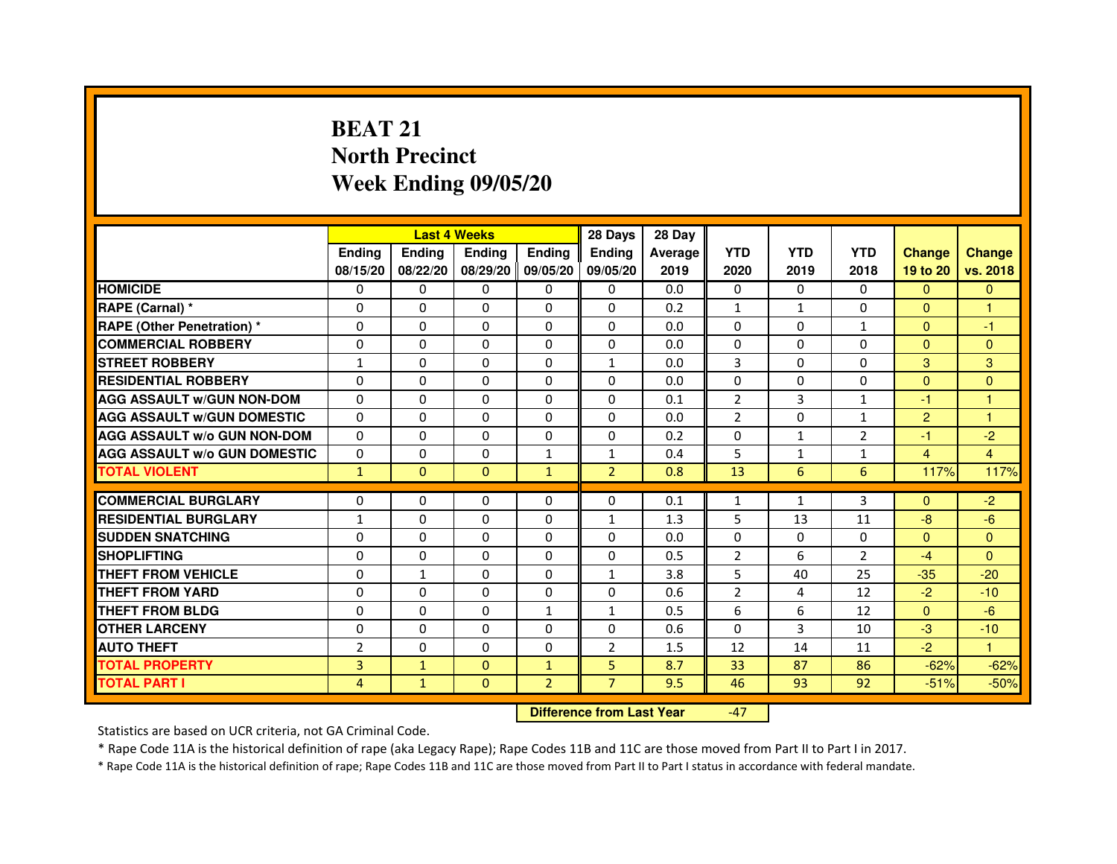# **BEAT 21 North PrecinctWeek Ending 09/05/20**

|                                     |                | <b>Last 4 Weeks</b> |                |                   | 28 Days        | 28 Day  |                |              |                |                |                |
|-------------------------------------|----------------|---------------------|----------------|-------------------|----------------|---------|----------------|--------------|----------------|----------------|----------------|
|                                     | <b>Endina</b>  | Ending              | <b>Endina</b>  | <b>Endina</b>     | <b>Endina</b>  | Average | <b>YTD</b>     | <b>YTD</b>   | <b>YTD</b>     | <b>Change</b>  | <b>Change</b>  |
|                                     | 08/15/20       | 08/22/20            |                | 08/29/20 09/05/20 | 09/05/20       | 2019    | 2020           | 2019         | 2018           | 19 to 20       | vs. 2018       |
| <b>HOMICIDE</b>                     | 0              | 0                   | 0              | 0                 | 0              | 0.0     | $\mathbf{0}$   | 0            | 0              | $\mathbf{0}$   | $\mathbf{0}$   |
| RAPE (Carnal) *                     | $\Omega$       | $\Omega$            | $\Omega$       | $\Omega$          | $\Omega$       | 0.2     | $\mathbf{1}$   | $\mathbf{1}$ | $\Omega$       | $\Omega$       | $\mathbf{1}$   |
| <b>RAPE (Other Penetration) *</b>   | 0              | $\Omega$            | $\Omega$       | $\Omega$          | $\Omega$       | 0.0     | $\Omega$       | $\Omega$     | $\mathbf{1}$   | $\Omega$       | $-1$           |
| <b>COMMERCIAL ROBBERY</b>           | 0              | 0                   | 0              | $\Omega$          | $\Omega$       | 0.0     | $\Omega$       | $\Omega$     | $\Omega$       | $\Omega$       | $\Omega$       |
| <b>STREET ROBBERY</b>               | $\mathbf{1}$   | $\Omega$            | 0              | $\Omega$          | $\mathbf{1}$   | 0.0     | 3              | $\Omega$     | $\Omega$       | 3              | 3              |
| <b>RESIDENTIAL ROBBERY</b>          | 0              | $\Omega$            | 0              | $\Omega$          | 0              | 0.0     | 0              | 0            | $\Omega$       | $\Omega$       | $\Omega$       |
| <b>AGG ASSAULT W/GUN NON-DOM</b>    | $\Omega$       | $\mathbf 0$         | $\Omega$       | $\Omega$          | $\Omega$       | 0.1     | $\overline{2}$ | 3            | $\mathbf{1}$   | $-1$           | 1              |
| <b>AGG ASSAULT W/GUN DOMESTIC</b>   | $\Omega$       | $\Omega$            | 0              | 0                 | $\Omega$       | 0.0     | $\overline{2}$ | 0            | $\mathbf{1}$   | $\overline{2}$ | 1              |
| <b>AGG ASSAULT W/o GUN NON-DOM</b>  | $\Omega$       | 0                   | $\Omega$       | 0                 | $\Omega$       | 0.2     | $\Omega$       | $\mathbf{1}$ | $\overline{2}$ | $-1$           | $-2$           |
| <b>AGG ASSAULT W/o GUN DOMESTIC</b> | $\Omega$       | 0                   | 0              | $\mathbf{1}$      | $\mathbf{1}$   | 0.4     | 5              | 1            | 1              | $\overline{4}$ | $\overline{4}$ |
| <b>TOTAL VIOLENT</b>                | $\mathbf{1}$   | $\Omega$            | $\Omega$       | $\mathbf{1}$      | $\overline{2}$ | 0.8     | 13             | 6            | 6              | 117%           | 117%           |
|                                     |                |                     |                |                   |                |         |                |              |                |                |                |
| <b>COMMERCIAL BURGLARY</b>          | 0              | 0                   | $\Omega$       | 0                 | $\Omega$       | 0.1     | $\mathbf{1}$   | $\mathbf{1}$ | 3              | $\Omega$       | $-2$           |
| <b>RESIDENTIAL BURGLARY</b>         | 1              | 0                   | 0              | $\Omega$          | $\mathbf{1}$   | 1.3     | 5              | 13           | 11             | $-8$           | $-6$           |
| <b>SUDDEN SNATCHING</b>             | 0              | 0                   | $\Omega$       | $\Omega$          | $\Omega$       | 0.0     | $\Omega$       | $\Omega$     | $\Omega$       | $\Omega$       | $\Omega$       |
| <b>SHOPLIFTING</b>                  | $\mathbf 0$    | 0                   | $\Omega$       | $\Omega$          | 0              | 0.5     | $\overline{2}$ | 6            | $\overline{2}$ | $-4$           | $\Omega$       |
| <b>THEFT FROM VEHICLE</b>           | 0              | $\mathbf{1}$        | $\Omega$       | $\Omega$          | $\mathbf{1}$   | 3.8     | 5              | 40           | 25             | $-35$          | $-20$          |
| <b>THEFT FROM YARD</b>              | 0              | 0                   | $\Omega$       | $\Omega$          | $\Omega$       | 0.6     | $\overline{2}$ | 4            | 12             | $-2$           | $-10$          |
| <b>THEFT FROM BLDG</b>              | 0              | 0                   | 0              | 1                 | 1              | 0.5     | 6              | 6            | 12             | $\mathbf{0}$   | $-6$           |
| <b>OTHER LARCENY</b>                | 0              | $\Omega$            | 0              | 0                 | $\Omega$       | 0.6     | $\Omega$       | 3            | 10             | $-3$           | $-10$          |
| <b>AUTO THEFT</b>                   | $\overline{2}$ | 0                   | $\Omega$       | $\Omega$          | $\overline{2}$ | 1.5     | 12             | 14           | 11             | $-2$           | $\mathbf{1}$   |
| <b>TOTAL PROPERTY</b>               | 3              | $\mathbf{1}$        | $\Omega$       | $\mathbf{1}$      | 5              | 8.7     | 33             | 87           | 86             | $-62%$         | $-62%$         |
| <b>TOTAL PART I</b>                 | 4              | $\mathbf{1}$        | $\overline{0}$ | $\overline{2}$    | $\overline{7}$ | 9.5     | 46             | 93           | 92             | $-51%$         | $-50%$         |

 **Difference from Last Year**

-47

Statistics are based on UCR criteria, not GA Criminal Code.

\* Rape Code 11A is the historical definition of rape (aka Legacy Rape); Rape Codes 11B and 11C are those moved from Part II to Part I in 2017.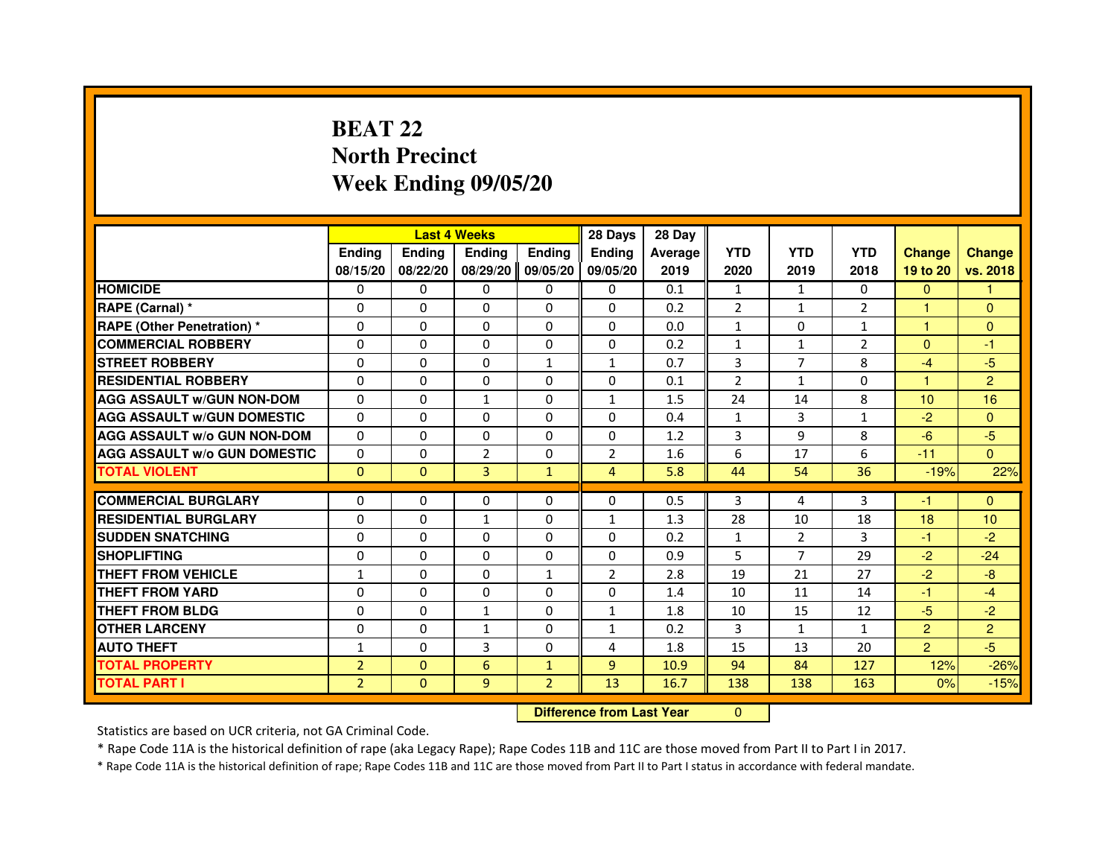# **BEAT 22 North PrecinctWeek Ending 09/05/20**

|                                     |                |               | <b>Last 4 Weeks</b> |                | 28 Days                          | 28 Day  |                |                |                |                |                |
|-------------------------------------|----------------|---------------|---------------------|----------------|----------------------------------|---------|----------------|----------------|----------------|----------------|----------------|
|                                     | <b>Ending</b>  | <b>Ending</b> | <b>Ending</b>       | <b>Ending</b>  | <b>Ending</b>                    | Average | <b>YTD</b>     | <b>YTD</b>     | <b>YTD</b>     | <b>Change</b>  | <b>Change</b>  |
|                                     | 08/15/20       | 08/22/20      | 08/29/20            | 09/05/20       | 09/05/20                         | 2019    | 2020           | 2019           | 2018           | 19 to 20       | vs. 2018       |
| <b>HOMICIDE</b>                     | 0              | $\Omega$      | $\Omega$            | $\Omega$       | 0                                | 0.1     | $\mathbf{1}$   | $\mathbf{1}$   | 0              | $\Omega$       | 1.             |
| RAPE (Carnal) *                     | 0              | $\Omega$      | $\Omega$            | $\Omega$       | 0                                | 0.2     | $\overline{2}$ | $\mathbf{1}$   | $\overline{2}$ | 1.             | $\mathbf{0}$   |
| <b>RAPE (Other Penetration) *</b>   | $\Omega$       | $\Omega$      | $\Omega$            | $\Omega$       | $\Omega$                         | 0.0     | $\mathbf{1}$   | $\Omega$       | $\mathbf{1}$   | $\mathbf{1}$   | $\mathbf{0}$   |
| <b>COMMERCIAL ROBBERY</b>           | $\Omega$       | $\mathbf{0}$  | $\Omega$            | $\Omega$       | $\Omega$                         | 0.2     | $\mathbf{1}$   | $\mathbf{1}$   | $\overline{2}$ | $\Omega$       | $-1$           |
| <b>STREET ROBBERY</b>               | $\Omega$       | $\Omega$      | $\Omega$            | $\mathbf{1}$   | $\mathbf{1}$                     | 0.7     | 3              | $\overline{7}$ | 8              | $-4$           | $-5$           |
| <b>RESIDENTIAL ROBBERY</b>          | $\Omega$       | $\Omega$      | $\Omega$            | $\Omega$       | $\Omega$                         | 0.1     | $\overline{2}$ | $\mathbf{1}$   | $\Omega$       | 1              | $\overline{2}$ |
| <b>AGG ASSAULT w/GUN NON-DOM</b>    | $\Omega$       | $\Omega$      | $\mathbf{1}$        | $\Omega$       | $\mathbf{1}$                     | 1.5     | 24             | 14             | 8              | 10             | 16             |
| <b>AGG ASSAULT w/GUN DOMESTIC</b>   | $\Omega$       | $\Omega$      | $\Omega$            | $\Omega$       | $\Omega$                         | 0.4     | $\mathbf{1}$   | $\overline{3}$ | $\mathbf{1}$   | $-2$           | $\Omega$       |
| <b>AGG ASSAULT w/o GUN NON-DOM</b>  | $\Omega$       | 0             | $\Omega$            | 0              | 0                                | 1.2     | 3              | 9              | 8              | $-6$           | $-5$           |
| <b>AGG ASSAULT w/o GUN DOMESTIC</b> | $\Omega$       | 0             | $\overline{2}$      | 0              | $\overline{2}$                   | 1.6     | 6              | 17             | 6              | $-11$          | $\Omega$       |
| <b>TOTAL VIOLENT</b>                | $\mathbf{0}$   | $\mathbf{0}$  | 3                   | $\mathbf{1}$   | $\overline{4}$                   | 5.8     | 44             | 54             | 36             | $-19%$         | 22%            |
| <b>COMMERCIAL BURGLARY</b>          | 0              | 0             | 0                   | 0              | 0                                | 0.5     | 3              | 4              | 3              | -1             | $\Omega$       |
| <b>RESIDENTIAL BURGLARY</b>         | 0              | $\Omega$      | $\mathbf{1}$        | $\Omega$       | $\mathbf{1}$                     | 1.3     | 28             | 10             | 18             | 18             | 10             |
| <b>SUDDEN SNATCHING</b>             | $\Omega$       | $\Omega$      | $\Omega$            | $\Omega$       | $\Omega$                         | 0.2     | $\mathbf{1}$   | $\overline{2}$ | 3              | $-1$           | $-2$           |
| <b>SHOPLIFTING</b>                  | 0              | $\Omega$      | 0                   | 0              | 0                                | 0.9     | 5              | 7              | 29             | $-2$           | $-24$          |
| <b>THEFT FROM VEHICLE</b>           | $\mathbf{1}$   | 0             | $\Omega$            | $\mathbf{1}$   | $\overline{2}$                   | 2.8     | 19             | 21             | 27             | $-2$           | $-8$           |
| <b>THEFT FROM YARD</b>              | $\Omega$       | $\Omega$      | $\Omega$            | $\Omega$       | 0                                | 1.4     | 10             | 11             | 14             | $-1$           | $-4$           |
| <b>THEFT FROM BLDG</b>              | $\Omega$       | $\Omega$      | $\mathbf{1}$        | $\Omega$       | $\mathbf{1}$                     | 1.8     | 10             | 15             | 12             | $-5$           | $-2$           |
| <b>OTHER LARCENY</b>                | $\Omega$       | $\Omega$      | $\mathbf{1}$        | $\Omega$       | $\mathbf{1}$                     | 0.2     | 3              | $\mathbf{1}$   | $\mathbf{1}$   | $\overline{2}$ | $\overline{2}$ |
| <b>AUTO THEFT</b>                   | $\mathbf{1}$   | $\Omega$      | 3                   | $\Omega$       | 4                                | 1.8     | 15             | 13             | 20             | $\overline{2}$ | $-5$           |
| <b>TOTAL PROPERTY</b>               | $\overline{2}$ | $\mathbf{0}$  | 6                   | $\mathbf{1}$   | $\overline{9}$                   | 10.9    | 94             | 84             | 127            | 12%            | $-26%$         |
| <b>TOTAL PART I</b>                 | $\overline{2}$ | $\mathbf{0}$  | 9                   | $\overline{2}$ | 13                               | 16.7    | 138            | 138            | 163            | 0%             | $-15%$         |
|                                     |                |               |                     |                | <b>Difference from Last Year</b> |         | $\mathbf{0}$   |                |                |                |                |

 **Difference from Last Year**

Statistics are based on UCR criteria, not GA Criminal Code.

\* Rape Code 11A is the historical definition of rape (aka Legacy Rape); Rape Codes 11B and 11C are those moved from Part II to Part I in 2017.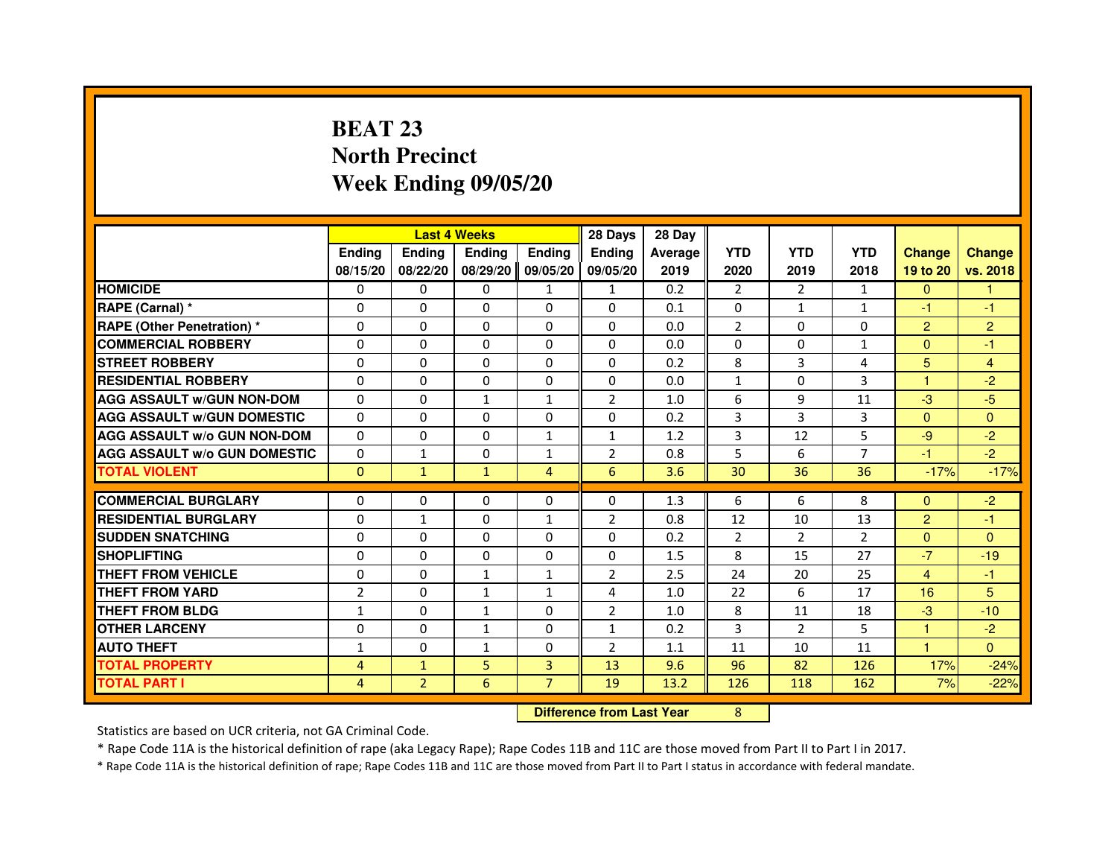# **BEAT 23 North PrecinctWeek Ending 09/05/20**

|                                     |                |                                  | <b>Last 4 Weeks</b> |                | 28 Days        | 28 Day         |                |                |                |                |                |
|-------------------------------------|----------------|----------------------------------|---------------------|----------------|----------------|----------------|----------------|----------------|----------------|----------------|----------------|
|                                     | <b>Ending</b>  | <b>Ending</b>                    | <b>Ending</b>       | <b>Ending</b>  | <b>Ending</b>  | <b>Average</b> | <b>YTD</b>     | <b>YTD</b>     | <b>YTD</b>     | <b>Change</b>  | <b>Change</b>  |
|                                     | 08/15/20       | 08/22/20                         | 08/29/20            | 09/05/20       | 09/05/20       | 2019           | 2020           | 2019           | 2018           | 19 to 20       | vs. 2018       |
| <b>HOMICIDE</b>                     | 0              | 0                                | $\Omega$            | $\mathbf{1}$   | $\mathbf{1}$   | 0.2            | $\overline{2}$ | $\mathbf{2}$   | $\mathbf{1}$   | $\mathbf{0}$   | $\mathbf{1}$   |
| RAPE (Carnal) *                     | 0              | 0                                | $\Omega$            | $\Omega$       | 0              | 0.1            | $\Omega$       | $\mathbf{1}$   | $\mathbf{1}$   | $-1$           | $-1$           |
| <b>RAPE (Other Penetration) *</b>   | $\Omega$       | $\Omega$                         | $\Omega$            | $\Omega$       | $\Omega$       | 0.0            | $\overline{2}$ | $\Omega$       | 0              | $\overline{2}$ | $\overline{c}$ |
| <b>COMMERCIAL ROBBERY</b>           | $\Omega$       | $\Omega$                         | $\Omega$            | $\Omega$       | $\Omega$       | 0.0            | $\Omega$       | $\mathbf{0}$   | $\mathbf{1}$   | $\Omega$       | $-1$           |
| <b>STREET ROBBERY</b>               | $\Omega$       | $\Omega$                         | $\Omega$            | $\Omega$       | $\Omega$       | 0.2            | 8              | 3              | 4              | 5              | $\overline{4}$ |
| <b>RESIDENTIAL ROBBERY</b>          | $\Omega$       | $\Omega$                         | $\Omega$            | $\Omega$       | $\Omega$       | 0.0            | 1              | $\mathbf{0}$   | 3              | 1              | $-2$           |
| <b>AGG ASSAULT W/GUN NON-DOM</b>    | $\Omega$       | $\Omega$                         | $\mathbf{1}$        | $\mathbf{1}$   | $\overline{2}$ | 1.0            | 6              | 9              | 11             | $-3$           | $-5$           |
| <b>AGG ASSAULT W/GUN DOMESTIC</b>   | $\Omega$       | $\Omega$                         | $\Omega$            | $\Omega$       | $\Omega$       | 0.2            | 3              | 3              | 3              | $\Omega$       | $\Omega$       |
| <b>AGG ASSAULT W/o GUN NON-DOM</b>  | 0              | 0                                | 0                   | $\mathbf{1}$   | $\mathbf{1}$   | 1.2            | 3              | 12             | 5              | $-9$           | $-2$           |
| <b>AGG ASSAULT W/o GUN DOMESTIC</b> | $\Omega$       | $\mathbf{1}$                     | $\Omega$            | $\mathbf{1}$   | $\overline{2}$ | 0.8            | 5              | 6              | $\overline{7}$ | $-1$           | $-2$           |
| <b>TOTAL VIOLENT</b>                | $\mathbf{0}$   | $\mathbf{1}$                     | $\mathbf{1}$        | $\overline{4}$ | 6              | 3.6            | 30             | 36             | 36             | $-17%$         | $-17%$         |
| <b>COMMERCIAL BURGLARY</b>          | $\Omega$       | 0                                | 0                   | 0              | $\Omega$       | 1.3            | 6              | 6              | 8              | $\Omega$       | $-2$           |
| <b>RESIDENTIAL BURGLARY</b>         | $\Omega$       | $\mathbf{1}$                     | $\Omega$            | $\mathbf{1}$   | $\overline{2}$ | 0.8            | 12             | 10             | 13             | $\overline{2}$ | $-1$           |
| <b>SUDDEN SNATCHING</b>             | $\Omega$       | $\Omega$                         | $\Omega$            | $\Omega$       | $\Omega$       | 0.2            | $\overline{2}$ | $\mathcal{P}$  | $\mathfrak{p}$ | $\Omega$       | $\Omega$       |
| <b>SHOPLIFTING</b>                  | 0              | 0                                | 0                   | 0              | 0              | 1.5            | 8              | 15             | 27             | $-7$           | $-19$          |
| THEFT FROM VEHICLE                  | 0              | $\Omega$                         | $\mathbf{1}$        | $\mathbf{1}$   | $\overline{2}$ | 2.5            | 24             | 20             | 25             | 4              | $-1$           |
| <b>THEFT FROM YARD</b>              | $\overline{2}$ | 0                                | $\mathbf{1}$        | $\mathbf{1}$   | 4              | 1.0            | 22             | 6              | 17             | 16             | 5              |
| <b>THEFT FROM BLDG</b>              | $\mathbf{1}$   | $\Omega$                         | $\mathbf{1}$        | $\Omega$       | 2              | 1.0            | 8              | 11             | 18             | $-3$           | $-10$          |
| <b>OTHER LARCENY</b>                | $\Omega$       | $\Omega$                         | $\mathbf{1}$        | 0              | $\mathbf{1}$   | 0.2            | 3              | $\overline{2}$ | 5              | $\mathbf{1}$   | $-2$           |
| <b>AUTO THEFT</b>                   | $\mathbf{1}$   | $\Omega$                         | $\mathbf{1}$        | $\Omega$       | $\overline{2}$ | 1.1            | 11             | 10             | 11             | $\mathbf{1}$   | $\Omega$       |
| <b>TOTAL PROPERTY</b>               | $\overline{4}$ | $\mathbf{1}$                     | 5                   | 3              | 13             | 9.6            | 96             | 82             | 126            | 17%            | $-24%$         |
| <b>TOTAL PART I</b>                 | $\overline{4}$ | $\overline{2}$                   | 6                   | $\overline{7}$ | 19             | 13.2           | 126            | 118            | 162            | 7%             | $-22%$         |
|                                     |                | <b>Difference from Last Year</b> |                     | 8              |                |                |                |                |                |                |                |

 **Difference from Last Year**

Statistics are based on UCR criteria, not GA Criminal Code.

\* Rape Code 11A is the historical definition of rape (aka Legacy Rape); Rape Codes 11B and 11C are those moved from Part II to Part I in 2017.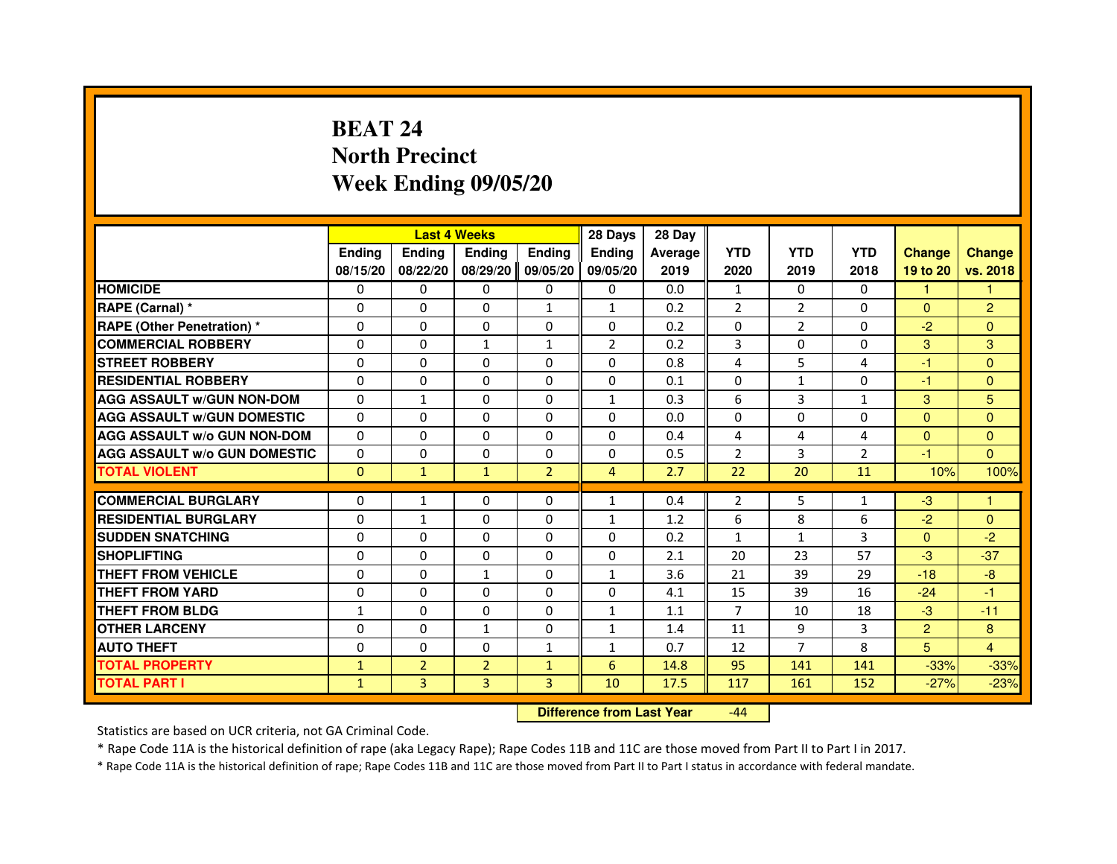# **BEAT 24 North PrecinctWeek Ending 09/05/20**

|                                     |               |                | <b>Last 4 Weeks</b> |                | 28 Days       | 28 Day  |                |                |                |                |                |
|-------------------------------------|---------------|----------------|---------------------|----------------|---------------|---------|----------------|----------------|----------------|----------------|----------------|
|                                     | <b>Endina</b> | Ending         | <b>Endina</b>       | <b>Endina</b>  | <b>Endina</b> | Average | <b>YTD</b>     | <b>YTD</b>     | <b>YTD</b>     | <b>Change</b>  | <b>Change</b>  |
|                                     | 08/15/20      | 08/22/20       | 08/29/20            | 09/05/20       | 09/05/20      | 2019    | 2020           | 2019           | 2018           | 19 to 20       | vs. 2018       |
| <b>HOMICIDE</b>                     | $\mathbf{0}$  | 0              | 0                   | 0              | 0             | 0.0     | 1              | 0              | 0              | $\mathbf{1}$   |                |
| RAPE (Carnal) *                     | $\Omega$      | $\Omega$       | $\Omega$            | $\mathbf{1}$   | $\mathbf{1}$  | 0.2     | $\overline{2}$ | $\overline{2}$ | $\Omega$       | $\Omega$       | $\overline{2}$ |
| RAPE (Other Penetration) *          | 0             | $\Omega$       | $\Omega$            | $\Omega$       | $\Omega$      | 0.2     | $\Omega$       | $\overline{2}$ | $\Omega$       | $-2$           | $\Omega$       |
| <b>COMMERCIAL ROBBERY</b>           | 0             | 0              | $\mathbf{1}$        | 1              | 2             | 0.2     | 3              | 0              | 0              | 3              | 3              |
| <b>STREET ROBBERY</b>               | $\Omega$      | $\Omega$       | 0                   | $\Omega$       | 0             | 0.8     | 4              | 5              | 4              | $-1$           | $\Omega$       |
| <b>RESIDENTIAL ROBBERY</b>          | 0             | $\Omega$       | 0                   | $\Omega$       | $\Omega$      | 0.1     | $\Omega$       | $\mathbf{1}$   | $\Omega$       | $-1$           | $\Omega$       |
| <b>AGG ASSAULT W/GUN NON-DOM</b>    | $\Omega$      | 1              | $\Omega$            | $\Omega$       | $\mathbf{1}$  | 0.3     | 6              | 3              | $\mathbf{1}$   | 3              | 5              |
| <b>AGG ASSAULT W/GUN DOMESTIC</b>   | $\Omega$      | $\Omega$       | $\Omega$            | $\Omega$       | 0             | 0.0     | 0              | $\Omega$       | 0              | $\mathbf{0}$   | $\Omega$       |
| <b>AGG ASSAULT W/o GUN NON-DOM</b>  | 0             | 0              | 0                   | 0              | $\Omega$      | 0.4     | 4              | 4              | 4              | $\Omega$       | $\Omega$       |
| <b>AGG ASSAULT W/o GUN DOMESTIC</b> | 0             | 0              | 0                   | 0              | 0             | 0.5     | $\overline{2}$ | 3              | $\overline{2}$ | -1             | $\Omega$       |
| <b>TOTAL VIOLENT</b>                | $\mathbf{0}$  | $\mathbf{1}$   | $\mathbf{1}$        | $\overline{2}$ | 4             | 2.7     | 22             | 20             | 11             | 10%            | 100%           |
|                                     |               |                |                     |                |               |         |                |                |                |                |                |
| <b>COMMERCIAL BURGLARY</b>          | 0             | 1              | 0                   | $\mathbf{0}$   | $\mathbf{1}$  | 0.4     | 2              | 5              | $\mathbf{1}$   | $-3$           | 1              |
| <b>RESIDENTIAL BURGLARY</b>         | 0             | $\mathbf{1}$   | 0                   | $\Omega$       | $\mathbf{1}$  | 1.2     | 6              | 8              | 6              | $-2$           | $\mathbf{0}$   |
| <b>SUDDEN SNATCHING</b>             | 0             | $\Omega$       | 0                   | $\Omega$       | 0             | 0.2     | $\mathbf{1}$   | $\mathbf{1}$   | 3              | $\Omega$       | $-2$           |
| <b>SHOPLIFTING</b>                  | 0             | $\Omega$       | 0                   | $\Omega$       | 0             | 2.1     | 20             | 23             | 57             | $-3$           | $-37$          |
| <b>THEFT FROM VEHICLE</b>           | $\Omega$      | $\Omega$       | $\mathbf{1}$        | $\Omega$       | $\mathbf{1}$  | 3.6     | 21             | 39             | 29             | $-18$          | $-8$           |
| <b>THEFT FROM YARD</b>              | $\Omega$      | $\Omega$       | $\Omega$            | $\Omega$       | $\Omega$      | 4.1     | 15             | 39             | 16             | $-24$          | $-1$           |
| <b>THEFT FROM BLDG</b>              | 1             | $\mathbf{0}$   | 0                   | 0              | $\mathbf{1}$  | 1.1     | $\overline{7}$ | 10             | 18             | $-3$           | $-11$          |
| <b>OTHER LARCENY</b>                | 0             | $\mathbf{0}$   | $\mathbf{1}$        | $\Omega$       | $\mathbf{1}$  | 1.4     | 11             | 9              | 3              | $\overline{2}$ | 8              |
| <b>AUTO THEFT</b>                   | $\Omega$      | $\Omega$       | $\Omega$            | 1              | $\mathbf{1}$  | 0.7     | 12             | $\overline{7}$ | 8              | 5              | 4              |
| <b>TOTAL PROPERTY</b>               | $\mathbf{1}$  | $\overline{2}$ | $\overline{2}$      | $\mathbf{1}$   | 6             | 14.8    | 95             | 141            | 141            | $-33%$         | $-33%$         |
| <b>TOTAL PART I</b>                 | $\mathbf{1}$  | 3              | 3                   | 3              | 10            | 17.5    | 117            | 161            | 152            | $-27%$         | $-23%$         |

 **Difference from Last Year**-44

Statistics are based on UCR criteria, not GA Criminal Code.

\* Rape Code 11A is the historical definition of rape (aka Legacy Rape); Rape Codes 11B and 11C are those moved from Part II to Part I in 2017.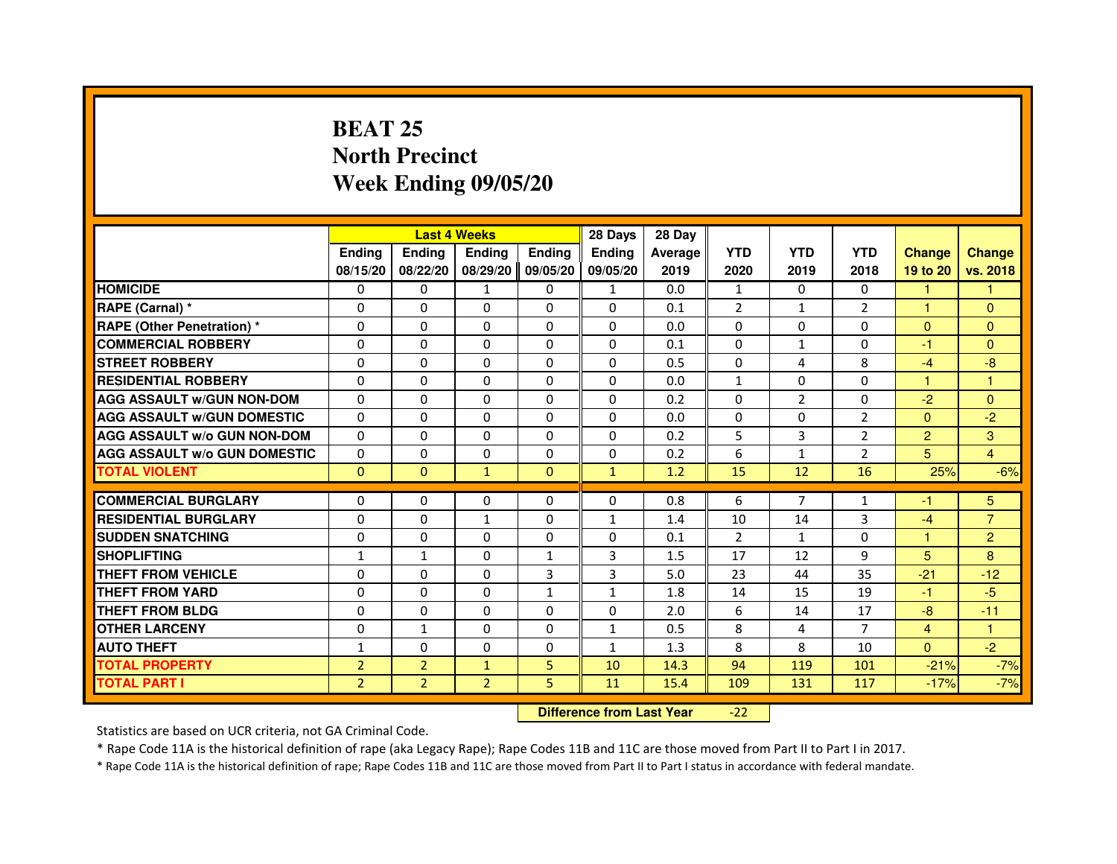## **BEAT 25 North PrecinctWeek Ending 09/05/20**

|                                     |                |                                  | <b>Last 4 Weeks</b> |               | 28 Days       | 28 Day  |                |                |                |                |                |
|-------------------------------------|----------------|----------------------------------|---------------------|---------------|---------------|---------|----------------|----------------|----------------|----------------|----------------|
|                                     | <b>Ending</b>  | <b>Ending</b>                    | <b>Ending</b>       | <b>Ending</b> | <b>Endina</b> | Average | <b>YTD</b>     | <b>YTD</b>     | <b>YTD</b>     | <b>Change</b>  | <b>Change</b>  |
|                                     | 08/15/20       | 08/22/20                         | 08/29/20            | 09/05/20      | 09/05/20      | 2019    | 2020           | 2019           | 2018           | 19 to 20       | vs. 2018       |
| <b>HOMICIDE</b>                     | 0              | $\mathbf{0}$                     | $\mathbf{1}$        | $\mathbf{0}$  | $\mathbf{1}$  | 0.0     | $\mathbf{1}$   | $\Omega$       | $\Omega$       | $\mathbf{1}$   | 1.             |
| RAPE (Carnal) *                     | 0              | $\Omega$                         | 0                   | $\Omega$      | $\Omega$      | 0.1     | $\overline{2}$ | $\mathbf{1}$   | 2              | $\mathbf{1}$   | $\Omega$       |
| <b>RAPE (Other Penetration) *</b>   | $\Omega$       | $\Omega$                         | $\Omega$            | $\Omega$      | $\Omega$      | 0.0     | $\Omega$       | $\Omega$       | $\Omega$       | $\Omega$       | $\Omega$       |
| <b>COMMERCIAL ROBBERY</b>           | 0              | $\Omega$                         | $\Omega$            | $\Omega$      | $\Omega$      | 0.1     | $\Omega$       | $\mathbf{1}$   | $\Omega$       | $-1$           | $\Omega$       |
| <b>STREET ROBBERY</b>               | $\Omega$       | $\Omega$                         | 0                   | $\Omega$      | $\Omega$      | 0.5     | $\Omega$       | 4              | 8              | $-4$           | $-8$           |
| <b>RESIDENTIAL ROBBERY</b>          | $\Omega$       | $\Omega$                         | 0                   | $\Omega$      | 0             | 0.0     | $\mathbf{1}$   | $\Omega$       | $\Omega$       | $\mathbf{1}$   | 1              |
| <b>AGG ASSAULT W/GUN NON-DOM</b>    | $\Omega$       | $\Omega$                         | 0                   | $\Omega$      | $\Omega$      | 0.2     | $\Omega$       | $\overline{2}$ | $\Omega$       | $-2$           | $\Omega$       |
| <b>AGG ASSAULT W/GUN DOMESTIC</b>   | $\Omega$       | $\Omega$                         | $\Omega$            | $\Omega$      | $\Omega$      | 0.0     | 0              | $\Omega$       | $\overline{2}$ | $\Omega$       | $-2$           |
| <b>AGG ASSAULT w/o GUN NON-DOM</b>  | 0              | 0                                | 0                   | 0             | $\mathbf{0}$  | 0.2     | 5              | 3              | 2              | 2              | 3              |
| <b>AGG ASSAULT w/o GUN DOMESTIC</b> | $\Omega$       | 0                                | 0                   | $\Omega$      | 0             | 0.2     | 6              | $\mathbf{1}$   | 2              | 5              | $\overline{4}$ |
| <b>TOTAL VIOLENT</b>                | $\mathbf 0$    | $\mathbf{0}$                     | $\mathbf{1}$        | $\mathbf{0}$  | $\mathbf{1}$  | 1.2     | 15             | 12             | 16             | 25%            | $-6%$          |
| <b>COMMERCIAL BURGLARY</b>          | $\Omega$       | 0                                | 0                   | $\Omega$      | 0             | 0.8     | 6              | $\overline{7}$ | $\mathbf{1}$   | $-1$           | 5              |
| <b>RESIDENTIAL BURGLARY</b>         | $\Omega$       | $\Omega$                         | 1                   | $\Omega$      | 1             | 1.4     | 10             | 14             | 3              | $-4$           | $\overline{7}$ |
| <b>SUDDEN SNATCHING</b>             | $\Omega$       | $\Omega$                         | $\Omega$            | $\Omega$      | $\Omega$      | 0.1     | $\overline{2}$ | $\mathbf{1}$   | $\Omega$       | $\mathbf{1}$   | $\overline{2}$ |
| <b>SHOPLIFTING</b>                  | 1              | $\mathbf{1}$                     | 0                   | 1             | 3             | 1.5     | 17             | 12             | 9              | 5              | 8              |
| <b>THEFT FROM VEHICLE</b>           | $\Omega$       | $\Omega$                         | 0                   | 3             | 3             | 5.0     | 23             | 44             | 35             | $-21$          | $-12$          |
| <b>THEFT FROM YARD</b>              | 0              | 0                                | $\Omega$            | $\mathbf{1}$  | $\mathbf{1}$  | 1.8     | 14             | 15             | 19             | $-1$           | $-5$           |
| <b>THEFT FROM BLDG</b>              | $\Omega$       | $\Omega$                         | $\Omega$            | $\Omega$      | $\Omega$      | 2.0     | 6              | 14             | 17             | $-8$           | $-11$          |
| <b>OTHER LARCENY</b>                | 0              | $\mathbf{1}$                     | 0                   | $\Omega$      | $\mathbf{1}$  | 0.5     | 8              | 4              | $\overline{7}$ | $\overline{4}$ | 1              |
| <b>AUTO THEFT</b>                   | $\mathbf{1}$   | $\Omega$                         | $\Omega$            | $\Omega$      | $\mathbf{1}$  | 1.3     | 8              | 8              | 10             | $\Omega$       | $-2$           |
| <b>TOTAL PROPERTY</b>               | $\overline{2}$ | $\overline{2}$                   | $\mathbf{1}$        | 5             | 10            | 14.3    | 94             | 119            | 101            | $-21%$         | $-7%$          |
| <b>TOTAL PART I</b>                 | $\overline{2}$ | $\overline{2}$                   | $\overline{2}$      | 5             | 11            | 15.4    | 109            | 131            | 117            | $-17%$         | $-7%$          |
|                                     |                | <b>Difference from Last Year</b> |                     | $-22$         |               |         |                |                |                |                |                |

Statistics are based on UCR criteria, not GA Criminal Code.

\* Rape Code 11A is the historical definition of rape (aka Legacy Rape); Rape Codes 11B and 11C are those moved from Part II to Part I in 2017.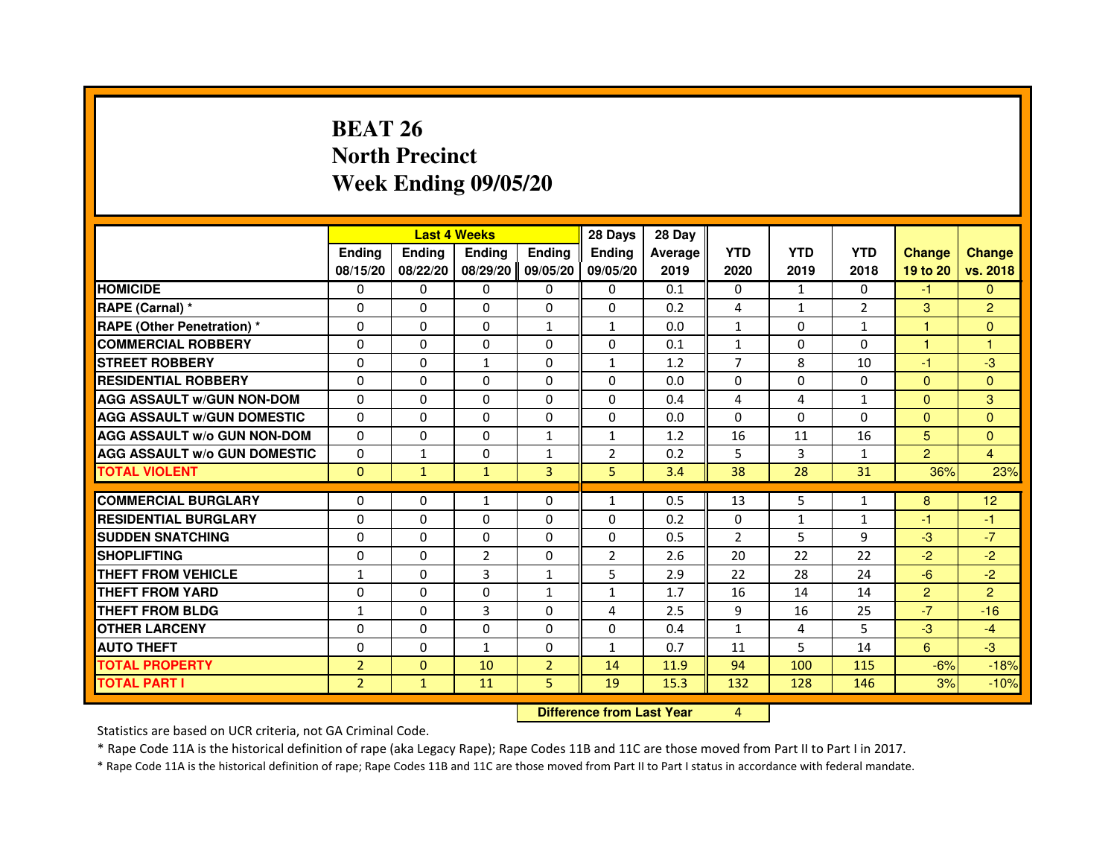# **BEAT 26 North PrecinctWeek Ending 09/05/20**

|                                     |                | <b>Last 4 Weeks</b>              |                |                |                | 28 Day  |                |              |              |                |                |
|-------------------------------------|----------------|----------------------------------|----------------|----------------|----------------|---------|----------------|--------------|--------------|----------------|----------------|
|                                     | <b>Ending</b>  | Ending                           | <b>Ending</b>  | <b>Ending</b>  | <b>Ending</b>  | Average | <b>YTD</b>     | <b>YTD</b>   | <b>YTD</b>   | <b>Change</b>  | <b>Change</b>  |
|                                     | 08/15/20       | 08/22/20                         | 08/29/20       | 09/05/20       | 09/05/20       | 2019    | 2020           | 2019         | 2018         | 19 to 20       | vs. 2018       |
| <b>HOMICIDE</b>                     | 0              | $\Omega$                         | $\Omega$       | $\Omega$       | 0              | 0.1     | $\Omega$       | $\mathbf{1}$ | $\Omega$     | $-1$           | $\mathbf{0}$   |
| RAPE (Carnal) *                     | 0              | 0                                | 0              | 0              | 0              | 0.2     | 4              | $\mathbf{1}$ | 2            | 3              | $\overline{2}$ |
| RAPE (Other Penetration) *          | $\Omega$       | 0                                | $\Omega$       | $\mathbf{1}$   | $\mathbf{1}$   | 0.0     | $\mathbf{1}$   | $\Omega$     | 1            | 1              | $\mathbf{0}$   |
| <b>COMMERCIAL ROBBERY</b>           | $\Omega$       | $\Omega$                         | $\Omega$       | $\Omega$       | 0              | 0.1     | $\mathbf{1}$   | $\Omega$     | $\Omega$     | $\mathbf{1}$   | $\mathbf{1}$   |
| <b>STREET ROBBERY</b>               | $\Omega$       | $\Omega$                         | $\mathbf{1}$   | $\Omega$       | $\mathbf{1}$   | 1.2     | $\overline{7}$ | 8            | 10           | $-1$           | $-3$           |
| <b>RESIDENTIAL ROBBERY</b>          | 0              | 0                                | $\Omega$       | 0              | 0              | 0.0     | 0              | $\Omega$     | $\Omega$     | $\Omega$       | $\mathbf{0}$   |
| <b>AGG ASSAULT W/GUN NON-DOM</b>    | $\Omega$       | $\Omega$                         | $\Omega$       | $\Omega$       | $\Omega$       | 0.4     | 4              | 4            | $\mathbf{1}$ | $\Omega$       | 3              |
| <b>AGG ASSAULT W/GUN DOMESTIC</b>   | $\Omega$       | $\Omega$                         | $\Omega$       | $\Omega$       | $\Omega$       | 0.0     | $\Omega$       | $\Omega$     | $\Omega$     | $\Omega$       | $\Omega$       |
| <b>AGG ASSAULT W/o GUN NON-DOM</b>  | $\Omega$       | $\Omega$                         | $\Omega$       | $\mathbf{1}$   | $\mathbf{1}$   | 1.2     | 16             | 11           | 16           | 5              | $\Omega$       |
| <b>AGG ASSAULT W/o GUN DOMESTIC</b> | $\Omega$       | $\mathbf{1}$                     | 0              | $\mathbf{1}$   | 2              | 0.2     | 5              | 3            | $\mathbf{1}$ | $\overline{2}$ | 4              |
| <b>TOTAL VIOLENT</b>                | $\mathbf{0}$   | $\mathbf{1}$                     | $\mathbf{1}$   | 3              | 5              | 3.4     | 38             | 28           | 31           | 36%            | 23%            |
| <b>COMMERCIAL BURGLARY</b>          | 0              | 0                                | 1              | 0              | $\mathbf{1}$   | 0.5     | 13             | 5            | $\mathbf{1}$ | 8              | 12             |
| <b>RESIDENTIAL BURGLARY</b>         | 0              | $\Omega$                         | $\Omega$       | $\Omega$       | $\Omega$       | 0.2     | $\Omega$       | $\mathbf{1}$ | 1            | $-1$           | $-1$           |
| <b>SUDDEN SNATCHING</b>             | $\Omega$       | $\Omega$                         | $\Omega$       | $\Omega$       | $\Omega$       | 0.5     | $\overline{2}$ | 5            | 9            | $-3$           | $-7$           |
| <b>SHOPLIFTING</b>                  | 0              | 0                                | $\overline{2}$ | 0              | $\overline{2}$ | 2.6     | 20             | 22           | 22           | $-2$           | $-2$           |
| THEFT FROM VEHICLE                  | 1              | $\Omega$                         | 3              | 1              | 5              | 2.9     | 22             | 28           | 24           | $-6$           | $-2$           |
| <b>THEFT FROM YARD</b>              | $\Omega$       | $\Omega$                         | $\Omega$       | $\mathbf{1}$   | $\mathbf{1}$   | 1.7     | 16             | 14           | 14           | $\overline{2}$ | $\overline{2}$ |
| <b>THEFT FROM BLDG</b>              | $\mathbf{1}$   | $\Omega$                         | 3              | $\Omega$       | 4              | 2.5     | 9              | 16           | 25           | $-7$           | $-16$          |
| <b>OTHER LARCENY</b>                | 0              | $\Omega$                         | $\Omega$       | 0              | 0              | 0.4     | $\mathbf{1}$   | 4            | 5            | $-3$           | $-4$           |
| <b>AUTO THEFT</b>                   | $\Omega$       | $\Omega$                         | $\mathbf{1}$   | $\Omega$       | $\mathbf{1}$   | 0.7     | 11             | 5            | 14           | 6              | $-3$           |
| <b>TOTAL PROPERTY</b>               | $\overline{2}$ | $\mathbf{0}$                     | 10             | $\overline{2}$ | 14             | 11.9    | 94             | 100          | 115          | $-6%$          | $-18%$         |
| <b>TOTAL PART I</b>                 | $\overline{2}$ | $\mathbf{1}$                     | 11             | 5              | 19             | 15.3    | 132            | 128          | 146          | 3%             | $-10%$         |
|                                     |                | <b>Difference from Last Year</b> |                | $\overline{4}$ |                |         |                |              |              |                |                |

#### **Difference from Last Year**

Statistics are based on UCR criteria, not GA Criminal Code.

\* Rape Code 11A is the historical definition of rape (aka Legacy Rape); Rape Codes 11B and 11C are those moved from Part II to Part I in 2017.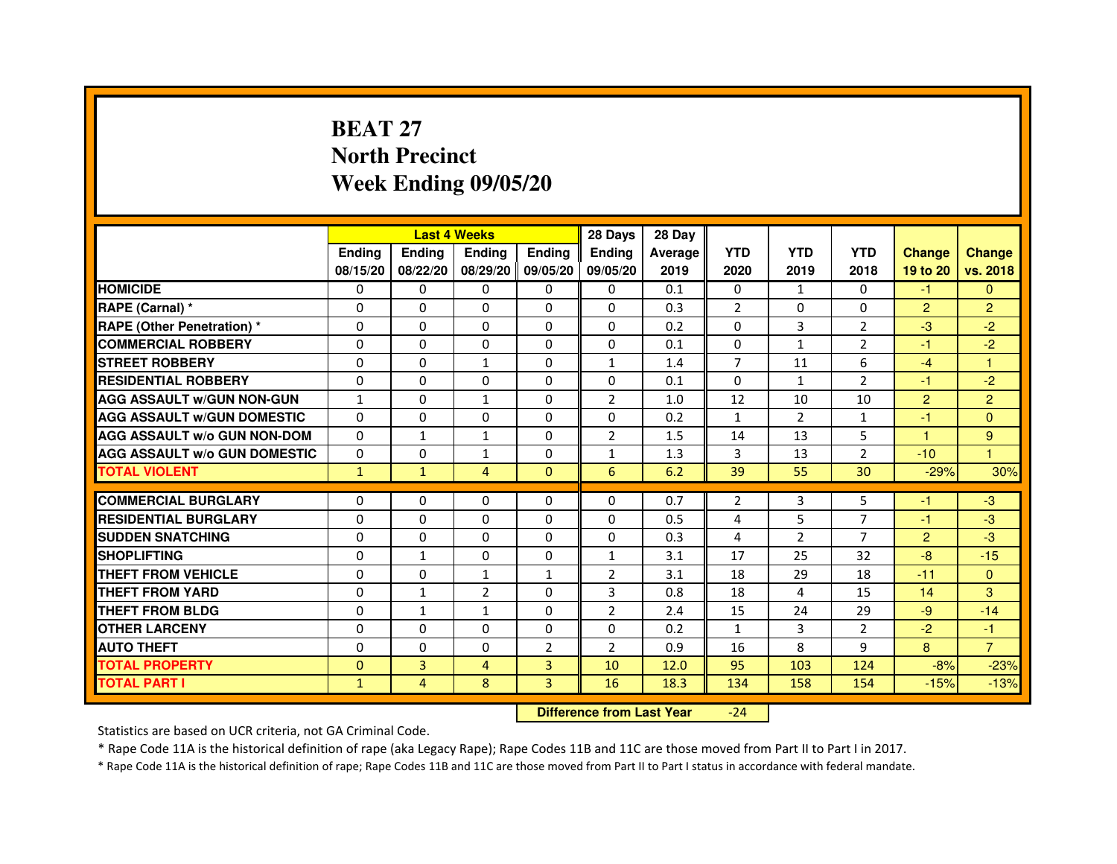# **BEAT 27 North PrecinctWeek Ending 09/05/20**

|                                     |               | <b>Last 4 Weeks</b> |                |                   | 28 Days        | 28 Day  |                |               |                |                |                |
|-------------------------------------|---------------|---------------------|----------------|-------------------|----------------|---------|----------------|---------------|----------------|----------------|----------------|
|                                     | <b>Endina</b> | Ending              | <b>Endina</b>  | <b>Endina</b>     | <b>Endina</b>  | Average | <b>YTD</b>     | <b>YTD</b>    | <b>YTD</b>     | <b>Change</b>  | <b>Change</b>  |
|                                     | 08/15/20      | 08/22/20            |                | 08/29/20 09/05/20 | 09/05/20       | 2019    | 2020           | 2019          | 2018           | 19 to 20       | vs. 2018       |
| <b>HOMICIDE</b>                     | 0             | 0                   | 0              | 0                 | 0              | 0.1     | $\mathbf{0}$   | $\mathbf{1}$  | $\Omega$       | -1             | $\mathbf{0}$   |
| RAPE (Carnal) *                     | $\Omega$      | $\Omega$            | $\Omega$       | $\Omega$          | $\Omega$       | 0.3     | $\overline{2}$ | $\Omega$      | $\Omega$       | $\overline{2}$ | $\overline{2}$ |
| <b>RAPE (Other Penetration)*</b>    | $\Omega$      | $\Omega$            | $\Omega$       | $\Omega$          | $\Omega$       | 0.2     | $\Omega$       | 3             | 2              | $-3$           | $-2$           |
| <b>COMMERCIAL ROBBERY</b>           | 0             | 0                   | 0              | 0                 | 0              | 0.1     | 0              | $\mathbf{1}$  | 2              | -1             | $-2$           |
| <b>STREET ROBBERY</b>               | 0             | $\Omega$            | $\mathbf{1}$   | 0                 | $\mathbf{1}$   | 1.4     | 7              | 11            | 6              | $-4$           | 1              |
| <b>RESIDENTIAL ROBBERY</b>          | 0             | $\Omega$            | 0              | $\Omega$          | $\Omega$       | 0.1     | $\Omega$       | $\mathbf{1}$  | $\overline{2}$ | $-1$           | $-2$           |
| <b>AGG ASSAULT W/GUN NON-GUN</b>    | $\mathbf{1}$  | $\Omega$            | $\mathbf{1}$   | $\mathbf{0}$      | $\overline{2}$ | 1.0     | 12             | 10            | 10             | $\overline{2}$ | $\overline{2}$ |
| <b>AGG ASSAULT W/GUN DOMESTIC</b>   | $\Omega$      | 0                   | $\Omega$       | $\Omega$          | $\Omega$       | 0.2     | $\mathbf{1}$   | $\mathcal{P}$ | $\mathbf{1}$   | $-1$           | $\Omega$       |
| <b>AGG ASSAULT W/o GUN NON-DOM</b>  | 0             | 1                   | 1              | 0                 | $\overline{2}$ | 1.5     | 14             | 13            | 5              | 1              | 9              |
| <b>AGG ASSAULT W/o GUN DOMESTIC</b> | 0             | 0                   | $\mathbf{1}$   | $\mathbf{0}$      | 1              | 1.3     | 3              | 13            | $\overline{2}$ | $-10$          | 1              |
| <b>TOTAL VIOLENT</b>                | $\mathbf{1}$  | $\mathbf{1}$        | 4              | $\mathbf{0}$      | 6              | 6.2     | 39             | 55            | 30             | $-29%$         | 30%            |
|                                     |               |                     |                |                   |                |         |                |               |                |                |                |
| <b>COMMERCIAL BURGLARY</b>          | 0             | 0                   | 0              | 0                 | $\Omega$       | 0.7     | 2              | 3             | 5              | -1             | $-3$           |
| <b>RESIDENTIAL BURGLARY</b>         | 0             | $\Omega$            | 0              | $\Omega$          | $\Omega$       | 0.5     | 4              | 5             | 7              | $-1$           | -3             |
| <b>SUDDEN SNATCHING</b>             | 0             | $\Omega$            | $\Omega$       | $\Omega$          | $\Omega$       | 0.3     | $\overline{4}$ | 2             | $\overline{7}$ | $\overline{2}$ | -3             |
| <b>SHOPLIFTING</b>                  | $\Omega$      | $\mathbf{1}$        | $\Omega$       | $\mathbf{0}$      | $\mathbf{1}$   | 3.1     | 17             | 25            | 32             | $-8$           | $-15$          |
| <b>THEFT FROM VEHICLE</b>           | 0             | $\Omega$            | $\mathbf{1}$   | $\mathbf{1}$      | $\overline{2}$ | 3.1     | 18             | 29            | 18             | $-11$          | $\Omega$       |
| <b>THEFT FROM YARD</b>              | $\Omega$      | 1                   | $\overline{2}$ | $\Omega$          | 3              | 0.8     | 18             | 4             | 15             | 14             | 3              |
| <b>THEFT FROM BLDG</b>              | 0             | 1                   | 1              | $\mathbf{0}$      | $\overline{2}$ | 2.4     | 15             | 24            | 29             | $-9$           | $-14$          |
| <b>OTHER LARCENY</b>                | 0             | 0                   | $\Omega$       | $\Omega$          | $\Omega$       | 0.2     | $\mathbf{1}$   | 3             | $\overline{2}$ | $-2$           | $-1$           |
| <b>AUTO THEFT</b>                   | 0             | $\mathbf 0$         | 0              | $\overline{2}$    | $\overline{2}$ | 0.9     | 16             | 8             | 9              | 8              | $\overline{7}$ |
| <b>TOTAL PROPERTY</b>               | $\Omega$      | 3                   | 4              | 3                 | 10             | 12.0    | 95             | 103           | 124            | $-8%$          | $-23%$         |
| <b>TOTAL PART I</b>                 | $\mathbf{1}$  | 4                   | 8              | 3                 | 16             | 18.3    | 134            | 158           | 154            | $-15%$         | $-13%$         |

 **Difference from Last Year**-24

Statistics are based on UCR criteria, not GA Criminal Code.

\* Rape Code 11A is the historical definition of rape (aka Legacy Rape); Rape Codes 11B and 11C are those moved from Part II to Part I in 2017.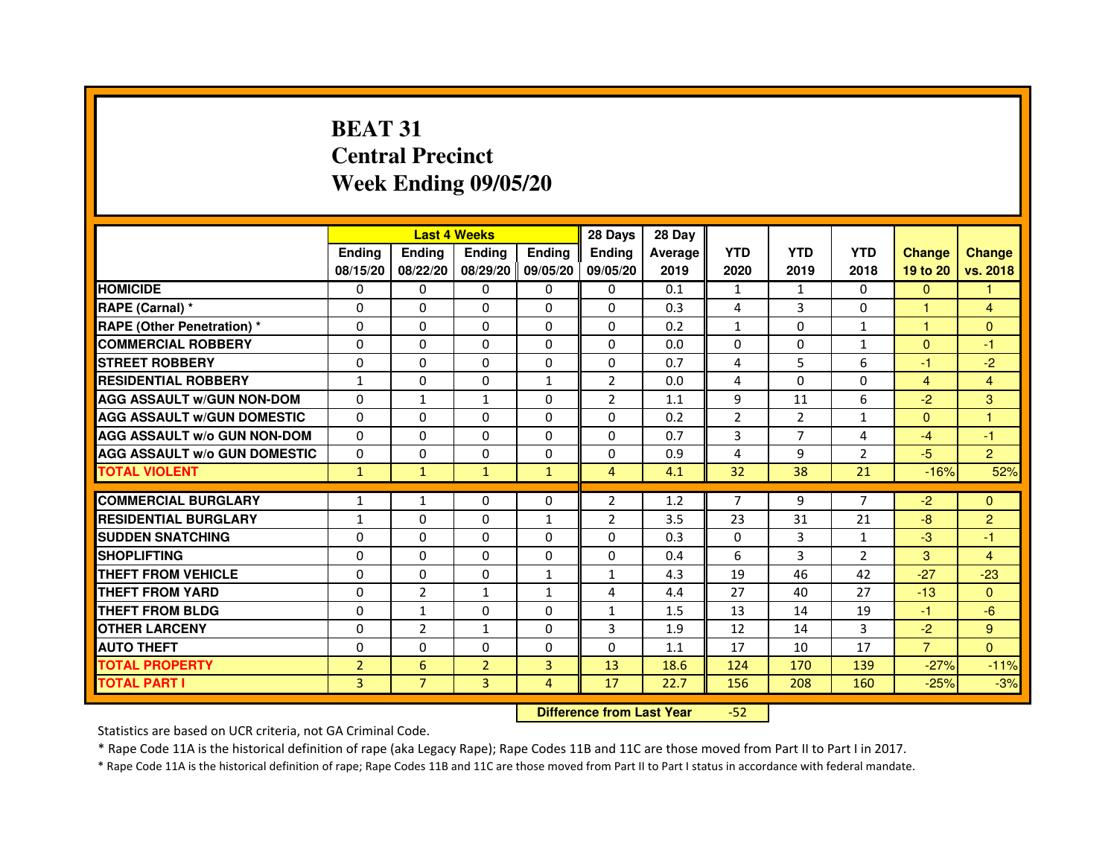# **BEAT 31 Central PrecinctWeek Ending 09/05/20**

|                                     |                | <b>Last 4 Weeks</b>              |                   |                | 28 Days        | 28 Day  |                |                |                |                |                |
|-------------------------------------|----------------|----------------------------------|-------------------|----------------|----------------|---------|----------------|----------------|----------------|----------------|----------------|
|                                     | Ending         | Ending                           | Ending            | <b>Ending</b>  | Ending         | Average | <b>YTD</b>     | <b>YTD</b>     | <b>YTD</b>     | <b>Change</b>  | <b>Change</b>  |
|                                     | 08/15/20       | 08/22/20                         | 08/29/20 09/05/20 |                | 09/05/20       | 2019    | 2020           | 2019           | 2018           | 19 to 20       | vs. 2018       |
| <b>HOMICIDE</b>                     | 0              | 0                                | $\mathbf{0}$      | 0              | 0              | 0.1     | $\mathbf{1}$   | $\mathbf{1}$   | $\Omega$       | $\Omega$       | 1.             |
| RAPE (Carnal) *                     | 0              | 0                                | 0                 | 0              | 0              | 0.3     | 4              | 3              | $\Omega$       | 1              | $\overline{4}$ |
| RAPE (Other Penetration) *          | $\Omega$       | $\mathbf 0$                      | $\Omega$          | 0              | 0              | 0.2     | $\mathbf{1}$   | $\mathbf{0}$   | 1              | $\mathbf{1}$   | $\Omega$       |
| <b>COMMERCIAL ROBBERY</b>           | $\mathbf 0$    | 0                                | $\Omega$          | $\mathbf 0$    | $\Omega$       | 0.0     | $\Omega$       | $\mathbf{0}$   | $\mathbf{1}$   | $\Omega$       | $-1$           |
| <b>STREET ROBBERY</b>               | $\Omega$       | $\Omega$                         | $\Omega$          | $\Omega$       | $\Omega$       | 0.7     | 4              | 5              | 6              | $-1$           | $-2$           |
| <b>RESIDENTIAL ROBBERY</b>          | 1              | 0                                | 0                 | $\mathbf{1}$   | $\overline{2}$ | 0.0     | 4              | $\mathbf{0}$   | 0              | $\overline{4}$ | $\overline{4}$ |
| <b>AGG ASSAULT w/GUN NON-DOM</b>    | $\Omega$       | $\mathbf{1}$                     | $\mathbf{1}$      | $\Omega$       | $\overline{2}$ | 1.1     | 9              | 11             | 6              | $-2$           | 3              |
| <b>AGG ASSAULT W/GUN DOMESTIC</b>   | $\Omega$       | $\Omega$                         | $\mathbf 0$       | $\Omega$       | 0              | 0.2     | $\overline{2}$ | $\overline{2}$ | $\mathbf{1}$   | $\Omega$       | $\mathbf{1}$   |
| <b>AGG ASSAULT W/o GUN NON-DOM</b>  | $\Omega$       | $\Omega$                         | $\Omega$          | $\Omega$       | $\Omega$       | 0.7     | 3              | $\overline{7}$ | 4              | $-4$           | $-1$           |
| <b>AGG ASSAULT w/o GUN DOMESTIC</b> | $\Omega$       | $\mathbf 0$                      | $\Omega$          | 0              | 0              | 0.9     | 4              | 9              | $\overline{2}$ | $-5$           | $\overline{2}$ |
| <b>TOTAL VIOLENT</b>                | $\mathbf{1}$   | $\mathbf{1}$                     | $\mathbf{1}$      | $\mathbf{1}$   | $\overline{4}$ | 4.1     | 32             | 38             | 21             | $-16%$         | 52%            |
| <b>COMMERCIAL BURGLARY</b>          | 1              | 1                                | 0                 | 0              | 2              | 1.2     | 7              | 9              | 7              | $-2$           | $\mathbf{0}$   |
| <b>RESIDENTIAL BURGLARY</b>         | 1              | $\mathbf 0$                      | 0                 | $\mathbf{1}$   | $\overline{2}$ | 3.5     | 23             | 31             | 21             | $-8$           | $\overline{c}$ |
| <b>SUDDEN SNATCHING</b>             | $\Omega$       | $\mathbf 0$                      | $\Omega$          | $\Omega$       | $\Omega$       | 0.3     | $\Omega$       | 3              | $\mathbf{1}$   | $-3$           | $-1$           |
| <b>SHOPLIFTING</b>                  | 0              | $\Omega$                         | $\Omega$          | 0              | 0              | 0.4     | 6              | 3              | 2              | 3              | $\overline{4}$ |
| THEFT FROM VEHICLE                  | $\Omega$       | 0                                | $\Omega$          | $\mathbf{1}$   | $\mathbf{1}$   | 4.3     | 19             | 46             | 42             | $-27$          | $-23$          |
| <b>THEFT FROM YARD</b>              | $\Omega$       | $\overline{2}$                   | $\mathbf{1}$      | $\mathbf{1}$   | 4              | 4.4     | 27             | 40             | 27             | $-13$          | $\Omega$       |
| <b>THEFT FROM BLDG</b>              | $\Omega$       | $\mathbf{1}$                     | $\Omega$          | $\Omega$       | $\mathbf{1}$   | 1.5     | 13             | 14             | 19             | $-1$           | $-6$           |
| <b>OTHER LARCENY</b>                | $\Omega$       | $\overline{2}$                   | $\mathbf{1}$      | $\Omega$       | 3              | 1.9     | 12             | 14             | 3              | $-2$           | 9              |
| <b>AUTO THEFT</b>                   | $\Omega$       | $\Omega$                         | $\mathbf 0$       | $\Omega$       | $\Omega$       | 1.1     | 17             | 10             | 17             | $\overline{7}$ | $\Omega$       |
| <b>TOTAL PROPERTY</b>               | $\overline{2}$ | $6\phantom{1}$                   | $\overline{2}$    | 3              | 13             | 18.6    | 124            | 170            | 139            | $-27%$         | $-11%$         |
| <b>TOTAL PART I</b>                 | 3              | $\overline{7}$                   | 3                 | $\overline{4}$ | 17             | 22.7    | 156            | 208            | 160            | $-25%$         | $-3%$          |
|                                     |                | <b>Difference from Last Year</b> |                   | $-52$          |                |         |                |                |                |                |                |

 **Difference from Last Year**

Statistics are based on UCR criteria, not GA Criminal Code.

\* Rape Code 11A is the historical definition of rape (aka Legacy Rape); Rape Codes 11B and 11C are those moved from Part II to Part I in 2017.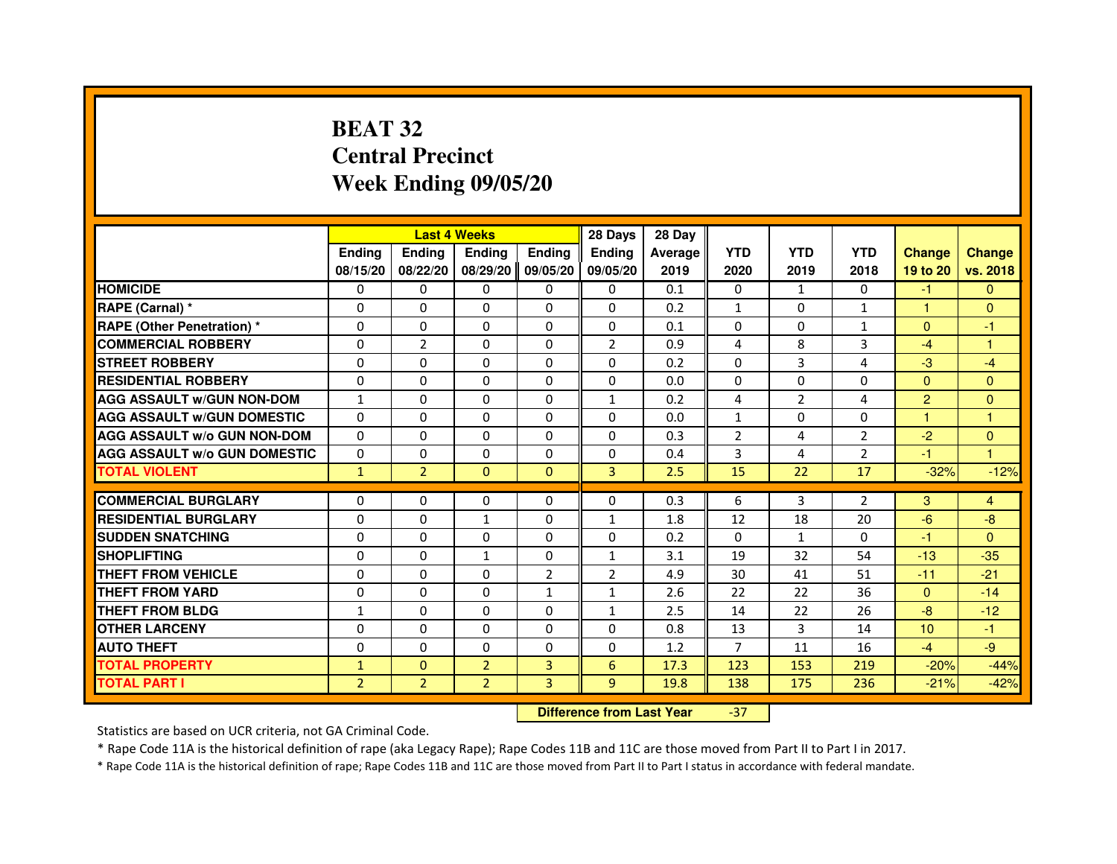# **BEAT 32 Central PrecinctWeek Ending 09/05/20**

|                                     |                | <b>Last 4 Weeks</b>              |                |                | 28 Days        | 28 Day  |                |                |                |                |                      |
|-------------------------------------|----------------|----------------------------------|----------------|----------------|----------------|---------|----------------|----------------|----------------|----------------|----------------------|
|                                     | <b>Ending</b>  | <b>Ending</b>                    | <b>Ending</b>  | <b>Ending</b>  | <b>Ending</b>  | Average | <b>YTD</b>     | <b>YTD</b>     | <b>YTD</b>     | <b>Change</b>  | <b>Change</b>        |
|                                     | 08/15/20       | 08/22/20                         | 08/29/20       | 09/05/20       | 09/05/20       | 2019    | 2020           | 2019           | 2018           | 19 to 20       | vs. 2018             |
| <b>HOMICIDE</b>                     | $\Omega$       | $\Omega$                         | $\mathbf{0}$   | $\mathbf{0}$   | $\mathbf{0}$   | 0.1     | $\Omega$       | $\mathbf{1}$   | $\Omega$       | $-1$           | $\mathbf{0}$         |
| RAPE (Carnal) *                     | 0              | $\Omega$                         | 0              | $\Omega$       | $\mathbf{0}$   | 0.2     | $\mathbf{1}$   | $\mathbf{0}$   | $\mathbf{1}$   | 1.             | $\mathbf{0}$         |
| <b>RAPE (Other Penetration) *</b>   | $\Omega$       | $\Omega$                         | $\Omega$       | $\Omega$       | $\Omega$       | 0.1     | $\Omega$       | $\Omega$       | $\mathbf{1}$   | $\mathbf{0}$   | $-1$                 |
| <b>COMMERCIAL ROBBERY</b>           | 0              | $\overline{2}$                   | $\Omega$       | $\Omega$       | $\overline{2}$ | 0.9     | 4              | 8              | 3              | $-4$           | $\mathbf{1}$         |
| <b>STREET ROBBERY</b>               | 0              | $\Omega$                         | 0              | $\Omega$       | $\Omega$       | 0.2     | $\Omega$       | 3              | 4              | $-3$           | $-4$                 |
| <b>RESIDENTIAL ROBBERY</b>          | 0              | $\Omega$                         | 0              | $\Omega$       | $\Omega$       | 0.0     | $\Omega$       | $\Omega$       | $\Omega$       | $\Omega$       | $\Omega$             |
| <b>AGG ASSAULT W/GUN NON-DOM</b>    | $\mathbf{1}$   | $\Omega$                         | 0              | $\Omega$       | $\mathbf{1}$   | 0.2     | 4              | $\overline{2}$ | 4              | $\overline{2}$ | $\overline{0}$       |
| <b>AGG ASSAULT W/GUN DOMESTIC</b>   | $\Omega$       | $\Omega$                         | $\Omega$       | $\Omega$       | $\Omega$       | 0.0     | $\mathbf{1}$   | $\Omega$       | $\Omega$       | $\mathbf{1}$   | $\mathbf{1}$         |
| <b>AGG ASSAULT w/o GUN NON-DOM</b>  | $\Omega$       | $\mathbf{0}$                     | 0              | $\mathbf{0}$   | 0              | 0.3     | $\overline{2}$ | 4              | $\overline{2}$ | $-2$           | $\mathbf{0}$         |
| <b>AGG ASSAULT W/o GUN DOMESTIC</b> | 0              | 0                                | 0              | $\Omega$       | $\mathbf{0}$   | 0.4     | 3              | 4              | $\overline{2}$ | $-1$           | $\blacktriangleleft$ |
| <b>TOTAL VIOLENT</b>                | $\mathbf{1}$   | $\overline{2}$                   | $\mathbf{0}$   | $\mathbf{0}$   | 3              | 2.5     | 15             | 22             | 17             | $-32%$         | $-12%$               |
| <b>COMMERCIAL BURGLARY</b>          | 0              | 0                                | 0              | $\mathbf{0}$   | 0              | 0.3     | 6              | 3              | $\overline{2}$ | 3              | 4                    |
| <b>RESIDENTIAL BURGLARY</b>         | $\Omega$       | $\Omega$                         | $\mathbf{1}$   | $\Omega$       | $\mathbf{1}$   | 1.8     | 12             | 18             | 20             | $-6$           | $-8$                 |
| <b>SUDDEN SNATCHING</b>             | $\Omega$       | $\Omega$                         | $\Omega$       | $\Omega$       | $\Omega$       | 0.2     | $\Omega$       | $\mathbf{1}$   | $\Omega$       | $-1$           | $\Omega$             |
| <b>SHOPLIFTING</b>                  | 0              | 0                                | 1              | 0              | $\mathbf{1}$   | 3.1     | 19             | 32             | 54             | $-13$          | $-35$                |
| THEFT FROM VEHICLE                  | 0              | $\Omega$                         | 0              | $\overline{2}$ | $\overline{2}$ | 4.9     | 30             | 41             | 51             | $-11$          | $-21$                |
| THEFT FROM YARD                     | 0              | 0                                | $\Omega$       | $\mathbf{1}$   | $\mathbf{1}$   | 2.6     | 22             | 22             | 36             | $\overline{0}$ | $-14$                |
| <b>THEFT FROM BLDG</b>              | $\mathbf{1}$   | $\Omega$                         | $\Omega$       | $\Omega$       | $\mathbf{1}$   | 2.5     | 14             | 22             | 26             | $-8-$          | $-12$                |
| <b>OTHER LARCENY</b>                | 0              | $\Omega$                         | 0              | $\Omega$       | $\Omega$       | 0.8     | 13             | 3              | 14             | 10             | $-1$                 |
| <b>AUTO THEFT</b>                   | $\Omega$       | $\Omega$                         | $\Omega$       | $\Omega$       | $\Omega$       | 1.2     | $\overline{7}$ | 11             | 16             | $-4$           | $-9$                 |
| <b>TOTAL PROPERTY</b>               | $\mathbf{1}$   | $\mathbf{0}$                     | $\overline{2}$ | 3              | 6              | 17.3    | 123            | 153            | 219            | $-20%$         | $-44%$               |
| <b>TOTAL PART I</b>                 | $\overline{2}$ | $\overline{2}$                   | $\overline{2}$ | 3              | 9              | 19.8    | 138            | 175            | 236            | $-21%$         | $-42%$               |
|                                     |                | <b>Difference from Last Year</b> |                | $-37$          |                |         |                |                |                |                |                      |

 **Difference from Last Year**

Statistics are based on UCR criteria, not GA Criminal Code.

\* Rape Code 11A is the historical definition of rape (aka Legacy Rape); Rape Codes 11B and 11C are those moved from Part II to Part I in 2017.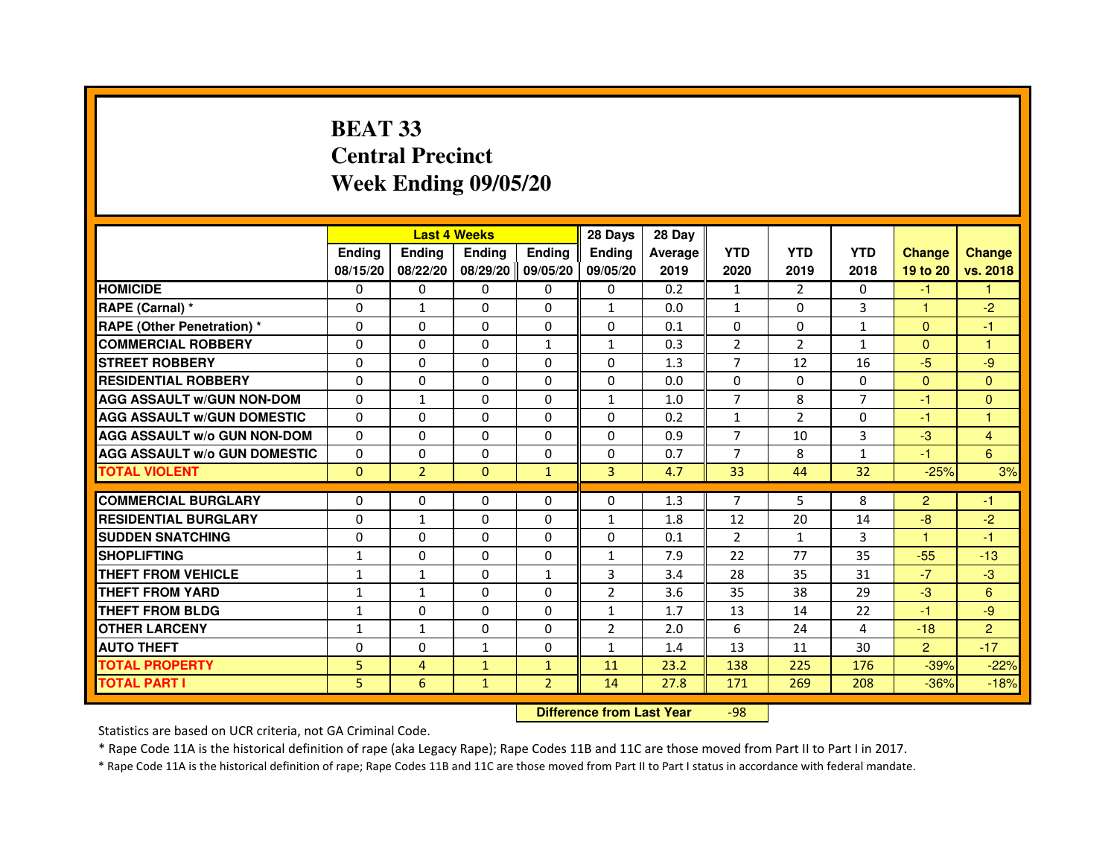# **BEAT 33 Central PrecinctWeek Ending 09/05/20**

|                                     |               |                | <b>Last 4 Weeks</b> |                | 28 Days        | 28 Day  |                |                |                |                |                      |
|-------------------------------------|---------------|----------------|---------------------|----------------|----------------|---------|----------------|----------------|----------------|----------------|----------------------|
|                                     | <b>Endina</b> | Ending         | <b>Ending</b>       | <b>Ending</b>  | <b>Endina</b>  | Average | <b>YTD</b>     | <b>YTD</b>     | <b>YTD</b>     | <b>Change</b>  | <b>Change</b>        |
|                                     | 08/15/20      | 08/22/20       | 08/29/20            | 09/05/20       | 09/05/20       | 2019    | 2020           | 2019           | 2018           | 19 to 20       | vs. 2018             |
| <b>HOMICIDE</b>                     | 0             | $\Omega$       | 0                   | 0              | 0              | 0.2     | $\mathbf{1}$   | $\overline{2}$ | 0              | $-1$           |                      |
| RAPE (Carnal) *                     | 0             | $\mathbf{1}$   | $\Omega$            | $\Omega$       | $\mathbf{1}$   | 0.0     | $\mathbf{1}$   | $\Omega$       | 3              | $\mathbf{1}$   | $-2$                 |
| <b>RAPE (Other Penetration) *</b>   | 0             | $\Omega$       | $\Omega$            | $\Omega$       | 0              | 0.1     | $\Omega$       | $\Omega$       | $\mathbf{1}$   | $\Omega$       | -1                   |
| <b>COMMERCIAL ROBBERY</b>           | 0             | $\Omega$       | 0                   | 1              | 1              | 0.3     | $\overline{2}$ | 2              | $\mathbf{1}$   | $\Omega$       | $\blacktriangleleft$ |
| <b>STREET ROBBERY</b>               | 0             | $\Omega$       | $\Omega$            | 0              | 0              | 1.3     | 7              | 12             | 16             | $-5$           | -9                   |
| <b>RESIDENTIAL ROBBERY</b>          | 0             | $\Omega$       | 0                   | 0              | $\Omega$       | 0.0     | $\Omega$       | $\Omega$       | $\Omega$       | $\Omega$       | $\Omega$             |
| <b>AGG ASSAULT W/GUN NON-DOM</b>    | $\Omega$      | $\mathbf{1}$   | $\mathbf 0$         | 0              | $\mathbf{1}$   | 1.0     | $\overline{7}$ | 8              | $\overline{7}$ | $-1$           | $\mathbf{0}$         |
| <b>AGG ASSAULT W/GUN DOMESTIC</b>   | $\Omega$      | $\Omega$       | 0                   | $\Omega$       | 0              | 0.2     | $\mathbf{1}$   | $\overline{2}$ | $\Omega$       | $-1$           | $\mathbf{1}$         |
| <b>AGG ASSAULT W/o GUN NON-DOM</b>  | $\Omega$      | 0              | 0                   | 0              | $\Omega$       | 0.9     | $\overline{7}$ | 10             | 3              | $-3$           | $\overline{4}$       |
| <b>AGG ASSAULT W/o GUN DOMESTIC</b> | $\Omega$      | 0              | 0                   | 0              | 0              | 0.7     | 7              | 8              | $\mathbf{1}$   | -1             | 6                    |
| <b>TOTAL VIOLENT</b>                | $\Omega$      | $\overline{2}$ | $\Omega$            | $\mathbf{1}$   | 3              | 4.7     | 33             | 44             | 32             | $-25%$         | 3%                   |
|                                     |               |                |                     |                |                |         |                |                |                |                |                      |
| <b>COMMERCIAL BURGLARY</b>          | 0             | 0              | 0                   | 0              | 0              | 1.3     | 7              | 5.             | 8              | $\overline{2}$ | -1                   |
| <b>RESIDENTIAL BURGLARY</b>         | 0             | 1              | 0                   | 0              | $\mathbf{1}$   | 1.8     | 12             | 20             | 14             | -8             | $-2$                 |
| <b>SUDDEN SNATCHING</b>             | 0             | $\Omega$       | 0                   | 0              | 0              | 0.1     | $\overline{2}$ | $\mathbf{1}$   | 3              | -1             | $-1$                 |
| <b>SHOPLIFTING</b>                  | $\mathbf{1}$  | 0              | $\Omega$            | 0              | $\mathbf{1}$   | 7.9     | 22             | 77             | 35             | $-55$          | $-13$                |
| <b>THEFT FROM VEHICLE</b>           | 1             | $\mathbf{1}$   | $\Omega$            | $\mathbf{1}$   | 3              | 3.4     | 28             | 35             | 31             | $-7$           | -3                   |
| <b>THEFT FROM YARD</b>              | $\mathbf{1}$  | $\mathbf{1}$   | 0                   | $\Omega$       | $\overline{2}$ | 3.6     | 35             | 38             | 29             | $-3$           | 6                    |
| THEFT FROM BLDG                     | 1             | $\Omega$       | 0                   | 0              | 1              | 1.7     | 13             | 14             | 22             | $-1$           | -9                   |
| <b>OTHER LARCENY</b>                | $\mathbf{1}$  | $\mathbf{1}$   | 0                   | 0              | $\overline{2}$ | 2.0     | 6              | 24             | 4              | $-18$          | $\overline{2}$       |
| <b>AUTO THEFT</b>                   | $\Omega$      | 0              | 1                   | 0              | $\mathbf{1}$   | 1.4     | 13             | 11             | 30             | $\overline{2}$ | $-17$                |
| <b>TOTAL PROPERTY</b>               | 5             | $\overline{4}$ | $\mathbf{1}$        | $\mathbf{1}$   | 11             | 23.2    | 138            | 225            | 176            | $-39%$         | $-22%$               |
| <b>TOTAL PART I</b>                 | 5             | 6              | $\mathbf{1}$        | $\overline{2}$ | 14             | 27.8    | 171            | 269            | 208            | $-36%$         | $-18%$               |

 **Difference from Last Year**-98

Statistics are based on UCR criteria, not GA Criminal Code.

\* Rape Code 11A is the historical definition of rape (aka Legacy Rape); Rape Codes 11B and 11C are those moved from Part II to Part I in 2017.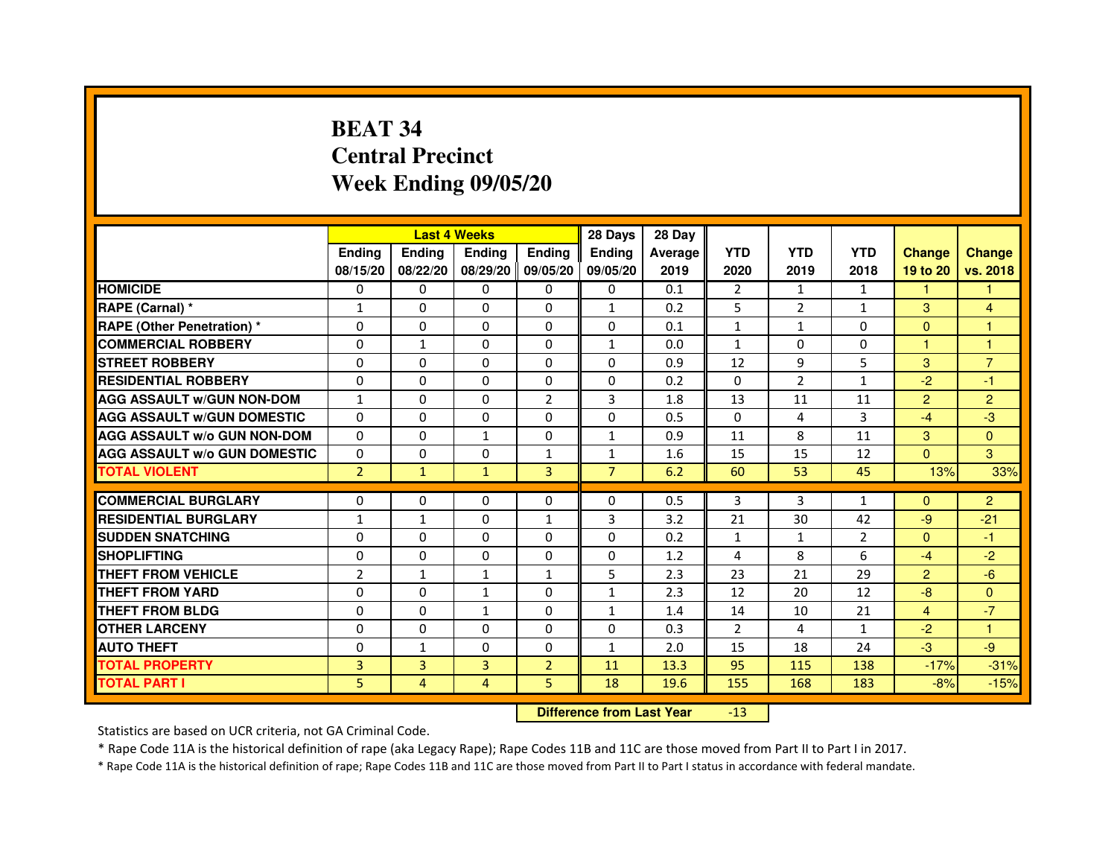# **BEAT 34 Central PrecinctWeek Ending 09/05/20**

|                                     |                | <b>Last 4 Weeks</b> |               |                   | 28 Days        | 28 Day  |                |                |                |                |                |
|-------------------------------------|----------------|---------------------|---------------|-------------------|----------------|---------|----------------|----------------|----------------|----------------|----------------|
|                                     | <b>Endina</b>  | Ending              | <b>Endina</b> | <b>Endina</b>     | <b>Endina</b>  | Average | <b>YTD</b>     | <b>YTD</b>     | <b>YTD</b>     | <b>Change</b>  | <b>Change</b>  |
|                                     | 08/15/20       | 08/22/20            |               | 08/29/20 09/05/20 | 09/05/20       | 2019    | 2020           | 2019           | 2018           | 19 to 20       | vs. 2018       |
| <b>HOMICIDE</b>                     | 0              | 0                   | 0             | 0                 | 0              | 0.1     | 2              | $\mathbf{1}$   | $\mathbf{1}$   | $\mathbf{1}$   | 1              |
| RAPE (Carnal) *                     | $\mathbf{1}$   | $\Omega$            | $\Omega$      | $\Omega$          | $\mathbf{1}$   | 0.2     | 5              | $\overline{2}$ | $\mathbf{1}$   | 3              | $\overline{4}$ |
| <b>RAPE (Other Penetration)*</b>    | $\Omega$       | $\Omega$            | $\Omega$      | $\Omega$          | $\Omega$       | 0.1     | $\mathbf{1}$   | $\mathbf{1}$   | $\Omega$       | $\Omega$       | $\mathbf{1}$   |
| <b>COMMERCIAL ROBBERY</b>           | 0              | 1                   | 0             | 0                 | $\mathbf{1}$   | 0.0     | $\mathbf{1}$   | 0              | 0              | 1              | 1              |
| <b>STREET ROBBERY</b>               | 0              | $\Omega$            | 0             | $\Omega$          | 0              | 0.9     | 12             | 9              | 5              | 3              | $\overline{7}$ |
| <b>RESIDENTIAL ROBBERY</b>          | 0              | $\Omega$            | 0             | $\Omega$          | $\Omega$       | 0.2     | $\Omega$       | $\overline{2}$ | $\mathbf{1}$   | $-2$           | $-1$           |
| <b>AGG ASSAULT w/GUN NON-DOM</b>    | $\mathbf{1}$   | $\Omega$            | $\Omega$      | $\overline{2}$    | 3              | 1.8     | 13             | 11             | 11             | $\overline{2}$ | $\overline{2}$ |
| <b>AGG ASSAULT W/GUN DOMESTIC</b>   | $\Omega$       | $\Omega$            | $\Omega$      | $\Omega$          | $\Omega$       | 0.5     | $\Omega$       | 4              | 3              | $-4$           | $-3$           |
| <b>AGG ASSAULT W/o GUN NON-DOM</b>  | 0              | 0                   | 1             | 0                 | $\mathbf{1}$   | 0.9     | 11             | 8              | 11             | 3              | $\Omega$       |
| <b>AGG ASSAULT W/o GUN DOMESTIC</b> | 0              | 0                   | 0             | 1                 | 1              | 1.6     | 15             | 15             | 12             | $\Omega$       | 3              |
| <b>TOTAL VIOLENT</b>                | $\overline{2}$ | $\mathbf{1}$        | $\mathbf{1}$  | $\overline{3}$    | $\overline{7}$ | 6.2     | 60             | 53             | 45             | 13%            | 33%            |
|                                     |                |                     |               |                   |                |         |                |                |                |                |                |
| <b>COMMERCIAL BURGLARY</b>          | 0              | 0                   | 0             | 0                 | $\Omega$       | 0.5     | 3              | 3              | 1              | $\Omega$       | $\overline{2}$ |
| <b>RESIDENTIAL BURGLARY</b>         | $\mathbf{1}$   | $\mathbf{1}$        | 0             | $\mathbf{1}$      | 3              | 3.2     | 21             | 30             | 42             | -9             | $-21$          |
| <b>SUDDEN SNATCHING</b>             | 0              | $\Omega$            | $\Omega$      | $\Omega$          | $\Omega$       | 0.2     | $\mathbf{1}$   | $\mathbf{1}$   | $\overline{2}$ | $\Omega$       | $-1$           |
| <b>SHOPLIFTING</b>                  | $\Omega$       | $\Omega$            | $\Omega$      | $\mathbf{0}$      | $\Omega$       | 1.2     | 4              | 8              | 6              | $-4$           | $-2$           |
| <b>THEFT FROM VEHICLE</b>           | $\overline{2}$ | $\mathbf{1}$        | $\mathbf{1}$  | $\mathbf{1}$      | 5              | 2.3     | 23             | 21             | 29             | $\overline{2}$ | $-6$           |
| <b>THEFT FROM YARD</b>              | $\Omega$       | 0                   | 1             | $\Omega$          | $\mathbf{1}$   | 2.3     | 12             | 20             | 12             | $-8$           | $\Omega$       |
| <b>THEFT FROM BLDG</b>              | 0              | $\Omega$            | 1             | $\mathbf{0}$      | 1              | 1.4     | 14             | 10             | 21             | $\overline{4}$ | $-7$           |
| <b>OTHER LARCENY</b>                | 0              | 0                   | $\Omega$      | $\Omega$          | $\Omega$       | 0.3     | $\mathfrak{p}$ | 4              | 1              | $-2$           | 1              |
| <b>AUTO THEFT</b>                   | $\mathbf 0$    | $\mathbf{1}$        | $\mathbf 0$   | $\Omega$          | $\mathbf{1}$   | 2.0     | 15             | 18             | 24             | $-3$           | $-9$           |
| <b>TOTAL PROPERTY</b>               | 3              | 3                   | 3             | $\overline{2}$    | 11             | 13.3    | 95             | 115            | 138            | $-17%$         | $-31%$         |
| <b>TOTAL PART I</b>                 | 5              | 4                   | 4             | 5                 | 18             | 19.6    | 155            | 168            | 183            | $-8%$          | $-15%$         |

 **Difference from Last Year**-13

Statistics are based on UCR criteria, not GA Criminal Code.

\* Rape Code 11A is the historical definition of rape (aka Legacy Rape); Rape Codes 11B and 11C are those moved from Part II to Part I in 2017.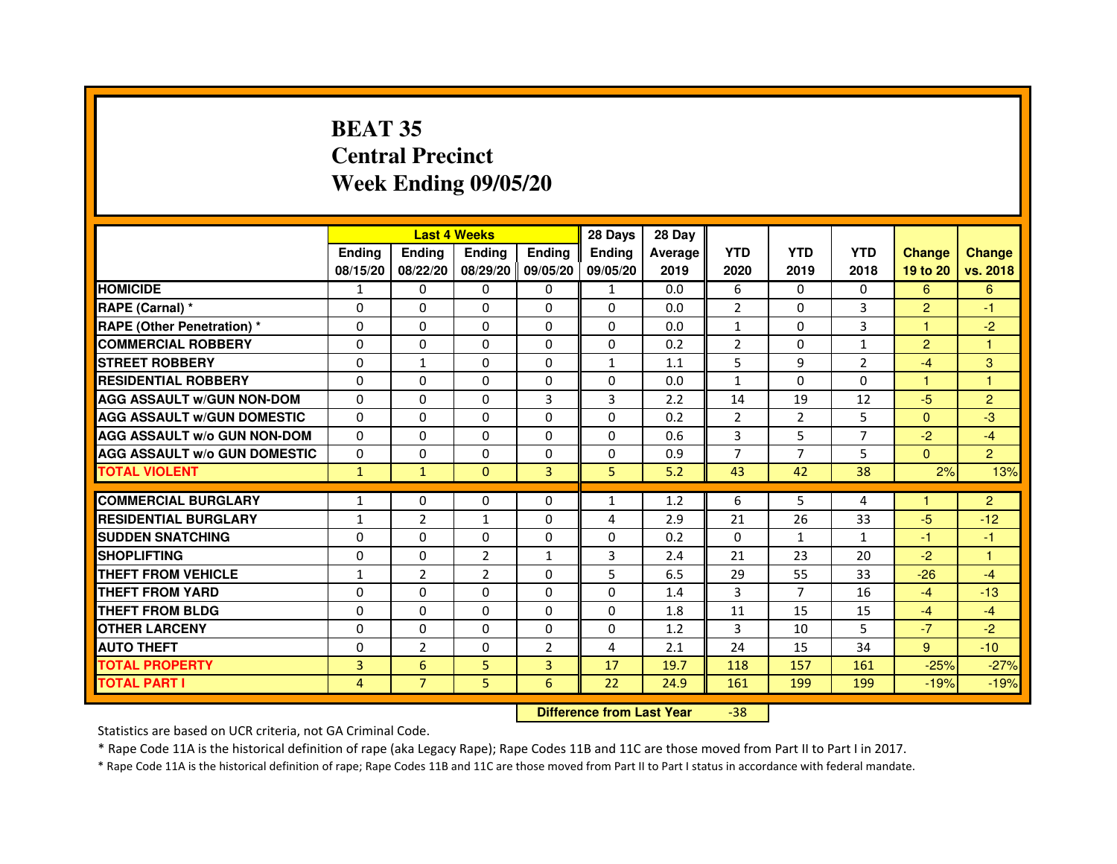# **BEAT 35 Central PrecinctWeek Ending 09/05/20**

|                                     |               | <b>Last 4 Weeks</b> |                   |                | 28 Days       | 28 Day  |                |                |                |                |                |
|-------------------------------------|---------------|---------------------|-------------------|----------------|---------------|---------|----------------|----------------|----------------|----------------|----------------|
|                                     | <b>Endina</b> | <b>Ending</b>       | <b>Ending</b>     | <b>Endina</b>  | <b>Endina</b> | Average | <b>YTD</b>     | <b>YTD</b>     | <b>YTD</b>     | <b>Change</b>  | <b>Change</b>  |
|                                     | 08/15/20      | 08/22/20            | 08/29/20 09/05/20 |                | 09/05/20      | 2019    | 2020           | 2019           | 2018           | 19 to 20       | vs. 2018       |
| <b>HOMICIDE</b>                     | 1             | 0                   | 0                 | 0              | $\mathbf{1}$  | 0.0     | 6              | 0              | $\Omega$       | 6              | 6              |
| RAPE (Carnal) *                     | $\Omega$      | $\Omega$            | $\Omega$          | $\Omega$       | $\Omega$      | 0.0     | $\overline{2}$ | $\Omega$       | 3              | $\overline{2}$ | $-1$           |
| <b>RAPE (Other Penetration) *</b>   | $\Omega$      | $\Omega$            | $\Omega$          | $\Omega$       | $\Omega$      | 0.0     | $\mathbf{1}$   | $\Omega$       | 3              | 1              | $-2$           |
| <b>COMMERCIAL ROBBERY</b>           | 0             | 0                   | $\Omega$          | 0              | $\Omega$      | 0.2     | 2              | $\Omega$       | $\mathbf{1}$   | 2              | $\overline{1}$ |
| <b>STREET ROBBERY</b>               | $\Omega$      | 1                   | $\Omega$          | 0              | $\mathbf{1}$  | 1.1     | 5              | 9              | $\overline{2}$ | $-4$           | 3              |
| <b>RESIDENTIAL ROBBERY</b>          | $\Omega$      | $\Omega$            | $\Omega$          | 0              | 0             | 0.0     | $\mathbf{1}$   | $\Omega$       | $\Omega$       | 1              | 1              |
| <b>AGG ASSAULT w/GUN NON-DOM</b>    | $\Omega$      | 0                   | $\mathbf 0$       | 3              | 3             | 2.2     | 14             | 19             | 12             | $-5$           | $\overline{2}$ |
| <b>AGG ASSAULT W/GUN DOMESTIC</b>   | $\Omega$      | 0                   | 0                 | $\Omega$       | 0             | 0.2     | $\overline{2}$ | $\overline{2}$ | 5              | $\Omega$       | -3             |
| <b>AGG ASSAULT W/o GUN NON-DOM</b>  | $\Omega$      | $\Omega$            | $\Omega$          | $\Omega$       | $\Omega$      | 0.6     | 3              | 5              | 7              | $-2$           | $-4$           |
| <b>AGG ASSAULT W/o GUN DOMESTIC</b> | $\Omega$      | $\Omega$            | $\Omega$          | 0              | 0             | 0.9     | $\overline{7}$ | $\overline{7}$ | 5              | $\Omega$       | $\overline{2}$ |
| <b>TOTAL VIOLENT</b>                | $\mathbf{1}$  | $\mathbf{1}$        | $\Omega$          | $\overline{3}$ | 5             | 5.2     | 43             | 42             | 38             | 2%             | 13%            |
|                                     |               |                     |                   |                |               |         |                |                |                |                |                |
| <b>COMMERCIAL BURGLARY</b>          | $\mathbf{1}$  | $\Omega$            | $\Omega$          | $\Omega$       | 1             | 1.2     | 6              | 5              | 4              | 1              | $\overline{2}$ |
| <b>RESIDENTIAL BURGLARY</b>         | $\mathbf{1}$  | $\overline{2}$      | 1                 | 0              | 4             | 2.9     | 21             | 26             | 33             | $-5$           | $-12$          |
| <b>SUDDEN SNATCHING</b>             | 0             | $\Omega$            | 0                 | 0              | $\Omega$      | 0.2     | $\Omega$       | $\mathbf{1}$   | 1              | $-1$           | $-1$           |
| <b>SHOPLIFTING</b>                  | 0             | $\mathbf 0$         | $\overline{2}$    | $\mathbf{1}$   | 3             | 2.4     | 21             | 23             | 20             | $-2$           | 1              |
| <b>THEFT FROM VEHICLE</b>           | 1             | $\overline{2}$      | $\overline{2}$    | $\Omega$       | 5             | 6.5     | 29             | 55             | 33             | $-26$          | $-4$           |
| <b>THEFT FROM YARD</b>              | 0             | 0                   | $\Omega$          | $\Omega$       | $\Omega$      | 1.4     | 3              | $\overline{7}$ | 16             | $-4$           | $-13$          |
| <b>THEFT FROM BLDG</b>              | $\Omega$      | $\Omega$            | 0                 | $\Omega$       | 0             | 1.8     | 11             | 15             | 15             | $-4$           | $-4$           |
| <b>OTHER LARCENY</b>                | $\Omega$      | $\Omega$            | $\Omega$          | 0              | 0             | 1.2     | 3              | 10             | 5              | $-7$           | $-2$           |
| <b>AUTO THEFT</b>                   | $\mathbf 0$   | $\overline{2}$      | 0                 | $\overline{2}$ | 4             | 2.1     | 24             | 15             | 34             | 9              | $-10$          |
| <b>TOTAL PROPERTY</b>               | 3             | 6                   | 5                 | 3              | 17            | 19.7    | 118            | 157            | 161            | $-25%$         | $-27%$         |
| <b>TOTAL PART I</b>                 | 4             | $\overline{7}$      | 5                 | 6              | 22            | 24.9    | 161            | 199            | 199            | $-19%$         | $-19%$         |

 **Difference from Last Year**-38

Statistics are based on UCR criteria, not GA Criminal Code.

\* Rape Code 11A is the historical definition of rape (aka Legacy Rape); Rape Codes 11B and 11C are those moved from Part II to Part I in 2017.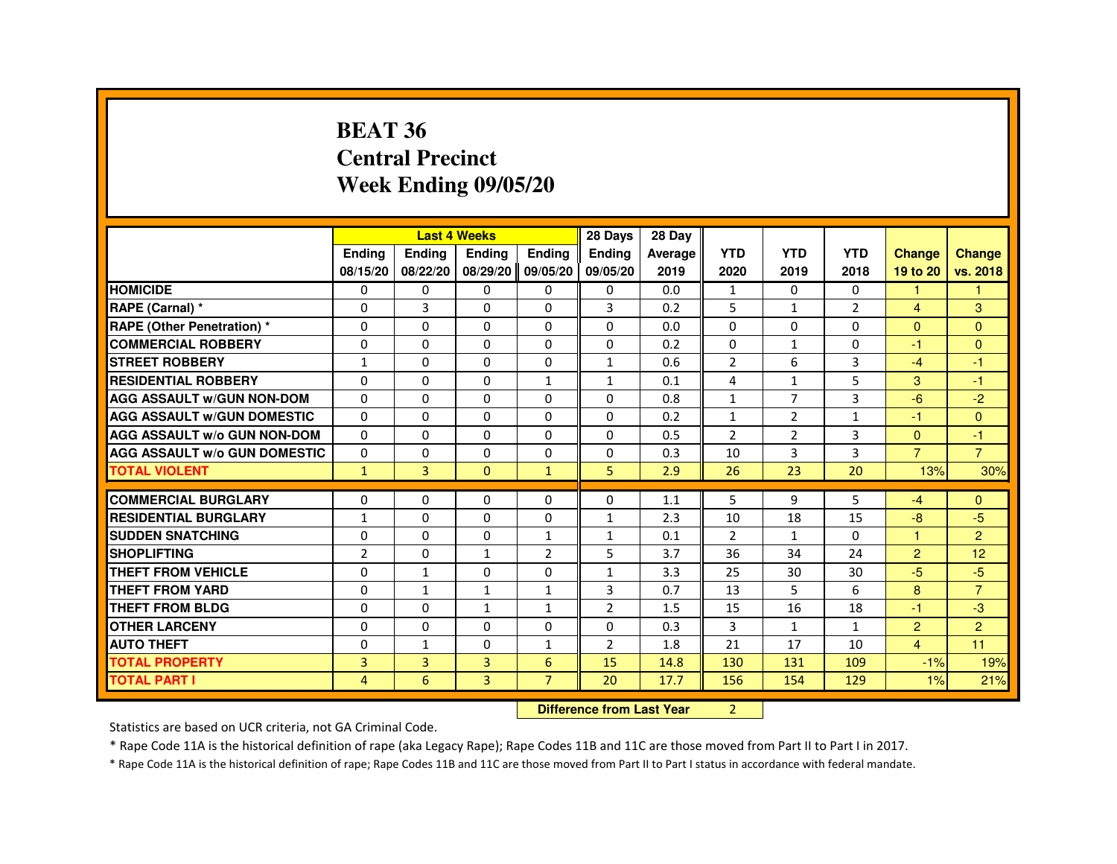#### **BEAT 36 Central PrecinctWeek Ending 09/05/20**

|                                     |                |               | <b>Last 4 Weeks</b> |                | 28 Days        | 28 Day  |                |              |                |                      |                |
|-------------------------------------|----------------|---------------|---------------------|----------------|----------------|---------|----------------|--------------|----------------|----------------------|----------------|
|                                     | <b>Endina</b>  | <b>Endina</b> | <b>Endina</b>       | <b>Endina</b>  | <b>Endina</b>  | Average | <b>YTD</b>     | <b>YTD</b>   | <b>YTD</b>     | <b>Change</b>        | <b>Change</b>  |
|                                     | 08/15/20       | 08/22/20      | 08/29/20 09/05/20   |                | 09/05/20       | 2019    | 2020           | 2019         | 2018           | 19 to 20             | vs. 2018       |
| <b>HOMICIDE</b>                     | 0              | $\Omega$      | $\mathbf{0}$        | $\mathbf{0}$   | $\mathbf{0}$   | 0.0     | $\mathbf{1}$   | 0            | 0              | 1                    | $\mathbf{1}$   |
| RAPE (Carnal) *                     | $\Omega$       | 3             | $\Omega$            | $\Omega$       | 3              | 0.2     | 5              | $\mathbf{1}$ | $\overline{2}$ | $\overline{4}$       | 3              |
| <b>RAPE (Other Penetration) *</b>   | 0              | 0             | 0                   | 0              | 0              | 0.0     | 0              | 0            | 0              | $\mathbf{0}$         | $\mathbf{0}$   |
| <b>COMMERCIAL ROBBERY</b>           | 0              | 0             | 0                   | $\Omega$       | 0              | 0.2     | 0              | $\mathbf{1}$ | 0              | $-1$                 | $\Omega$       |
| <b>STREET ROBBERY</b>               | $\mathbf{1}$   | 0             | 0                   | $\mathbf 0$    | $\mathbf{1}$   | 0.6     | $\overline{2}$ | 6            | 3              | $-4$                 | $-1$           |
| <b>RESIDENTIAL ROBBERY</b>          | $\Omega$       | $\mathbf{0}$  | $\Omega$            | $\mathbf{1}$   | $\mathbf{1}$   | 0.1     | $\overline{4}$ | $\mathbf{1}$ | 5              | 3                    | $-1$           |
| <b>AGG ASSAULT W/GUN NON-DOM</b>    | $\Omega$       | $\Omega$      | $\Omega$            | $\Omega$       | $\Omega$       | 0.8     | $\mathbf{1}$   | 7            | 3              | $-6$                 | $-2$           |
| <b>AGG ASSAULT W/GUN DOMESTIC</b>   | 0              | 0             | 0                   | 0              | 0              | 0.2     | $\mathbf{1}$   | 2            | 1              | -1                   | $\mathbf{0}$   |
| <b>AGG ASSAULT w/o GUN NON-DOM</b>  | 0              | $\mathbf{0}$  | 0                   | $\Omega$       | 0              | 0.5     | $\overline{2}$ | 2            | 3              | $\Omega$             | $-1$           |
| <b>AGG ASSAULT W/o GUN DOMESTIC</b> | $\Omega$       | $\Omega$      | $\Omega$            | $\Omega$       | $\Omega$       | 0.3     | 10             | 3            | 3              | $\overline{7}$       | $\overline{7}$ |
| <b>TOTAL VIOLENT</b>                | $\mathbf{1}$   | 3             | $\mathbf{0}$        | $\mathbf{1}$   | 5              | 2.9     | 26             | 23           | 20             | 13%                  | 30%            |
|                                     |                |               |                     |                |                |         |                |              |                |                      |                |
| <b>COMMERCIAL BURGLARY</b>          | 0              | 0             | 0                   | $\Omega$       | 0              | 1.1     | 5              | 9            | 5              | $-4$                 | $\mathbf{0}$   |
| <b>RESIDENTIAL BURGLARY</b>         | $\mathbf{1}$   | 0             | 0                   | $\Omega$       | $\mathbf{1}$   | 2.3     | 10             | 18           | 15             | -8                   | -5             |
| <b>SUDDEN SNATCHING</b>             | $\Omega$       | $\Omega$      | $\Omega$            | $\mathbf{1}$   | $\mathbf{1}$   | 0.1     | $\overline{2}$ | $\mathbf{1}$ | $\Omega$       | $\blacktriangleleft$ | $\overline{2}$ |
| <b>SHOPLIFTING</b>                  | $\overline{2}$ | $\Omega$      | $\mathbf{1}$        | $\overline{2}$ | 5              | 3.7     | 36             | 34           | 24             | $\overline{2}$       | 12             |
| <b>THEFT FROM VEHICLE</b>           | 0              | $\mathbf{1}$  | 0                   | $\Omega$       | $\mathbf{1}$   | 3.3     | 25             | 30           | 30             | $-5$                 | $-5$           |
| THEFT FROM YARD                     | $\Omega$       | $\mathbf{1}$  | $\mathbf{1}$        | $\mathbf{1}$   | 3              | 0.7     | 13             | 5            | 6              | 8                    | $\overline{7}$ |
| THEFT FROM BLDG                     | $\Omega$       | $\Omega$      | $\mathbf{1}$        | $\mathbf{1}$   | $\overline{2}$ | 1.5     | 15             | 16           | 18             | $-1$                 | $-3$           |
| <b>OTHER LARCENY</b>                | 0              | $\Omega$      | $\Omega$            | $\mathbf 0$    | $\mathbf 0$    | 0.3     | $\overline{3}$ | $\mathbf{1}$ | $\mathbf{1}$   | $\overline{c}$       | $\overline{c}$ |
| <b>AUTO THEFT</b>                   | $\Omega$       | $\mathbf{1}$  | 0                   | $\mathbf{1}$   | $\overline{2}$ | 1.8     | 21             | 17           | 10             | $\overline{4}$       | 11             |
| <b>TOTAL PROPERTY</b>               | 3              | 3             | 3                   | 6              | 15             | 14.8    | 130            | 131          | 109            | $-1%$                | 19%            |
| <b>TOTAL PART I</b>                 | 4              | 6             | $\overline{3}$      | $\overline{7}$ | 20             | 17.7    | 156            | 154          | 129            | 1%                   | 21%            |

**Difference from Last Year** 2

Statistics are based on UCR criteria, not GA Criminal Code.

\* Rape Code 11A is the historical definition of rape (aka Legacy Rape); Rape Codes 11B and 11C are those moved from Part II to Part I in 2017.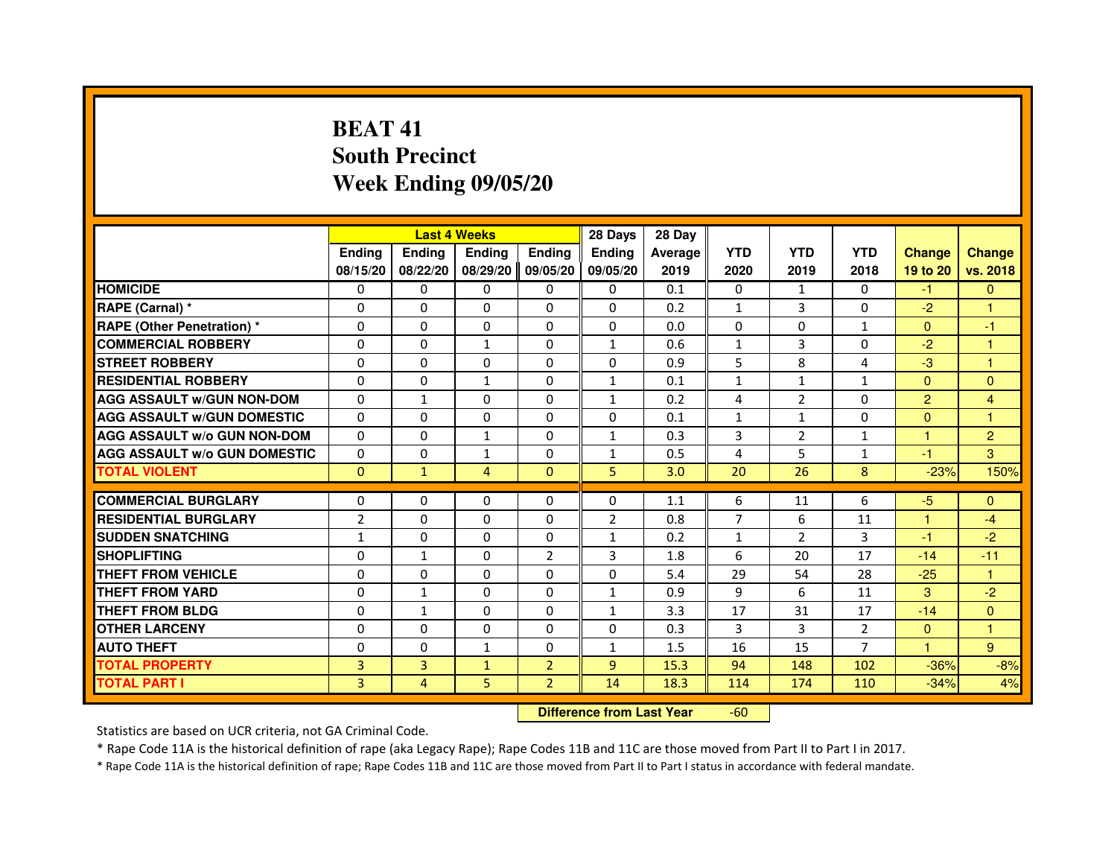# **BEAT 41 South PrecinctWeek Ending 09/05/20**

|                                     |                |                | <b>Last 4 Weeks</b>              |                | 28 Days        | 28 Day  |                |                |                |                |                |
|-------------------------------------|----------------|----------------|----------------------------------|----------------|----------------|---------|----------------|----------------|----------------|----------------|----------------|
|                                     | <b>Ending</b>  | Ending         | Ending                           | Ending         | Ending         | Average | <b>YTD</b>     | <b>YTD</b>     | <b>YTD</b>     | <b>Change</b>  | <b>Change</b>  |
|                                     | 08/15/20       | 08/22/20       | 08/29/20                         | 09/05/20       | 09/05/20       | 2019    | 2020           | 2019           | 2018           | 19 to 20       | vs. 2018       |
| <b>HOMICIDE</b>                     | 0              | 0              | 0                                | 0              | $\mathbf{0}$   | 0.1     | 0              | $\mathbf{1}$   | $\Omega$       | $-1$           | $\mathbf{0}$   |
| RAPE (Carnal) *                     | 0              | 0              | 0                                | 0              | 0              | 0.2     | 1              | 3              | 0              | $-2$           | 1              |
| RAPE (Other Penetration) *          | 0              | $\Omega$       | $\Omega$                         | $\Omega$       | $\Omega$       | 0.0     | $\Omega$       | $\Omega$       | $\mathbf{1}$   | $\Omega$       | $-1$           |
| <b>COMMERCIAL ROBBERY</b>           | 0              | $\Omega$       | $\mathbf{1}$                     | $\Omega$       | $\mathbf{1}$   | 0.6     | $\mathbf{1}$   | 3              | $\Omega$       | $-2$           | $\mathbf{1}$   |
| <b>STREET ROBBERY</b>               | $\Omega$       | $\Omega$       | $\Omega$                         | $\Omega$       | $\Omega$       | 0.9     | 5              | 8              | $\overline{a}$ | $-3$           | $\mathbf{1}$   |
| <b>RESIDENTIAL ROBBERY</b>          | 0              | 0              | 1                                | 0              | 1              | 0.1     | $\mathbf{1}$   | $\mathbf{1}$   | $\mathbf{1}$   | $\mathbf{0}$   | $\mathbf{0}$   |
| <b>AGG ASSAULT w/GUN NON-DOM</b>    | $\Omega$       | $\mathbf{1}$   | 0                                | $\Omega$       | $\mathbf{1}$   | 0.2     | 4              | $\overline{2}$ | $\Omega$       | $\overline{2}$ | 4              |
| <b>AGG ASSAULT W/GUN DOMESTIC</b>   | $\Omega$       | $\Omega$       | $\Omega$                         | $\Omega$       | $\Omega$       | 0.1     | $\mathbf{1}$   | $\mathbf{1}$   | $\Omega$       | $\Omega$       | $\mathbf{1}$   |
| <b>AGG ASSAULT W/o GUN NON-DOM</b>  | $\Omega$       | $\Omega$       | $\mathbf{1}$                     | $\Omega$       | $\mathbf{1}$   | 0.3     | 3              | $\overline{2}$ | $\mathbf{1}$   | $\mathbf{1}$   | $\overline{2}$ |
| <b>AGG ASSAULT w/o GUN DOMESTIC</b> | $\Omega$       | $\Omega$       | $\mathbf{1}$                     | $\Omega$       | $\mathbf{1}$   | 0.5     | 4              | 5              | $\mathbf{1}$   | $-1$           | 3              |
| <b>TOTAL VIOLENT</b>                | $\mathbf{0}$   | $\mathbf{1}$   | $\overline{4}$                   | $\mathbf{0}$   | 5              | 3.0     | 20             | 26             | 8              | $-23%$         | 150%           |
| <b>COMMERCIAL BURGLARY</b>          | 0              | 0              | 0                                | 0              | 0              | 1.1     | 6              | 11             | 6              | $-5$           | $\Omega$       |
| <b>RESIDENTIAL BURGLARY</b>         | $\overline{2}$ | $\Omega$       | $\Omega$                         | $\Omega$       | $\overline{2}$ | 0.8     | $\overline{7}$ | 6              | 11             | $\mathbf{1}$   | $-4$           |
| <b>SUDDEN SNATCHING</b>             | $\mathbf{1}$   | $\Omega$       | $\Omega$                         | $\Omega$       | $\mathbf{1}$   | 0.2     | $\mathbf{1}$   | $\overline{2}$ | 3              | $-1$           | $-2$           |
| <b>SHOPLIFTING</b>                  | 0              | $\mathbf{1}$   | 0                                | $\overline{2}$ | 3              | 1.8     | 6              | 20             | 17             | $-14$          | $-11$          |
| THEFT FROM VEHICLE                  | 0              | 0              | 0                                | $\Omega$       | 0              | 5.4     | 29             | 54             | 28             | $-25$          | 1              |
| <b>THEFT FROM YARD</b>              | $\Omega$       | $\mathbf{1}$   | $\Omega$                         | $\Omega$       | $\mathbf{1}$   | 0.9     | 9              | 6              | 11             | 3              | $-2$           |
| <b>THEFT FROM BLDG</b>              | $\Omega$       | $\mathbf{1}$   | $\Omega$                         | $\Omega$       | $\mathbf{1}$   | 3.3     | 17             | 31             | 17             | $-14$          | $\Omega$       |
| <b>OTHER LARCENY</b>                | 0              | $\Omega$       | 0                                | $\Omega$       | $\mathbf{0}$   | 0.3     | 3              | 3              | 2              | $\mathbf{0}$   | 1              |
| <b>AUTO THEFT</b>                   | $\Omega$       | $\Omega$       | $\mathbf{1}$                     | $\Omega$       | $\mathbf{1}$   | 1.5     | 16             | 15             | $\overline{7}$ | $\mathbf{1}$   | 9              |
| <b>TOTAL PROPERTY</b>               | $\overline{3}$ | 3              | $\mathbf{1}$                     | $\overline{2}$ | $\overline{9}$ | 15.3    | 94             | 148            | 102            | $-36%$         | $-8%$          |
| <b>TOTAL PART I</b>                 | 3              | $\overline{4}$ | 5                                | $\overline{2}$ | 14             | 18.3    | 114            | 174            | 110            | $-34%$         | 4%             |
|                                     |                |                | <b>Difference from Last Year</b> |                | $-60$          |         |                |                |                |                |                |

Statistics are based on UCR criteria, not GA Criminal Code.

\* Rape Code 11A is the historical definition of rape (aka Legacy Rape); Rape Codes 11B and 11C are those moved from Part II to Part I in 2017.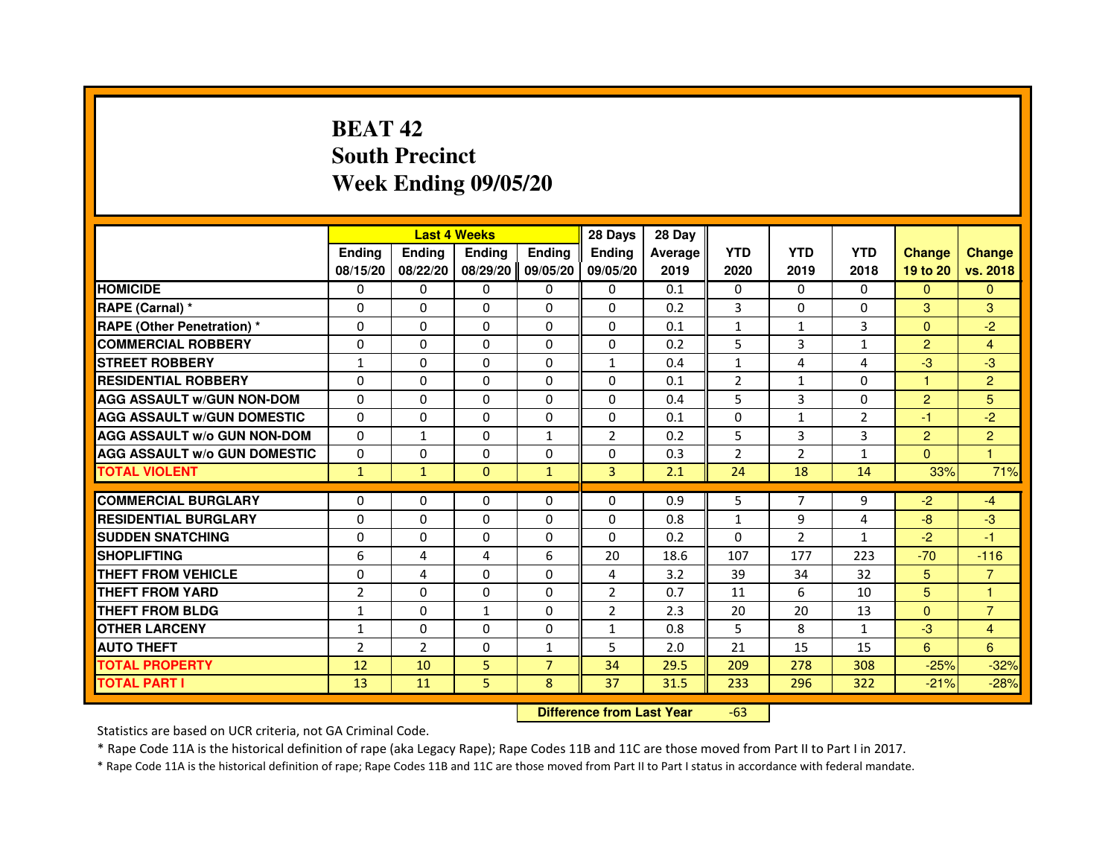# **BEAT 42 South PrecinctWeek Ending 09/05/20**

|                                     |                | <b>Last 4 Weeks</b> |               |                | 28 Days                          | 28 Day  |                |                |                |                |                |
|-------------------------------------|----------------|---------------------|---------------|----------------|----------------------------------|---------|----------------|----------------|----------------|----------------|----------------|
|                                     | <b>Ending</b>  | <b>Ending</b>       | <b>Ending</b> | <b>Ending</b>  | <b>Ending</b>                    | Average | <b>YTD</b>     | <b>YTD</b>     | <b>YTD</b>     | <b>Change</b>  | <b>Change</b>  |
|                                     | 08/15/20       | 08/22/20            | 08/29/20      | 09/05/20       | 09/05/20                         | 2019    | 2020           | 2019           | 2018           | 19 to 20       | vs. 2018       |
| <b>HOMICIDE</b>                     | 0              | 0                   | $\mathbf{0}$  | 0              | 0                                | 0.1     | $\mathbf{0}$   | $\Omega$       | $\Omega$       | $\Omega$       | $\mathbf{0}$   |
| RAPE (Carnal) *                     | 0              | 0                   | 0             | 0              | 0                                | 0.2     | 3              | 0              | 0              | 3              | 3              |
| RAPE (Other Penetration) *          | $\Omega$       | $\Omega$            | 0             | $\Omega$       | $\Omega$                         | 0.1     | 1              | 1              | 3              | $\Omega$       | $-2$           |
| <b>COMMERCIAL ROBBERY</b>           | 0              | $\Omega$            | $\Omega$      | $\Omega$       | 0                                | 0.2     | 5              | 3              | $\mathbf{1}$   | $\overline{2}$ | 4              |
| <b>STREET ROBBERY</b>               | $\mathbf{1}$   | $\Omega$            | $\Omega$      | $\Omega$       | $\mathbf{1}$                     | 0.4     | $\mathbf{1}$   | 4              | 4              | $-3$           | $-3$           |
| <b>RESIDENTIAL ROBBERY</b>          | 0              | 0                   | 0             | 0              | $\Omega$                         | 0.1     | $\overline{2}$ | 1              | $\Omega$       | $\mathbf{1}$   | $\overline{2}$ |
| <b>AGG ASSAULT W/GUN NON-DOM</b>    | $\Omega$       | $\Omega$            | 0             | $\Omega$       | $\Omega$                         | 0.4     | 5              | 3              | 0              | $\overline{2}$ | 5              |
| <b>AGG ASSAULT W/GUN DOMESTIC</b>   | $\Omega$       | $\Omega$            | 0             | $\Omega$       | $\Omega$                         | 0.1     | $\Omega$       | $\mathbf{1}$   | $\overline{2}$ | $-1$           | $-2$           |
| <b>AGG ASSAULT W/o GUN NON-DOM</b>  | $\Omega$       | $\mathbf{1}$        | $\Omega$      | $\mathbf{1}$   | $\overline{2}$                   | 0.2     | 5              | 3              | 3              | $\overline{2}$ | $\overline{2}$ |
| <b>AGG ASSAULT W/o GUN DOMESTIC</b> | 0              | 0                   | 0             | $\Omega$       | $\Omega$                         | 0.3     | $\overline{2}$ | $\overline{2}$ | $\mathbf{1}$   | $\Omega$       | $\overline{1}$ |
| <b>TOTAL VIOLENT</b>                | $\mathbf{1}$   | $\mathbf{1}$        | $\mathbf{0}$  | $\mathbf{1}$   | 3                                | 2.1     | 24             | 18             | 14             | 33%            | 71%            |
| <b>COMMERCIAL BURGLARY</b>          | 0              | 0                   | 0             | 0              | 0                                | 0.9     | 5              | 7              | 9              | $-2$           | $-4$           |
| <b>RESIDENTIAL BURGLARY</b>         | 0              | $\Omega$            | 0             | $\Omega$       | 0                                | 0.8     | $\mathbf{1}$   | 9              | 4              | $-8$           | $-3$           |
| <b>SUDDEN SNATCHING</b>             | 0              | $\Omega$            | $\Omega$      | $\Omega$       | $\Omega$                         | 0.2     | $\Omega$       | $\overline{2}$ | $\mathbf{1}$   | $-2$           | $-1$           |
| <b>SHOPLIFTING</b>                  | 6              | 4                   | 4             | 6              | 20                               | 18.6    | 107            | 177            | 223            | $-70$          | $-116$         |
| THEFT FROM VEHICLE                  | 0              | 4                   | 0             | $\Omega$       | 4                                | 3.2     | 39             | 34             | 32             | 5              | $\overline{7}$ |
| <b>THEFT FROM YARD</b>              | $\overline{2}$ | $\Omega$            | $\Omega$      | $\Omega$       | $\overline{2}$                   | 0.7     | 11             | 6              | 10             | 5              | $\mathbf{1}$   |
| <b>THEFT FROM BLDG</b>              | $\mathbf{1}$   | $\Omega$            | $\mathbf{1}$  | $\Omega$       | $\overline{2}$                   | 2.3     | 20             | 20             | 13             | $\Omega$       | $\overline{7}$ |
| <b>OTHER LARCENY</b>                | 1              | $\Omega$            | $\Omega$      | $\Omega$       | $\mathbf{1}$                     | 0.8     | 5              | 8              | $\mathbf{1}$   | $-3$           | 4              |
| <b>AUTO THEFT</b>                   | $\overline{2}$ | $\overline{2}$      | $\Omega$      | $\mathbf{1}$   | 5                                | 2.0     | 21             | 15             | 15             | 6              | 6              |
| <b>TOTAL PROPERTY</b>               | 12             | 10                  | 5             | $\overline{7}$ | 34                               | 29.5    | 209            | 278            | 308            | $-25%$         | $-32%$         |
| <b>TOTAL PART I</b>                 | 13             | 11                  | 5             | 8              | 37                               | 31.5    | 233            | 296            | 322            | $-21%$         | $-28%$         |
|                                     |                |                     |               |                | <b>Difference from Last Year</b> |         | $-63$          |                |                |                |                |

 **Difference from Last Year**

Statistics are based on UCR criteria, not GA Criminal Code.

\* Rape Code 11A is the historical definition of rape (aka Legacy Rape); Rape Codes 11B and 11C are those moved from Part II to Part I in 2017.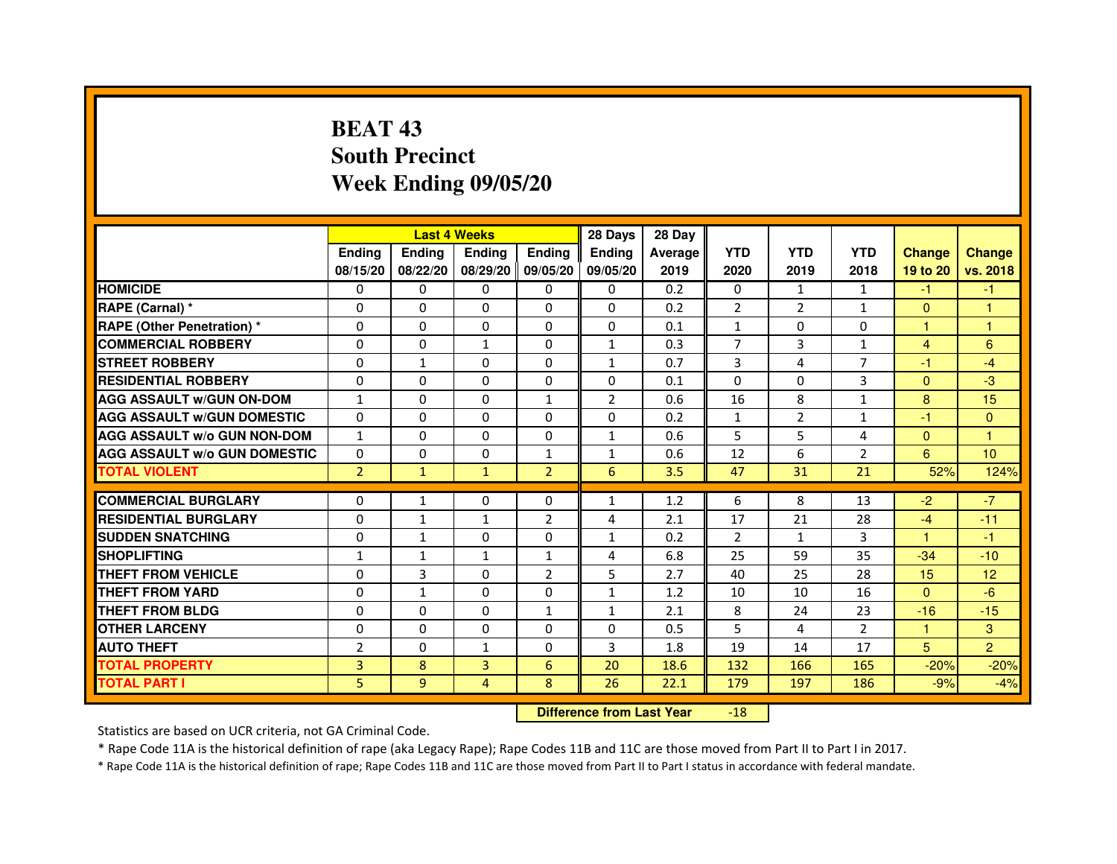# **BEAT 43 South PrecinctWeek Ending 09/05/20**

|                                     |                |               | <b>Last 4 Weeks</b> |                   | 28 Days        | 28 Day  |                |                |                |                |                |
|-------------------------------------|----------------|---------------|---------------------|-------------------|----------------|---------|----------------|----------------|----------------|----------------|----------------|
|                                     | <b>Endina</b>  | <b>Endina</b> | <b>Endina</b>       | <b>Ending</b>     | <b>Endina</b>  | Average | <b>YTD</b>     | <b>YTD</b>     | <b>YTD</b>     | <b>Change</b>  | <b>Change</b>  |
|                                     | 08/15/20       | 08/22/20      |                     | 08/29/20 09/05/20 | 09/05/20       | 2019    | 2020           | 2019           | 2018           | 19 to 20       | vs. 2018       |
| <b>HOMICIDE</b>                     | 0              | 0             | $\mathbf{0}$        | 0                 | 0              | 0.2     | $\mathbf{0}$   | 1              | 1              | $-1$           | $-1$           |
| RAPE (Carnal) *                     | 0              | $\Omega$      | $\Omega$            | $\Omega$          | $\Omega$       | 0.2     | $\overline{2}$ | $\overline{2}$ | $\mathbf{1}$   | $\Omega$       | $\mathbf{1}$   |
| <b>RAPE (Other Penetration) *</b>   | 0              | $\Omega$      | 0                   | $\Omega$          | $\Omega$       | 0.1     | $\mathbf{1}$   | $\Omega$       | $\Omega$       | 1              | $\mathbf{1}$   |
| <b>COMMERCIAL ROBBERY</b>           | 0              | 0             | 1                   | 0                 | $\mathbf{1}$   | 0.3     | 7              | 3              | $\mathbf{1}$   | $\overline{4}$ | 6              |
| <b>STREET ROBBERY</b>               | 0              | 1             | 0                   | 0                 | $\mathbf{1}$   | 0.7     | 3              | $\overline{4}$ | 7              | $-1$           | $-4$           |
| <b>RESIDENTIAL ROBBERY</b>          | 0              | $\Omega$      | $\Omega$            | $\Omega$          | $\Omega$       | 0.1     | $\Omega$       | $\Omega$       | 3              | $\Omega$       | -3             |
| <b>AGG ASSAULT w/GUN ON-DOM</b>     | $\mathbf{1}$   | $\mathbf 0$   | $\Omega$            | $\mathbf{1}$      | $\overline{2}$ | 0.6     | 16             | 8              | $\mathbf{1}$   | 8              | 15             |
| <b>AGG ASSAULT W/GUN DOMESTIC</b>   | 0              | 0             | 0                   | 0                 | 0              | 0.2     | $\mathbf{1}$   | 2              | $\mathbf{1}$   | $-1$           | $\Omega$       |
| <b>AGG ASSAULT W/o GUN NON-DOM</b>  | $\mathbf{1}$   | 0             | 0                   | $\Omega$          | $\mathbf{1}$   | 0.6     | 5              | 5              | 4              | $\Omega$       | 1              |
| <b>AGG ASSAULT W/o GUN DOMESTIC</b> | $\Omega$       | $\Omega$      | 0                   | $\mathbf{1}$      | $\mathbf{1}$   | 0.6     | 12             | 6              | $\overline{2}$ | 6              | 10             |
| <b>TOTAL VIOLENT</b>                | $\overline{2}$ | $\mathbf{1}$  | $\mathbf{1}$        | $\overline{2}$    | 6              | 3.5     | 47             | 31             | 21             | 52%            | 124%           |
|                                     |                |               |                     |                   |                |         |                |                |                |                |                |
| <b>COMMERCIAL BURGLARY</b>          | 0              | 1             | 0                   | 0                 | $\mathbf{1}$   | 1.2     | 6              | 8              | 13             | $-2$           | $-7$           |
| <b>RESIDENTIAL BURGLARY</b>         | 0              | $\mathbf{1}$  | 1                   | 2                 | 4              | 2.1     | 17             | 21             | 28             | $-4$           | $-11$          |
| <b>SUDDEN SNATCHING</b>             | 0              | $\mathbf{1}$  | 0                   | 0                 | $\mathbf{1}$   | 0.2     | $\overline{2}$ | $\mathbf{1}$   | 3              | 1              | $-1$           |
| <b>SHOPLIFTING</b>                  | $\mathbf{1}$   | $\mathbf{1}$  | $\mathbf{1}$        | $\mathbf{1}$      | 4              | 6.8     | 25             | 59             | 35             | $-34$          | $-10$          |
| <b>THEFT FROM VEHICLE</b>           | 0              | 3             | 0                   | $\overline{2}$    | 5              | 2.7     | 40             | 25             | 28             | 15             | 12             |
| <b>THEFT FROM YARD</b>              | $\Omega$       | $\mathbf{1}$  | $\Omega$            | $\Omega$          | $\mathbf{1}$   | 1.2     | 10             | 10             | 16             | $\Omega$       | $-6$           |
| <b>THEFT FROM BLDG</b>              | 0              | 0             | 0                   | 1                 | 1              | 2.1     | 8              | 24             | 23             | $-16$          | $-15$          |
| <b>OTHER LARCENY</b>                | 0              | 0             | $\Omega$            | $\Omega$          | $\Omega$       | 0.5     | 5              | 4              | $\mathcal{P}$  | 1.             | 3              |
| <b>AUTO THEFT</b>                   | $\overline{2}$ | 0             | $\mathbf{1}$        | $\Omega$          | 3              | 1.8     | 19             | 14             | 17             | 5              | $\overline{2}$ |
| <b>TOTAL PROPERTY</b>               | 3              | 8             | 3                   | 6                 | 20             | 18.6    | 132            | 166            | 165            | $-20%$         | $-20%$         |
| <b>TOTAL PART I</b>                 | 5              | 9             | 4                   | 8                 | 26             | 22.1    | 179            | 197            | 186            | $-9%$          | $-4%$          |

 **Difference from Last Year**-18

Statistics are based on UCR criteria, not GA Criminal Code.

\* Rape Code 11A is the historical definition of rape (aka Legacy Rape); Rape Codes 11B and 11C are those moved from Part II to Part I in 2017.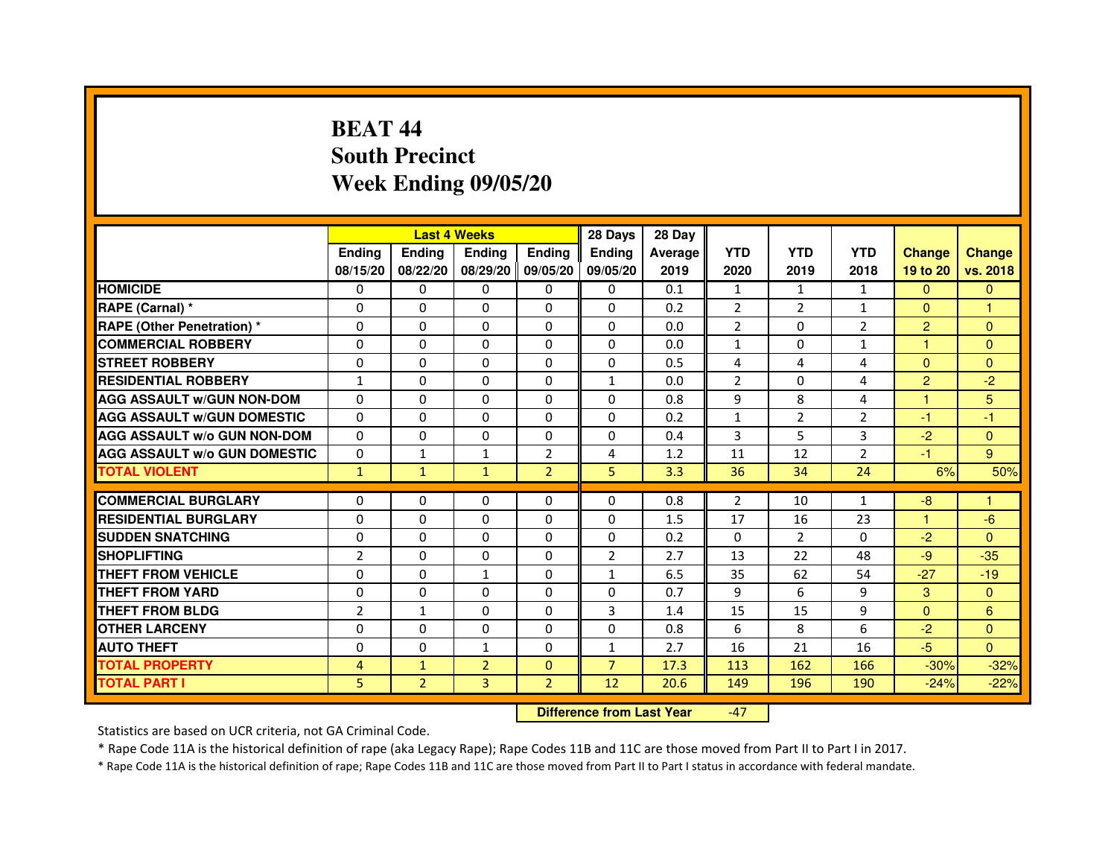# **BEAT 44 South PrecinctWeek Ending 09/05/20**

|                                     |                | <b>Last 4 Weeks</b> |                |                   | 28 Days        | 28 Day  |                |                |                |                |               |
|-------------------------------------|----------------|---------------------|----------------|-------------------|----------------|---------|----------------|----------------|----------------|----------------|---------------|
|                                     | <b>Endina</b>  | <b>Endina</b>       | <b>Endina</b>  | <b>Ending</b>     | <b>Endina</b>  | Average | <b>YTD</b>     | <b>YTD</b>     | <b>YTD</b>     | <b>Change</b>  | <b>Change</b> |
|                                     | 08/15/20       | 08/22/20            |                | 08/29/20 09/05/20 | 09/05/20       | 2019    | 2020           | 2019           | 2018           | 19 to 20       | vs. 2018      |
| <b>HOMICIDE</b>                     | 0              | 0                   | $\mathbf{0}$   | 0                 | 0              | 0.1     | 1              | 1              | 1              | $\mathbf{0}$   | $\mathbf{0}$  |
| RAPE (Carnal) *                     | $\Omega$       | $\Omega$            | $\Omega$       | $\Omega$          | $\Omega$       | 0.2     | $\overline{2}$ | 2              | $\mathbf{1}$   | $\Omega$       | $\mathbf{1}$  |
| <b>RAPE (Other Penetration) *</b>   | 0              | $\Omega$            | 0              | $\Omega$          | $\Omega$       | 0.0     | $\overline{2}$ | $\Omega$       | $\overline{2}$ | $\overline{2}$ | $\Omega$      |
| <b>COMMERCIAL ROBBERY</b>           | 0              | 0                   | 0              | 0                 | $\Omega$       | 0.0     | 1              | 0              | $\mathbf{1}$   | 1              | $\Omega$      |
| <b>STREET ROBBERY</b>               | 0              | 0                   | 0              | 0                 | 0              | 0.5     | 4              | 4              | $\overline{4}$ | $\Omega$       | $\Omega$      |
| <b>RESIDENTIAL ROBBERY</b>          | 1              | $\Omega$            | $\Omega$       | $\Omega$          | $\mathbf{1}$   | 0.0     | $\overline{2}$ | $\Omega$       | 4              | $\overline{2}$ | $-2$          |
| <b>AGG ASSAULT W/GUN NON-DOM</b>    | $\Omega$       | $\Omega$            | $\Omega$       | $\Omega$          | $\Omega$       | 0.8     | 9              | 8              | 4              | 1              | 5             |
| <b>AGG ASSAULT W/GUN DOMESTIC</b>   | 0              | 0                   | 0              | 0                 | $\Omega$       | 0.2     | $\mathbf{1}$   | 2              | $\overline{2}$ | $-1$           | $-1$          |
| <b>AGG ASSAULT W/o GUN NON-DOM</b>  | $\Omega$       | 0                   | $\Omega$       | $\Omega$          | $\Omega$       | 0.4     | 3              | 5              | 3              | $-2$           | $\Omega$      |
| <b>AGG ASSAULT W/o GUN DOMESTIC</b> | $\Omega$       | $\mathbf{1}$        | $\mathbf{1}$   | $\overline{2}$    | 4              | 1.2     | 11             | 12             | $\overline{2}$ | $-1$           | 9             |
| <b>TOTAL VIOLENT</b>                | $\mathbf{1}$   | $\mathbf{1}$        | $\mathbf{1}$   | $\overline{2}$    | 5              | 3.3     | 36             | 34             | 24             | 6%             | 50%           |
|                                     |                |                     |                |                   |                |         |                |                |                |                |               |
| <b>COMMERCIAL BURGLARY</b>          | 0              | 0                   | 0              | 0                 | $\Omega$       | 0.8     | 2              | 10             | $\mathbf{1}$   | -8             | 1             |
| <b>RESIDENTIAL BURGLARY</b>         | 0              | $\Omega$            | 0              | $\Omega$          | $\Omega$       | 1.5     | 17             | 16             | 23             | 1              | -6            |
| <b>SUDDEN SNATCHING</b>             | 0              | 0                   | 0              | 0                 | $\Omega$       | 0.2     | $\Omega$       | $\overline{2}$ | $\Omega$       | $-2$           | $\Omega$      |
| <b>SHOPLIFTING</b>                  | $\overline{2}$ | $\Omega$            | 0              | $\Omega$          | $\overline{2}$ | 2.7     | 13             | 22             | 48             | $-9$           | $-35$         |
| <b>THEFT FROM VEHICLE</b>           | 0              | $\Omega$            | $\mathbf{1}$   | $\Omega$          | $\mathbf{1}$   | 6.5     | 35             | 62             | 54             | $-27$          | $-19$         |
| <b>THEFT FROM YARD</b>              | $\Omega$       | $\Omega$            | $\Omega$       | $\Omega$          | $\Omega$       | 0.7     | 9              | 6              | 9              | 3              | $\Omega$      |
| <b>THEFT FROM BLDG</b>              | $\overline{2}$ | 1                   | 0              | 0                 | 3              | 1.4     | 15             | 15             | 9              | $\Omega$       | 6             |
| <b>OTHER LARCENY</b>                | 0              | 0                   | $\Omega$       | $\Omega$          | $\Omega$       | 0.8     | 6              | 8              | 6              | $-2$           | $\Omega$      |
| <b>AUTO THEFT</b>                   | $\mathbf 0$    | 0                   | $\mathbf{1}$   | $\Omega$          | $\mathbf{1}$   | 2.7     | 16             | 21             | 16             | $-5$           | $\Omega$      |
| <b>TOTAL PROPERTY</b>               | 4              | $\mathbf{1}$        | $\overline{2}$ | $\mathbf{0}$      | $\overline{7}$ | 17.3    | 113            | 162            | 166            | $-30%$         | $-32%$        |
| <b>TOTAL PART I</b>                 | 5              | $\overline{2}$      | 3              | $\overline{2}$    | 12             | 20.6    | 149            | 196            | 190            | $-24%$         | $-22%$        |

 **Difference from Last Year**-47

Statistics are based on UCR criteria, not GA Criminal Code.

\* Rape Code 11A is the historical definition of rape (aka Legacy Rape); Rape Codes 11B and 11C are those moved from Part II to Part I in 2017.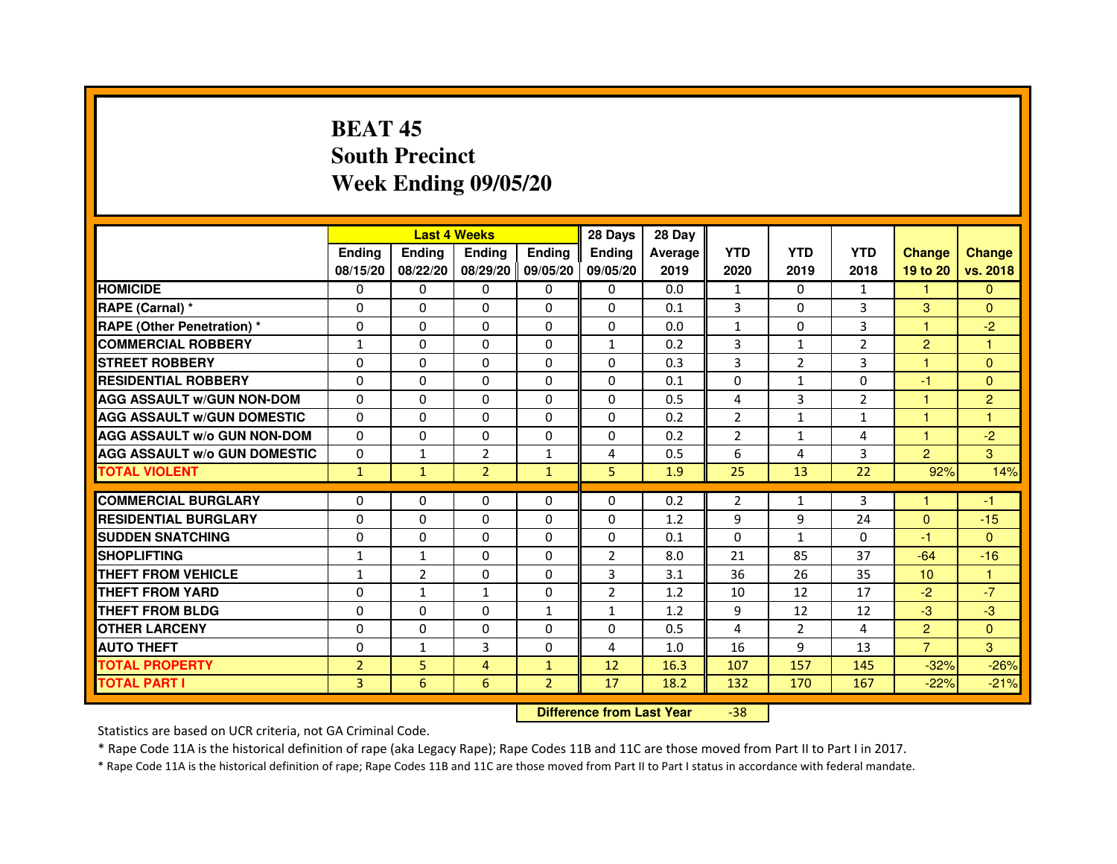# **BEAT 45 South PrecinctWeek Ending 09/05/20**

|                                     |                | <b>Last 4 Weeks</b> |                |                   | 28 Days        | 28 Day  |                |                |                |                  |                |
|-------------------------------------|----------------|---------------------|----------------|-------------------|----------------|---------|----------------|----------------|----------------|------------------|----------------|
|                                     | <b>Endina</b>  | <b>Endina</b>       | <b>Endina</b>  | <b>Ending</b>     | <b>Endina</b>  | Average | <b>YTD</b>     | <b>YTD</b>     | <b>YTD</b>     | <b>Change</b>    | <b>Change</b>  |
|                                     | 08/15/20       | 08/22/20            |                | 08/29/20 09/05/20 | 09/05/20       | 2019    | 2020           | 2019           | 2018           | 19 to 20         | vs. 2018       |
| <b>HOMICIDE</b>                     | 0              | 0                   | $\mathbf{0}$   | 0                 | 0              | 0.0     | 1              | 0              | 1              | 1                | $\mathbf{0}$   |
| RAPE (Carnal) *                     | $\Omega$       | $\Omega$            | $\Omega$       | $\Omega$          | $\Omega$       | 0.1     | 3              | $\Omega$       | 3              | 3                | $\Omega$       |
| <b>RAPE (Other Penetration) *</b>   | 0              | $\Omega$            | 0              | $\Omega$          | $\Omega$       | 0.0     | $\mathbf{1}$   | $\Omega$       | 3              | 1.               | $-2$           |
| <b>COMMERCIAL ROBBERY</b>           | 1              | 0                   | 0              | 0                 | $\mathbf{1}$   | 0.2     | 3              | $\mathbf{1}$   | 2              | $\overline{2}$   | 1              |
| <b>STREET ROBBERY</b>               | 0              | 0                   | 0              | 0                 | 0              | 0.3     | 3              | $\overline{2}$ | 3              | 1                | $\Omega$       |
| <b>RESIDENTIAL ROBBERY</b>          | 0              | $\Omega$            | $\Omega$       | $\Omega$          | $\Omega$       | 0.1     | $\Omega$       | $\mathbf{1}$   | $\Omega$       | $-1$             | $\Omega$       |
| <b>AGG ASSAULT W/GUN NON-DOM</b>    | $\Omega$       | $\mathbf 0$         | $\Omega$       | $\Omega$          | $\Omega$       | 0.5     | 4              | 3              | $\overline{2}$ | $\mathbf{1}$     | $\overline{2}$ |
| <b>AGG ASSAULT W/GUN DOMESTIC</b>   | 0              | 0                   | 0              | 0                 | $\Omega$       | 0.2     | $\overline{2}$ | $\mathbf{1}$   | $\mathbf{1}$   | 1                | 1              |
| <b>AGG ASSAULT W/o GUN NON-DOM</b>  | $\Omega$       | 0                   | 0              | $\Omega$          | $\Omega$       | 0.2     | $\overline{2}$ | $\mathbf{1}$   | 4              | 1                | $-2$           |
| <b>AGG ASSAULT W/o GUN DOMESTIC</b> | $\Omega$       | $\mathbf{1}$        | $\overline{2}$ | $\mathbf{1}$      | 4              | 0.5     | 6              | 4              | 3              | $\overline{2}$   | 3              |
| <b>TOTAL VIOLENT</b>                | $\mathbf{1}$   | $\mathbf{1}$        | $\overline{2}$ | $\mathbf{1}$      | 5              | 1.9     | 25             | 13             | 22             | 92%              | 14%            |
|                                     |                |                     |                |                   |                |         |                |                |                |                  |                |
| <b>COMMERCIAL BURGLARY</b>          | 0              | 0                   | 0              | 0                 | $\Omega$       | 0.2     | 2              | $\mathbf{1}$   | 3              | 1                | -1             |
| <b>RESIDENTIAL BURGLARY</b>         | 0              | $\Omega$            | 0              | $\Omega$          | $\Omega$       | 1.2     | 9              | 9              | 24             | $\Omega$         | $-15$          |
| <b>SUDDEN SNATCHING</b>             | 0              | 0                   | 0              | 0                 | $\Omega$       | 0.1     | $\Omega$       | $\mathbf{1}$   | $\Omega$       | -1               | $\Omega$       |
| <b>SHOPLIFTING</b>                  | $\mathbf{1}$   | $\mathbf{1}$        | 0              | $\Omega$          | $\overline{2}$ | 8.0     | 21             | 85             | 37             | $-64$            | $-16$          |
| <b>THEFT FROM VEHICLE</b>           | $\mathbf{1}$   | $\overline{2}$      | 0              | $\mathbf{0}$      | 3              | 3.1     | 36             | 26             | 35             | 10 <sup>10</sup> | $\mathbf{1}$   |
| <b>THEFT FROM YARD</b>              | $\Omega$       | $\mathbf{1}$        | $\mathbf{1}$   | $\Omega$          | $\overline{2}$ | 1.2     | 10             | 12             | 17             | $-2$             | $-7$           |
| <b>THEFT FROM BLDG</b>              | 0              | 0                   | 0              | 1                 | 1              | 1.2     | 9              | 12             | 12             | $-3$             | -3             |
| <b>OTHER LARCENY</b>                | 0              | 0                   | $\Omega$       | $\Omega$          | $\Omega$       | 0.5     | 4              | 2              | 4              | $\overline{2}$   | $\Omega$       |
| <b>AUTO THEFT</b>                   | $\mathbf 0$    | 1                   | 3              | $\Omega$          | 4              | 1.0     | 16             | 9              | 13             | $\overline{7}$   | 3              |
| <b>TOTAL PROPERTY</b>               | $\overline{2}$ | 5                   | 4              | $\mathbf{1}$      | 12             | 16.3    | 107            | 157            | 145            | $-32%$           | $-26%$         |
| <b>TOTAL PART I</b>                 | 3              | 6                   | 6              | $\overline{2}$    | 17             | 18.2    | 132            | 170            | 167            | $-22%$           | $-21%$         |

 **Difference from Last Year**-38

Statistics are based on UCR criteria, not GA Criminal Code.

\* Rape Code 11A is the historical definition of rape (aka Legacy Rape); Rape Codes 11B and 11C are those moved from Part II to Part I in 2017.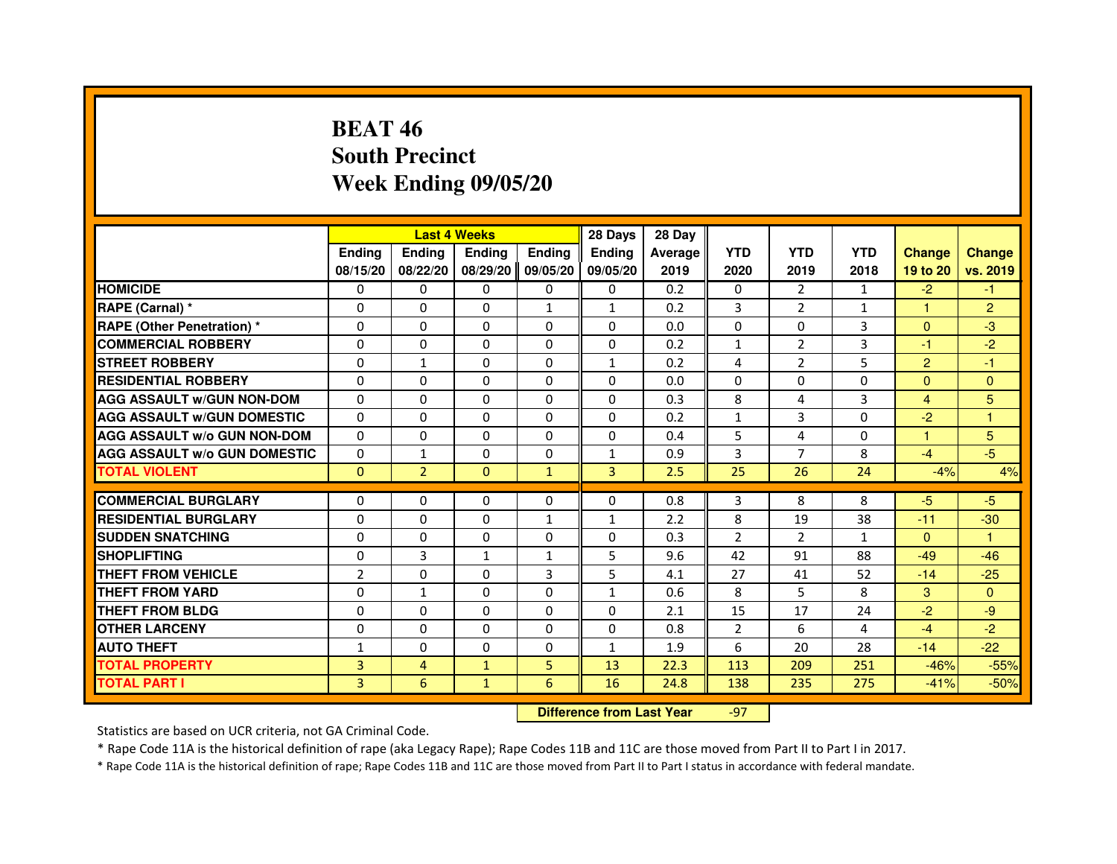# **BEAT 46 South PrecinctWeek Ending 09/05/20**

|                                     |                |                | <b>Last 4 Weeks</b> |               | 28 Days                          | 28 Day  |                |                |              |                |                |
|-------------------------------------|----------------|----------------|---------------------|---------------|----------------------------------|---------|----------------|----------------|--------------|----------------|----------------|
|                                     | <b>Ending</b>  | Ending         | <b>Ending</b>       | <b>Ending</b> | <b>Ending</b>                    | Average | <b>YTD</b>     | <b>YTD</b>     | <b>YTD</b>   | <b>Change</b>  | <b>Change</b>  |
|                                     | 08/15/20       | 08/22/20       | 08/29/20            | 09/05/20      | 09/05/20                         | 2019    | 2020           | 2019           | 2018         | 19 to 20       | vs. 2019       |
| <b>HOMICIDE</b>                     | 0              | 0              | $\Omega$            | 0             | 0                                | 0.2     | 0              | $\overline{2}$ | $\mathbf{1}$ | $-2$           | $-1$           |
| RAPE (Carnal) *                     | 0              | 0              | 0                   | 1             | $\mathbf{1}$                     | 0.2     | 3              | $\overline{2}$ | 1            | 1              | $\overline{2}$ |
| RAPE (Other Penetration) *          | $\Omega$       | 0              | $\Omega$            | $\Omega$      | $\Omega$                         | 0.0     | $\Omega$       | $\Omega$       | 3            | $\Omega$       | $-3$           |
| <b>COMMERCIAL ROBBERY</b>           | $\Omega$       | $\Omega$       | $\Omega$            | $\Omega$      | $\Omega$                         | 0.2     | $\mathbf{1}$   | $\overline{2}$ | 3            | $-1$           | $-2$           |
| <b>STREET ROBBERY</b>               | $\Omega$       | $\mathbf{1}$   | $\Omega$            | $\Omega$      | $\mathbf{1}$                     | 0.2     | 4              | $\overline{2}$ | 5            | $\overline{2}$ | $-1$           |
| <b>RESIDENTIAL ROBBERY</b>          | 0              | 0              | $\Omega$            | 0             | 0                                | 0.0     | 0              | 0              | $\Omega$     | $\Omega$       | $\mathbf{0}$   |
| <b>AGG ASSAULT W/GUN NON-DOM</b>    | $\Omega$       | $\Omega$       | $\Omega$            | $\Omega$      | $\Omega$                         | 0.3     | 8              | 4              | 3            | $\overline{4}$ | 5              |
| <b>AGG ASSAULT W/GUN DOMESTIC</b>   | $\Omega$       | $\Omega$       | $\Omega$            | $\Omega$      | $\Omega$                         | 0.2     | $\mathbf{1}$   | 3              | $\Omega$     | $-2$           | $\mathbf{1}$   |
| <b>AGG ASSAULT W/o GUN NON-DOM</b>  | $\Omega$       | $\Omega$       | $\Omega$            | $\Omega$      | $\Omega$                         | 0.4     | 5              | 4              | $\Omega$     | $\mathbf{1}$   | 5              |
| <b>AGG ASSAULT w/o GUN DOMESTIC</b> | $\Omega$       | $\mathbf{1}$   | 0                   | $\Omega$      | $\mathbf{1}$                     | 0.9     | 3              | $\overline{7}$ | 8            | $-4$           | $-5$           |
| <b>TOTAL VIOLENT</b>                | $\mathbf{0}$   | $\overline{2}$ | $\mathbf{0}$        | $\mathbf{1}$  | 3                                | 2.5     | 25             | 26             | 24           | $-4%$          | 4%             |
| <b>COMMERCIAL BURGLARY</b>          | 0              | 0              | 0                   | 0             | 0                                | 0.8     | 3              | 8              | 8            | $-5$           | $-5$           |
| <b>RESIDENTIAL BURGLARY</b>         | 0              | $\Omega$       | $\Omega$            | 1             | $\mathbf{1}$                     | 2.2     | 8              | 19             | 38           | $-11$          | $-30$          |
| <b>SUDDEN SNATCHING</b>             | $\Omega$       | $\Omega$       | $\Omega$            | $\Omega$      | $\Omega$                         | 0.3     | $\overline{2}$ | $\overline{2}$ | $\mathbf{1}$ | $\Omega$       | $\mathbf{1}$   |
| <b>SHOPLIFTING</b>                  | 0              | 3              | $\mathbf{1}$        | 1             | 5                                | 9.6     | 42             | 91             | 88           | $-49$          | $-46$          |
| THEFT FROM VEHICLE                  | $\overline{2}$ | 0              | 0                   | 3             | 5                                | 4.1     | 27             | 41             | 52           | $-14$          | $-25$          |
| <b>THEFT FROM YARD</b>              | $\Omega$       | $\mathbf{1}$   | $\Omega$            | $\Omega$      | $\mathbf{1}$                     | 0.6     | 8              | 5              | 8            | 3              | $\Omega$       |
| <b>THEFT FROM BLDG</b>              | $\Omega$       | $\Omega$       | $\Omega$            | $\Omega$      | $\Omega$                         | 2.1     | 15             | 17             | 24           | $-2$           | -9             |
| <b>OTHER LARCENY</b>                | 0              | $\Omega$       | 0                   | 0             | 0                                | 0.8     | $\overline{2}$ | 6              | 4            | $-4$           | $-2$           |
| <b>AUTO THEFT</b>                   | $\mathbf{1}$   | $\Omega$       | $\Omega$            | $\Omega$      | $\mathbf{1}$                     | 1.9     | 6              | 20             | 28           | $-14$          | $-22$          |
| <b>TOTAL PROPERTY</b>               | $\overline{3}$ | $\overline{4}$ | $\mathbf{1}$        | 5             | 13                               | 22.3    | 113            | 209            | 251          | $-46%$         | $-55%$         |
| <b>TOTAL PART I</b>                 | 3              | 6              | $\mathbf{1}$        | 6             | 16                               | 24.8    | 138            | 235            | 275          | $-41%$         | $-50%$         |
|                                     |                |                |                     |               | <b>Difference from Last Year</b> |         | $-97$          |                |              |                |                |

 **Difference from Last Year**

Statistics are based on UCR criteria, not GA Criminal Code.

\* Rape Code 11A is the historical definition of rape (aka Legacy Rape); Rape Codes 11B and 11C are those moved from Part II to Part I in 2017.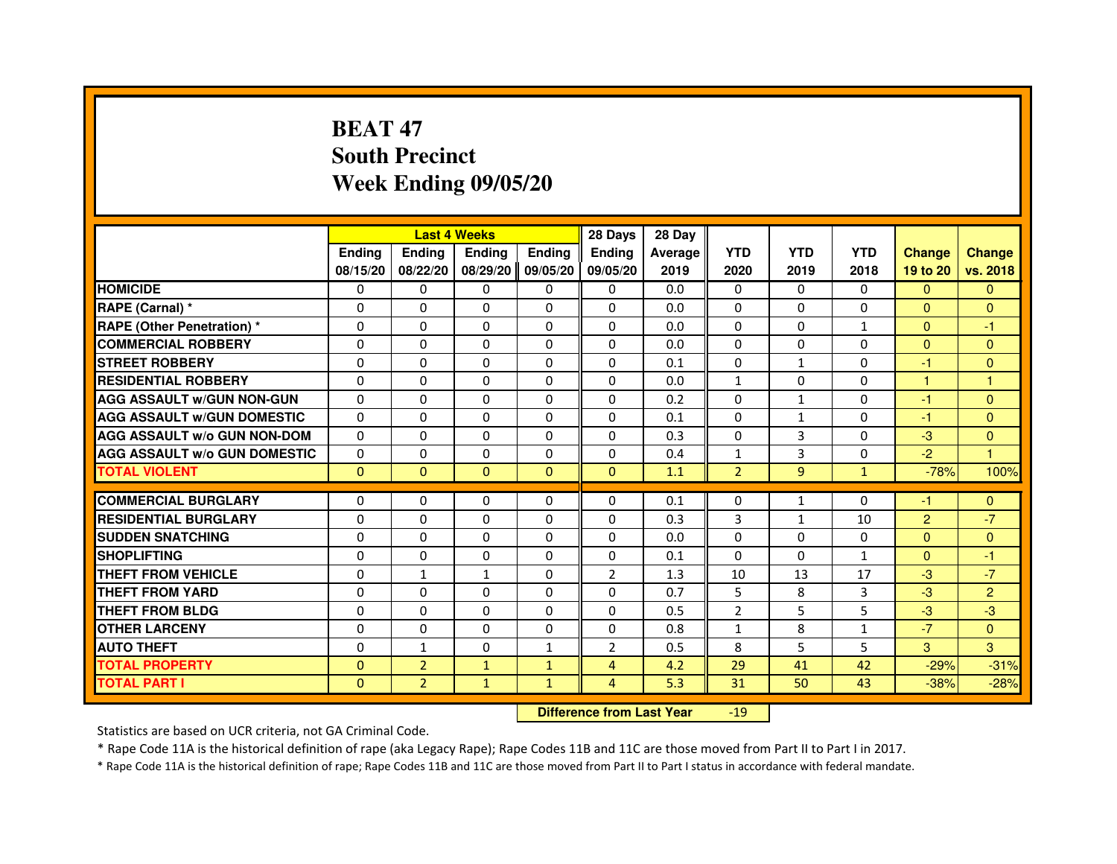# **BEAT 47 South PrecinctWeek Ending 09/05/20**

|                                     |               |                | <b>Last 4 Weeks</b> |               | 28 Days                          | 28 Day  |                |              |              |                |                |
|-------------------------------------|---------------|----------------|---------------------|---------------|----------------------------------|---------|----------------|--------------|--------------|----------------|----------------|
|                                     | <b>Ending</b> | <b>Ending</b>  | <b>Ending</b>       | <b>Ending</b> | <b>Ending</b>                    | Average | <b>YTD</b>     | <b>YTD</b>   | <b>YTD</b>   | <b>Change</b>  | <b>Change</b>  |
|                                     | 08/15/20      | 08/22/20       | 08/29/20            | 09/05/20      | 09/05/20                         | 2019    | 2020           | 2019         | 2018         | 19 to 20       | vs. 2018       |
| <b>HOMICIDE</b>                     | 0             | 0              | $\mathbf{0}$        | 0             | 0                                | 0.0     | $\mathbf{0}$   | $\Omega$     | $\Omega$     | $\Omega$       | $\mathbf{0}$   |
| RAPE (Carnal) *                     | 0             | 0              | 0                   | 0             | 0                                | 0.0     | 0              | 0            | 0            | $\mathbf{0}$   | $\mathbf{0}$   |
| <b>RAPE (Other Penetration) *</b>   | $\Omega$      | $\Omega$       | $\Omega$            | $\Omega$      | $\Omega$                         | 0.0     | $\Omega$       | $\Omega$     | $\mathbf{1}$ | $\Omega$       | -1             |
| <b>COMMERCIAL ROBBERY</b>           | 0             | $\Omega$       | $\Omega$            | $\Omega$      | 0                                | 0.0     | 0              | 0            | $\Omega$     | $\overline{0}$ | $\mathbf{0}$   |
| <b>STREET ROBBERY</b>               | $\Omega$      | $\Omega$       | $\Omega$            | $\Omega$      | $\Omega$                         | 0.1     | $\Omega$       | $\mathbf{1}$ | $\Omega$     | $-1$           | $\mathbf{0}$   |
| <b>RESIDENTIAL ROBBERY</b>          | 0             | 0              | $\Omega$            | 0             | $\Omega$                         | 0.0     | $\mathbf{1}$   | 0            | $\Omega$     | $\mathbf{1}$   | 1              |
| <b>AGG ASSAULT W/GUN NON-GUN</b>    | $\Omega$      | $\Omega$       | 0                   | $\Omega$      | $\Omega$                         | 0.2     | $\Omega$       | $\mathbf{1}$ | 0            | -1             | $\mathbf{0}$   |
| <b>AGG ASSAULT W/GUN DOMESTIC</b>   | $\Omega$      | $\Omega$       | $\Omega$            | $\Omega$      | $\Omega$                         | 0.1     | $\Omega$       | $\mathbf{1}$ | 0            | $-1$           | $\Omega$       |
| <b>AGG ASSAULT W/o GUN NON-DOM</b>  | $\Omega$      | $\Omega$       | $\Omega$            | $\Omega$      | $\Omega$                         | 0.3     | $\Omega$       | 3            | $\Omega$     | $-3$           | $\mathbf{0}$   |
| <b>AGG ASSAULT W/o GUN DOMESTIC</b> | 0             | $\Omega$       | 0                   | $\Omega$      | $\Omega$                         | 0.4     | $\mathbf{1}$   | 3            | 0            | $-2$           | $\overline{1}$ |
| <b>TOTAL VIOLENT</b>                | $\mathbf{0}$  | $\mathbf{0}$   | $\mathbf{0}$        | $\mathbf{0}$  | $\mathbf{0}$                     | 1.1     | $\overline{2}$ | 9            | $\mathbf{1}$ | $-78%$         | 100%           |
| <b>COMMERCIAL BURGLARY</b>          | 0             | 0              | 0                   | 0             | 0                                | 0.1     | 0              | 1            | 0            | $-1$           | $\mathbf{0}$   |
| <b>RESIDENTIAL BURGLARY</b>         | $\Omega$      | $\Omega$       | $\Omega$            | $\Omega$      | 0                                | 0.3     | 3              | $\mathbf{1}$ | 10           | $\overline{2}$ | $-7$           |
| <b>SUDDEN SNATCHING</b>             | $\Omega$      | $\Omega$       | $\Omega$            | $\Omega$      | $\Omega$                         | 0.0     | $\Omega$       | $\Omega$     | $\mathbf{0}$ | $\Omega$       | $\mathbf{0}$   |
| <b>SHOPLIFTING</b>                  | 0             | $\mathbf{0}$   | 0                   | $\mathbf{0}$  | 0                                | 0.1     | $\mathbf{0}$   | 0            | $\mathbf{1}$ | $\mathbf{0}$   | -1             |
| THEFT FROM VEHICLE                  | 0             | $\mathbf{1}$   | $\mathbf{1}$        | $\Omega$      | $\overline{2}$                   | 1.3     | 10             | 13           | 17           | $-3$           | $-7$           |
| <b>THEFT FROM YARD</b>              | $\Omega$      | $\Omega$       | $\Omega$            | $\Omega$      | $\Omega$                         | 0.7     | 5              | 8            | 3            | $-3$           | $\overline{2}$ |
| <b>THEFT FROM BLDG</b>              | $\Omega$      | $\Omega$       | $\Omega$            | $\Omega$      | $\Omega$                         | 0.5     | $\overline{2}$ | 5            | 5            | $-3$           | $-3$           |
| <b>OTHER LARCENY</b>                | $\Omega$      | $\Omega$       | 0                   | $\Omega$      | $\Omega$                         | 0.8     | $\mathbf{1}$   | 8            | 1            | $-7$           | $\Omega$       |
| <b>AUTO THEFT</b>                   | $\Omega$      | $\mathbf{1}$   | $\Omega$            | $\mathbf{1}$  | $\overline{2}$                   | 0.5     | 8              | 5            | 5            | 3              | 3              |
| <b>TOTAL PROPERTY</b>               | $\Omega$      | $\overline{2}$ | $\mathbf{1}$        | $\mathbf{1}$  | $\overline{4}$                   | 4.2     | 29             | 41           | 42           | $-29%$         | $-31%$         |
| <b>TOTAL PART I</b>                 | $\mathbf{0}$  | $\overline{2}$ | $\mathbf{1}$        | $\mathbf{1}$  | $\overline{4}$                   | 5.3     | 31             | 50           | 43           | $-38%$         | $-28%$         |
|                                     |               |                |                     |               | <b>Difference from Last Year</b> |         | $-19$          |              |              |                |                |

 **Difference from Last Year**

Statistics are based on UCR criteria, not GA Criminal Code.

\* Rape Code 11A is the historical definition of rape (aka Legacy Rape); Rape Codes 11B and 11C are those moved from Part II to Part I in 2017.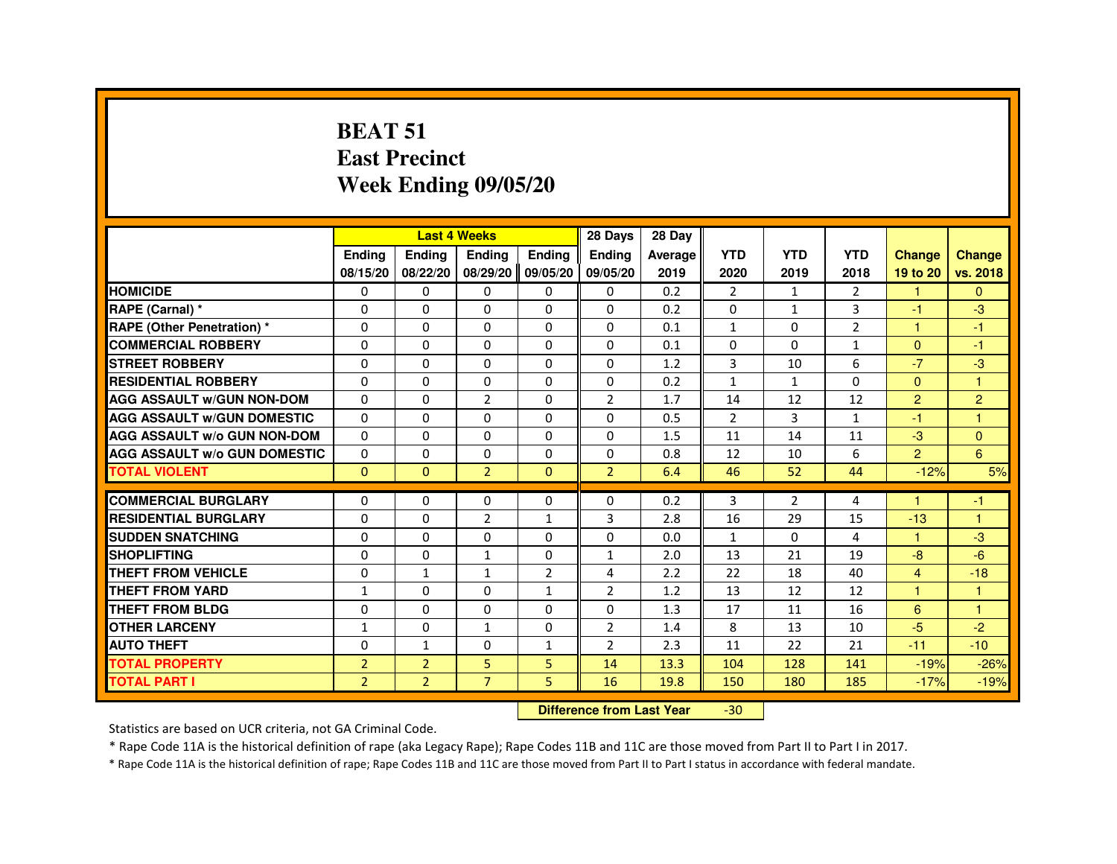#### **BEAT 51 East PrecinctWeek Ending 09/05/20**

|                                     |                |                | <b>Last 4 Weeks</b> |                   | 28 Days                          | 28 Day  |                |                |                |                      |                |
|-------------------------------------|----------------|----------------|---------------------|-------------------|----------------------------------|---------|----------------|----------------|----------------|----------------------|----------------|
|                                     | <b>Ending</b>  | <b>Ending</b>  | Ending              | <b>Ending</b>     | <b>Ending</b>                    | Average | <b>YTD</b>     | <b>YTD</b>     | <b>YTD</b>     | <b>Change</b>        | <b>Change</b>  |
|                                     | 08/15/20       | 08/22/20       |                     | 08/29/20 09/05/20 | 09/05/20                         | 2019    | 2020           | 2019           | 2018           | 19 to 20             | vs. 2018       |
| <b>HOMICIDE</b>                     | 0              | 0              | $\Omega$            | $\mathbf{0}$      | 0                                | 0.2     | $\overline{2}$ | $\mathbf{1}$   | $\overline{2}$ | $\mathbf{1}$         | $\Omega$       |
| RAPE (Carnal) *                     | 0              | 0              | 0                   | 0                 | 0                                | 0.2     | 0              | $\mathbf{1}$   | 3              | $-1$                 | $-3$           |
| <b>RAPE (Other Penetration) *</b>   | 0              | $\Omega$       | 0                   | $\Omega$          | $\Omega$                         | 0.1     | $\mathbf{1}$   | $\Omega$       | $\overline{2}$ | 1                    | $-1$           |
| <b>COMMERCIAL ROBBERY</b>           | $\Omega$       | $\Omega$       | $\Omega$            | $\Omega$          | $\Omega$                         | 0.1     | $\Omega$       | $\Omega$       | $\mathbf{1}$   | $\Omega$             | $-1$           |
| <b>STREET ROBBERY</b>               | 0              | $\Omega$       | $\Omega$            | 0                 | $\Omega$                         | 1.2     | 3              | 10             | 6              | $-7$                 | $-3$           |
| <b>RESIDENTIAL ROBBERY</b>          | 0              | 0              | 0                   | 0                 | 0                                | 0.2     | 1              | $\mathbf{1}$   | $\Omega$       | $\mathbf{0}$         | $\overline{1}$ |
| <b>AGG ASSAULT w/GUN NON-DOM</b>    | $\Omega$       | $\Omega$       | $\overline{2}$      | $\Omega$          | $\overline{2}$                   | 1.7     | 14             | 12             | 12             | $\overline{2}$       | $\overline{2}$ |
| <b>AGG ASSAULT W/GUN DOMESTIC</b>   | $\Omega$       | 0              | $\Omega$            | $\Omega$          | $\Omega$                         | 0.5     | $\overline{2}$ | 3              | $\mathbf{1}$   | $-1$                 | $\overline{1}$ |
| <b>AGG ASSAULT w/o GUN NON-DOM</b>  | $\mathbf{0}$   | 0              | 0                   | 0                 | 0                                | 1.5     | 11             | 14             | 11             | $-3$                 | $\overline{0}$ |
| <b>AGG ASSAULT W/o GUN DOMESTIC</b> | $\Omega$       | 0              | 0                   | 0                 | 0                                | 0.8     | 12             | 10             | 6              | 2 <sup>1</sup>       | 6              |
| <b>TOTAL VIOLENT</b>                | $\Omega$       | $\mathbf{0}$   | $\overline{2}$      | $\mathbf{0}$      | $\overline{2}$                   | 6.4     | 46             | 52             | 44             | $-12%$               | 5%             |
| <b>COMMERCIAL BURGLARY</b>          | 0              | 0              | 0                   | 0                 | 0                                | 0.2     | 3              | $\overline{2}$ | 4              |                      | $-1$           |
| <b>RESIDENTIAL BURGLARY</b>         | $\Omega$       | $\Omega$       | $\overline{2}$      | $\mathbf{1}$      | 3                                | 2.8     | 16             | 29             | 15             | $-13$                | $\overline{1}$ |
| <b>SUDDEN SNATCHING</b>             | 0              | $\Omega$       | $\Omega$            | $\Omega$          | $\Omega$                         | 0.0     | $\mathbf{1}$   | $\Omega$       | 4              | $\blacktriangleleft$ | $-3$           |
| <b>SHOPLIFTING</b>                  | 0              | 0              | 1                   | 0                 | $\mathbf{1}$                     | 2.0     | 13             | 21             | 19             | $-8-$                | $-6$           |
| THEFT FROM VEHICLE                  | 0              | $\mathbf{1}$   | $\mathbf{1}$        | $\overline{2}$    | 4                                | 2.2     | 22             | 18             | 40             | $\overline{4}$       | $-18$          |
| <b>THEFT FROM YARD</b>              | $\mathbf{1}$   | $\Omega$       | $\Omega$            | $\mathbf{1}$      | $\overline{2}$                   | 1.2     | 13             | 12             | 12             | $\mathbf{1}$         | $\mathbf{1}$   |
| THEFT FROM BLDG                     | 0              | $\Omega$       | 0                   | $\Omega$          | $\Omega$                         | 1.3     | 17             | 11             | 16             | 6                    | $\overline{1}$ |
| <b>OTHER LARCENY</b>                | 1              | $\Omega$       | $\mathbf{1}$        | $\Omega$          | $\overline{2}$                   | 1.4     | 8              | 13             | 10             | $-5$                 | $-2$           |
| <b>AUTO THEFT</b>                   | 0              | $\mathbf{1}$   | 0                   | $\mathbf{1}$      | $\overline{2}$                   | 2.3     | 11             | 22             | 21             | $-11$                | $-10$          |
| <b>TOTAL PROPERTY</b>               | $\overline{2}$ | $\overline{2}$ | 5                   | 5                 | 14                               | 13.3    | 104            | 128            | 141            | $-19%$               | $-26%$         |
| <b>TOTAL PART I</b>                 | $\overline{2}$ | $\overline{2}$ | $\overline{7}$      | 5                 | 16                               | 19.8    | 150            | 180            | 185            | $-17%$               | $-19%$         |
|                                     |                |                |                     |                   | <b>Difference from Last Year</b> |         | $-30$          |                |                |                      |                |

 **Difference from Last Year**

Statistics are based on UCR criteria, not GA Criminal Code.

\* Rape Code 11A is the historical definition of rape (aka Legacy Rape); Rape Codes 11B and 11C are those moved from Part II to Part I in 2017.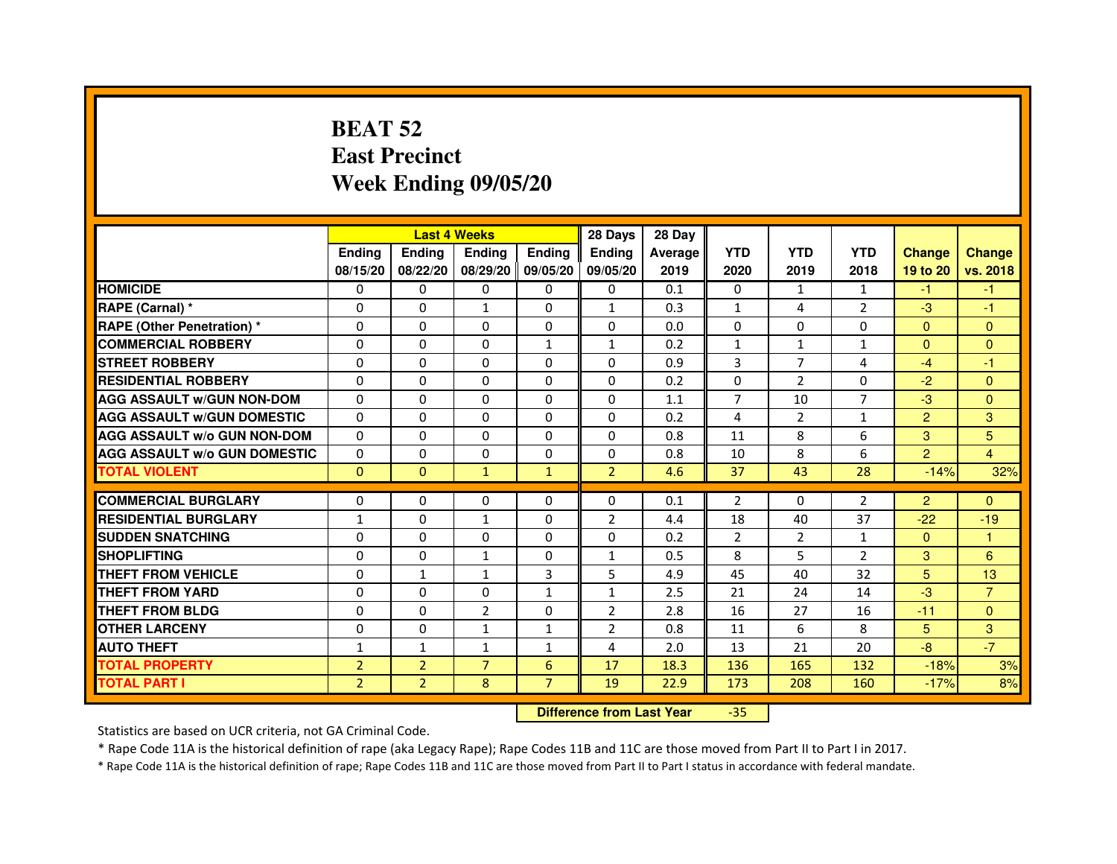# **BEAT 52 East PrecinctWeek Ending 09/05/20**

|                                     |                | <b>Last 4 Weeks</b> |                |                   | 28 Days        | 28 Day  |                |                |                |                |                |
|-------------------------------------|----------------|---------------------|----------------|-------------------|----------------|---------|----------------|----------------|----------------|----------------|----------------|
|                                     | <b>Endina</b>  | Ending              | <b>Endina</b>  | <b>Ending</b>     | <b>Endina</b>  | Average | <b>YTD</b>     | <b>YTD</b>     | <b>YTD</b>     | <b>Change</b>  | <b>Change</b>  |
|                                     | 08/15/20       | 08/22/20            |                | 08/29/20 09/05/20 | 09/05/20       | 2019    | 2020           | 2019           | 2018           | 19 to 20       | vs. 2018       |
| <b>HOMICIDE</b>                     | 0              | 0                   | 0              | 0                 | 0              | 0.1     | $\mathbf{0}$   | $\mathbf{1}$   | $\mathbf{1}$   | -1             | -1             |
| RAPE (Carnal) *                     | $\Omega$       | $\Omega$            | 1              | $\Omega$          | $\mathbf{1}$   | 0.3     | $\mathbf{1}$   | 4              | $\overline{2}$ | $-3$           | $-1$           |
| <b>RAPE (Other Penetration) *</b>   | 0              | 0                   | $\Omega$       | $\Omega$          | $\Omega$       | 0.0     | $\Omega$       | $\Omega$       | $\Omega$       | $\Omega$       | $\Omega$       |
| <b>COMMERCIAL ROBBERY</b>           | 0              | 0                   | 0              | $\mathbf{1}$      | $\mathbf{1}$   | 0.2     | $\mathbf{1}$   | $\mathbf{1}$   | 1              | $\Omega$       | $\Omega$       |
| <b>STREET ROBBERY</b>               | 0              | $\Omega$            | 0              | $\Omega$          | $\Omega$       | 0.9     | 3              | 7              | 4              | $-4$           | $-1$           |
| <b>RESIDENTIAL ROBBERY</b>          | 0              | $\Omega$            | 0              | $\Omega$          | 0              | 0.2     | 0              | 2              | $\Omega$       | $-2$           | $\Omega$       |
| <b>AGG ASSAULT W/GUN NON-DOM</b>    | $\Omega$       | $\mathbf 0$         | $\Omega$       | $\Omega$          | $\Omega$       | 1.1     | $\overline{7}$ | 10             | $\overline{7}$ | $-3$           | $\mathbf{0}$   |
| <b>AGG ASSAULT W/GUN DOMESTIC</b>   | $\Omega$       | $\Omega$            | 0              | 0                 | $\Omega$       | 0.2     | $\overline{4}$ | 2              | $\mathbf{1}$   | $\overline{2}$ | 3              |
| <b>AGG ASSAULT W/o GUN NON-DOM</b>  | $\Omega$       | 0                   | $\Omega$       | 0                 | $\Omega$       | 0.8     | 11             | 8              | 6              | 3              | 5              |
| <b>AGG ASSAULT W/o GUN DOMESTIC</b> | $\Omega$       | 0                   | 0              | $\Omega$          | $\Omega$       | 0.8     | 10             | 8              | 6              | $\overline{2}$ | $\overline{4}$ |
| <b>TOTAL VIOLENT</b>                | $\Omega$       | $\Omega$            | $\mathbf{1}$   | $\mathbf{1}$      | $\overline{2}$ | 4.6     | 37             | 43             | 28             | $-14%$         | 32%            |
|                                     |                |                     |                |                   |                |         |                |                |                |                |                |
| <b>COMMERCIAL BURGLARY</b>          | 0              | 0                   | $\Omega$       | 0                 | $\Omega$       | 0.1     | $\overline{2}$ | $\Omega$       | $\overline{2}$ | $\overline{2}$ | $\Omega$       |
| <b>RESIDENTIAL BURGLARY</b>         | 1              | 0                   | 1              | $\mathbf{0}$      | $\overline{2}$ | 4.4     | 18             | 40             | 37             | $-22$          | $-19$          |
| <b>SUDDEN SNATCHING</b>             | 0              | 0                   | $\Omega$       | $\Omega$          | $\Omega$       | 0.2     | $\overline{2}$ | $\overline{2}$ | $\mathbf{1}$   | $\Omega$       | 1              |
| <b>SHOPLIFTING</b>                  | $\mathbf 0$    | 0                   | $\mathbf{1}$   | $\mathbf{0}$      | $\mathbf{1}$   | 0.5     | 8              | 5              | $\overline{2}$ | 3              | 6              |
| <b>THEFT FROM VEHICLE</b>           | 0              | $\mathbf{1}$        | $\mathbf{1}$   | 3                 | 5              | 4.9     | 45             | 40             | 32             | 5              | 13             |
| <b>THEFT FROM YARD</b>              | 0              | 0                   | $\Omega$       | $\mathbf{1}$      | $\mathbf{1}$   | 2.5     | 21             | 24             | 14             | $-3$           | $\overline{7}$ |
| <b>THEFT FROM BLDG</b>              | 0              | 0                   | $\overline{2}$ | 0                 | $\overline{2}$ | 2.8     | 16             | 27             | 16             | $-11$          | $\Omega$       |
| <b>OTHER LARCENY</b>                | 0              | 0                   | 1              | $\mathbf{1}$      | $\overline{2}$ | 0.8     | 11             | 6              | 8              | 5              | 3              |
| <b>AUTO THEFT</b>                   | $\mathbf{1}$   | 1                   | $\mathbf{1}$   | $\mathbf{1}$      | 4              | 2.0     | 13             | 21             | 20             | $-8$           | $-7$           |
| <b>TOTAL PROPERTY</b>               | $\overline{2}$ | $\overline{2}$      | $\overline{7}$ | 6                 | 17             | 18.3    | 136            | 165            | 132            | $-18%$         | 3%             |
| <b>TOTAL PART I</b>                 | $\overline{2}$ | $\overline{2}$      | 8              | $\overline{7}$    | 19             | 22.9    | 173            | 208            | 160            | $-17%$         | 8%             |

#### **Difference from Last Year**-35

Statistics are based on UCR criteria, not GA Criminal Code.

\* Rape Code 11A is the historical definition of rape (aka Legacy Rape); Rape Codes 11B and 11C are those moved from Part II to Part I in 2017.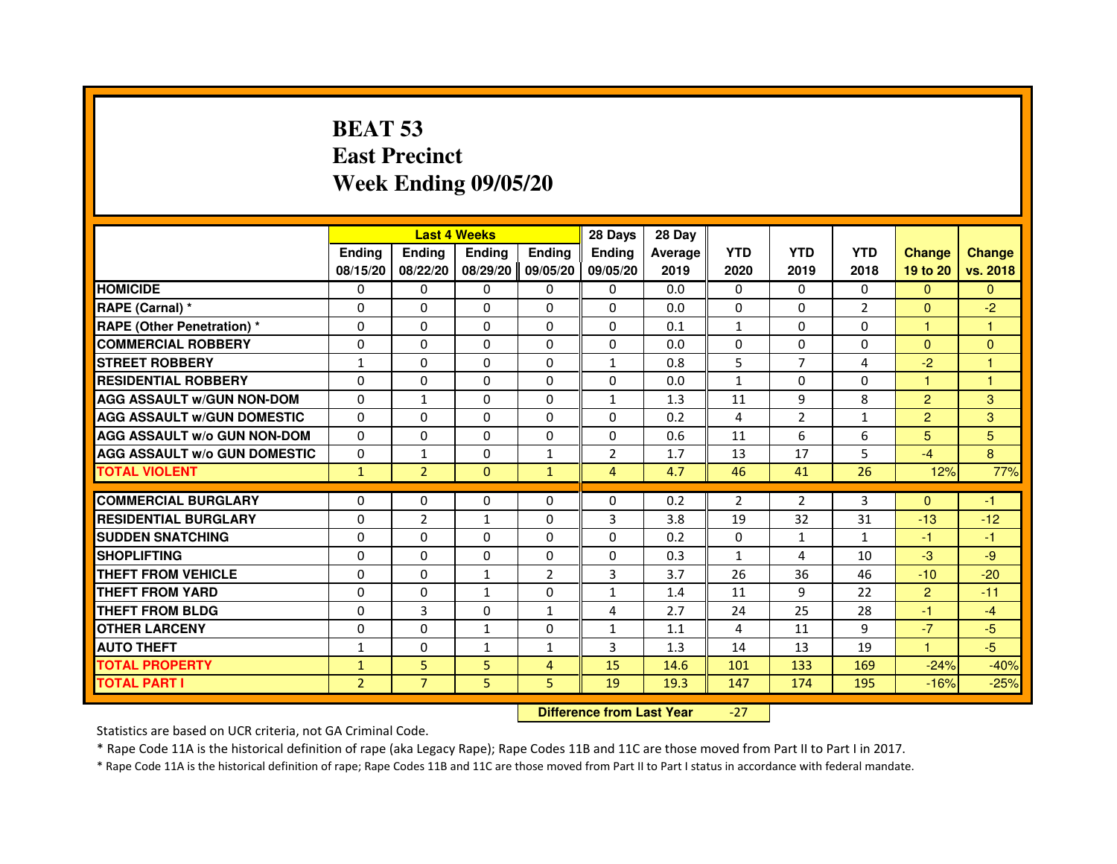# **BEAT 53 East PrecinctWeek Ending 09/05/20**

|                                     |                |                | <b>Last 4 Weeks</b> |                | 28 Days                          | 28 Day  |            |                |              |                |                |
|-------------------------------------|----------------|----------------|---------------------|----------------|----------------------------------|---------|------------|----------------|--------------|----------------|----------------|
|                                     | <b>Ending</b>  | Ending         | Ending              | Ending         | Ending                           | Average | <b>YTD</b> | <b>YTD</b>     | <b>YTD</b>   | <b>Change</b>  | <b>Change</b>  |
|                                     | 08/15/20       | 08/22/20       | 08/29/20            | 09/05/20       | 09/05/20                         | 2019    | 2020       | 2019           | 2018         | 19 to 20       | vs. 2018       |
| <b>HOMICIDE</b>                     | 0              | 0              | 0                   | 0              | $\mathbf{0}$                     | 0.0     | $\Omega$   | 0              | $\Omega$     | $\mathbf{0}$   | $\Omega$       |
| RAPE (Carnal) *                     | 0              | 0              | 0                   | 0              | 0                                | 0.0     | 0          | 0              | 2            | $\mathbf{0}$   | $-2$           |
| RAPE (Other Penetration) *          | $\Omega$       | $\Omega$       | $\Omega$            | $\Omega$       | $\Omega$                         | 0.1     | 1          | $\Omega$       | $\Omega$     | $\mathbf{1}$   | 1              |
| <b>COMMERCIAL ROBBERY</b>           | 0              | $\Omega$       | $\Omega$            | $\Omega$       | $\Omega$                         | 0.0     | 0          | $\Omega$       | $\Omega$     | $\Omega$       | $\overline{0}$ |
| <b>STREET ROBBERY</b>               | $\mathbf{1}$   | $\Omega$       | $\Omega$            | $\Omega$       | $\mathbf{1}$                     | 0.8     | 5          | $\overline{7}$ | 4            | $-2$           | 1              |
| <b>RESIDENTIAL ROBBERY</b>          | 0              | 0              | 0                   | 0              | 0                                | 0.0     | 1          | 0              | $\Omega$     | $\mathbf{1}$   | 1              |
| <b>AGG ASSAULT w/GUN NON-DOM</b>    | $\Omega$       | $\mathbf{1}$   | 0                   | $\Omega$       | $\mathbf{1}$                     | 1.3     | 11         | 9              | 8            | $\overline{2}$ | 3              |
| <b>AGG ASSAULT W/GUN DOMESTIC</b>   | $\Omega$       | $\Omega$       | $\Omega$            | $\Omega$       | $\Omega$                         | 0.2     | 4          | $\overline{2}$ | $\mathbf{1}$ | $\overline{2}$ | 3              |
| <b>AGG ASSAULT W/o GUN NON-DOM</b>  | $\Omega$       | $\Omega$       | $\Omega$            | $\Omega$       | $\Omega$                         | 0.6     | 11         | 6              | 6            | 5              | 5              |
| <b>AGG ASSAULT w/o GUN DOMESTIC</b> | $\Omega$       | $\mathbf{1}$   | 0                   | $\mathbf{1}$   | $\overline{2}$                   | 1.7     | 13         | 17             | 5            | $-4$           | 8              |
| <b>TOTAL VIOLENT</b>                | $\mathbf{1}$   | $\overline{2}$ | $\mathbf{0}$        | $\mathbf{1}$   | $\overline{4}$                   | 4.7     | 46         | 41             | 26           | 12%            | 77%            |
| <b>COMMERCIAL BURGLARY</b>          | 0              | 0              | 0                   | $\mathbf{0}$   | 0                                | 0.2     | 2          | 2              | 3            | $\Omega$       | $-1$           |
| <b>RESIDENTIAL BURGLARY</b>         | 0              | $\overline{2}$ | 1                   | $\Omega$       | 3                                | 3.8     | 19         | 32             | 31           | $-13$          | $-12$          |
| <b>SUDDEN SNATCHING</b>             | $\Omega$       | $\Omega$       | $\Omega$            | $\Omega$       | $\Omega$                         | 0.2     | $\Omega$   | $\mathbf{1}$   | $\mathbf{1}$ | $-1$           | $-1$           |
| <b>SHOPLIFTING</b>                  | 0              | $\Omega$       | 0                   | $\mathbf{0}$   | 0                                | 0.3     | 1          | 4              | 10           | $-3$           | $-9$           |
| THEFT FROM VEHICLE                  | 0              | $\Omega$       | $\mathbf{1}$        | $\overline{2}$ | 3                                | 3.7     | 26         | 36             | 46           | $-10$          | $-20$          |
| <b>THEFT FROM YARD</b>              | $\Omega$       | $\Omega$       | $\mathbf{1}$        | $\Omega$       | $\mathbf{1}$                     | 1.4     | 11         | 9              | 22           | $\overline{2}$ | $-11$          |
| <b>THEFT FROM BLDG</b>              | $\Omega$       | $\overline{3}$ | $\Omega$            | $\mathbf{1}$   | 4                                | 2.7     | 24         | 25             | 28           | $-1$           | $-4$           |
| <b>OTHER LARCENY</b>                | 0              | $\Omega$       | 1                   | $\mathbf{0}$   | 1                                | 1.1     | 4          | 11             | 9            | $-7$           | $-5$           |
| <b>AUTO THEFT</b>                   | $\mathbf{1}$   | $\Omega$       | $\mathbf{1}$        | $\mathbf{1}$   | 3                                | 1.3     | 14         | 13             | 19           | $\mathbf{1}$   | $-5$           |
| <b>TOTAL PROPERTY</b>               | $\mathbf{1}$   | 5              | 5                   | 4              | 15                               | 14.6    | 101        | 133            | 169          | $-24%$         | $-40%$         |
| <b>TOTAL PART I</b>                 | $\overline{2}$ | $\overline{7}$ | 5                   | 5              | 19                               | 19.3    | 147        | 174            | 195          | $-16%$         | $-25%$         |
|                                     |                |                |                     |                | <b>Difference from Last Year</b> |         | $-27$      |                |              |                |                |

 **Difference from Last Year**

Statistics are based on UCR criteria, not GA Criminal Code.

\* Rape Code 11A is the historical definition of rape (aka Legacy Rape); Rape Codes 11B and 11C are those moved from Part II to Part I in 2017.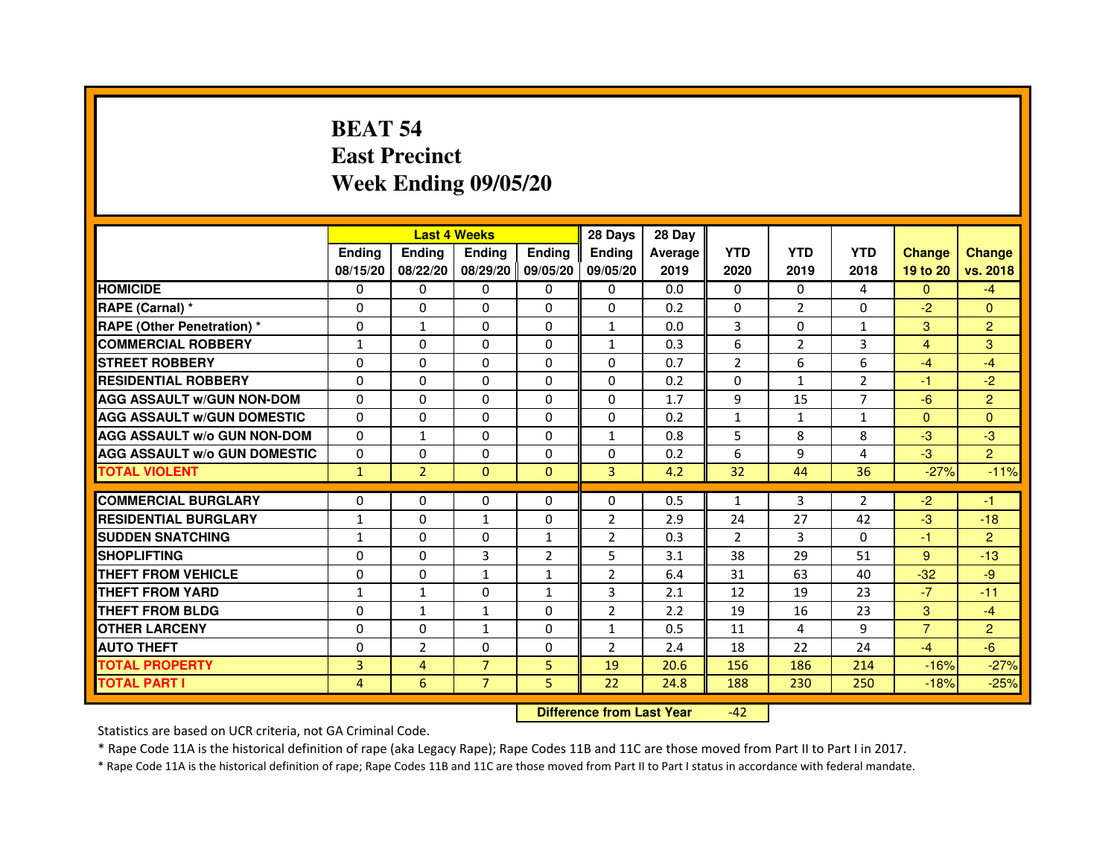# **BEAT 54 East PrecinctWeek Ending 09/05/20**

|                                     |               | <b>Last 4 Weeks</b> |                |                   | 28 Days        | 28 Day  |                |              |                |                |                |
|-------------------------------------|---------------|---------------------|----------------|-------------------|----------------|---------|----------------|--------------|----------------|----------------|----------------|
|                                     | <b>Endina</b> | Ending              | <b>Endina</b>  | <b>Ending</b>     | <b>Endina</b>  | Average | <b>YTD</b>     | <b>YTD</b>   | <b>YTD</b>     | <b>Change</b>  | <b>Change</b>  |
|                                     | 08/15/20      | 08/22/20            |                | 08/29/20 09/05/20 | 09/05/20       | 2019    | 2020           | 2019         | 2018           | 19 to 20       | vs. 2018       |
| <b>HOMICIDE</b>                     | 0             | 0                   | 0              | 0                 | 0              | 0.0     | $\mathbf{0}$   | $\Omega$     | 4              | $\mathbf{0}$   | $-4$           |
| RAPE (Carnal) *                     | $\Omega$      | $\Omega$            | $\Omega$       | $\Omega$          | $\Omega$       | 0.2     | $\Omega$       | 2            | $\Omega$       | $-2$           | $\Omega$       |
| <b>RAPE (Other Penetration) *</b>   | 0             | $\mathbf{1}$        | $\Omega$       | $\Omega$          | $\mathbf{1}$   | 0.0     | 3              | $\Omega$     | $\mathbf{1}$   | 3              | $\overline{2}$ |
| <b>COMMERCIAL ROBBERY</b>           | 1             | 0                   | $\Omega$       | $\Omega$          | $\mathbf{1}$   | 0.3     | 6              | 2            | 3              | 4              | 3              |
| <b>STREET ROBBERY</b>               | 0             | $\Omega$            | 0              | $\Omega$          | $\Omega$       | 0.7     | $\overline{2}$ | 6            | 6              | $-4$           | $-4$           |
| <b>RESIDENTIAL ROBBERY</b>          | 0             | $\Omega$            | 0              | $\Omega$          | 0              | 0.2     | 0              | $\mathbf{1}$ | $\overline{2}$ | $-1$           | $-2$           |
| <b>AGG ASSAULT W/GUN NON-DOM</b>    | $\Omega$      | $\mathbf 0$         | $\Omega$       | $\Omega$          | $\Omega$       | 1.7     | 9              | 15           | $\overline{7}$ | $-6$           | $\overline{2}$ |
| <b>AGG ASSAULT W/GUN DOMESTIC</b>   | $\Omega$      | $\Omega$            | 0              | 0                 | 0              | 0.2     | $\mathbf{1}$   | $\mathbf{1}$ | $\mathbf{1}$   | $\mathbf{0}$   | $\Omega$       |
| <b>AGG ASSAULT W/o GUN NON-DOM</b>  | $\Omega$      | $\mathbf{1}$        | $\Omega$       | 0                 | 1              | 0.8     | 5              | 8            | 8              | $-3$           | -3             |
| <b>AGG ASSAULT W/o GUN DOMESTIC</b> | $\Omega$      | $\Omega$            | 0              | $\Omega$          | $\Omega$       | 0.2     | 6              | 9            | 4              | $-3$           | $\overline{2}$ |
| <b>TOTAL VIOLENT</b>                | $\mathbf{1}$  | $\overline{2}$      | $\Omega$       | $\mathbf{0}$      | 3              | 4.2     | 32             | 44           | 36             | $-27%$         | $-11%$         |
|                                     |               |                     |                |                   |                |         |                |              |                |                |                |
| <b>COMMERCIAL BURGLARY</b>          | 0             | 0                   | $\Omega$       | 0                 | $\Omega$       | 0.5     | $\mathbf{1}$   | 3            | $\overline{2}$ | $-2$           | $-1$           |
| <b>RESIDENTIAL BURGLARY</b>         | 1             | 0                   | 1              | $\Omega$          | $\overline{2}$ | 2.9     | 24             | 27           | 42             | $-3$           | $-18$          |
| <b>SUDDEN SNATCHING</b>             | $\mathbf{1}$  | 0                   | $\Omega$       | $\mathbf{1}$      | $\overline{2}$ | 0.3     | $\overline{2}$ | 3            | $\Omega$       | $-1$           | $\overline{2}$ |
| <b>SHOPLIFTING</b>                  | 0             | 0                   | 3              | $\overline{2}$    | 5              | 3.1     | 38             | 29           | 51             | 9              | $-13$          |
| <b>THEFT FROM VEHICLE</b>           | 0             | $\Omega$            | $\mathbf{1}$   | $\mathbf{1}$      | $\overline{2}$ | 6.4     | 31             | 63           | 40             | $-32$          | $-9$           |
| <b>THEFT FROM YARD</b>              | 1             | $\mathbf{1}$        | $\Omega$       | $\mathbf{1}$      | 3              | 2.1     | 12             | 19           | 23             | $-7$           | $-11$          |
| <b>THEFT FROM BLDG</b>              | 0             | 1                   | 1              | 0                 | $\overline{2}$ | 2.2     | 19             | 16           | 23             | 3              | $-4$           |
| <b>OTHER LARCENY</b>                | 0             | 0                   | 1              | 0                 | $\mathbf{1}$   | 0.5     | 11             | 4            | 9              | $\overline{7}$ | $\overline{2}$ |
| <b>AUTO THEFT</b>                   | $\mathbf 0$   | $\overline{2}$      | $\Omega$       | $\Omega$          | $\overline{2}$ | 2.4     | 18             | 22           | 24             | $-4$           | $-6$           |
| <b>TOTAL PROPERTY</b>               | 3             | 4                   | $\overline{7}$ | 5                 | 19             | 20.6    | 156            | 186          | 214            | $-16%$         | $-27%$         |
| <b>TOTAL PART I</b>                 | 4             | 6                   | $\overline{7}$ | 5                 | 22             | 24.8    | 188            | 230          | 250            | $-18%$         | $-25%$         |

 **Difference from Last Year**-42

Statistics are based on UCR criteria, not GA Criminal Code.

\* Rape Code 11A is the historical definition of rape (aka Legacy Rape); Rape Codes 11B and 11C are those moved from Part II to Part I in 2017.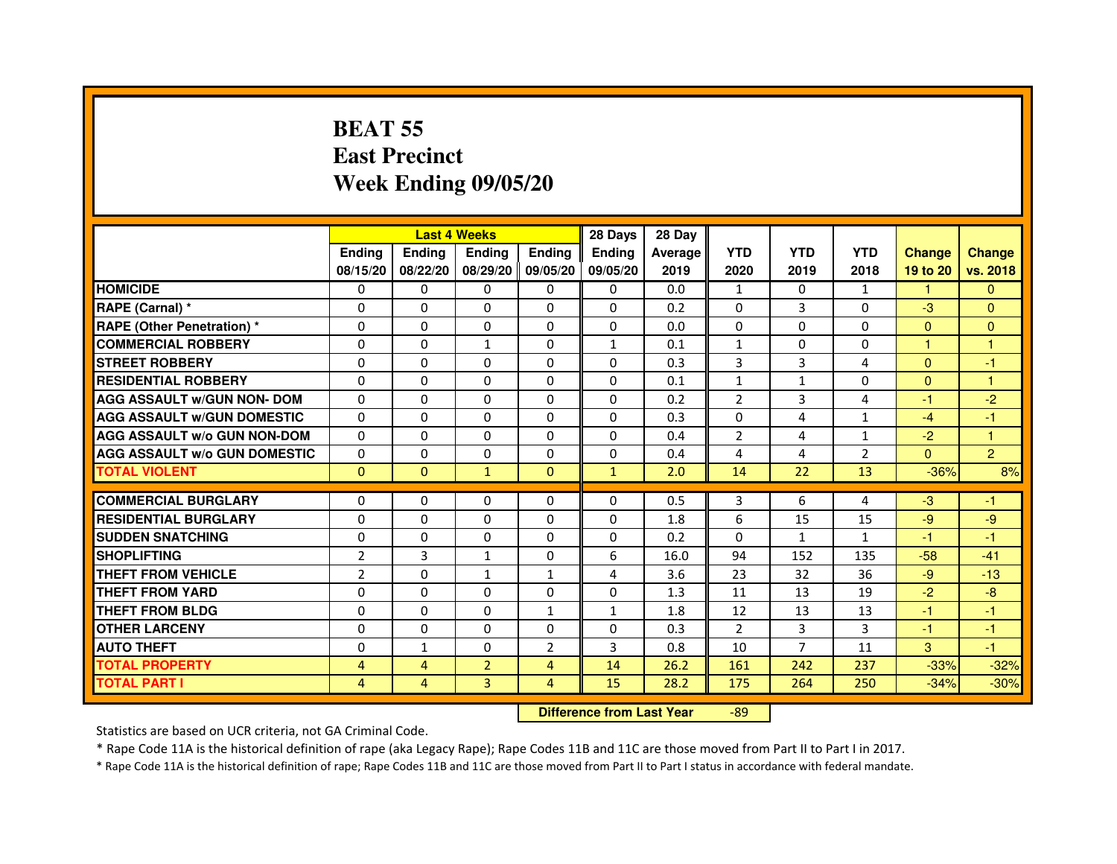# **BEAT 55 East PrecinctWeek Ending 09/05/20**

|                                     |                |                | <b>Last 4 Weeks</b> |                | 28 Days                          | 28 Day  |                |                |                |               |                |
|-------------------------------------|----------------|----------------|---------------------|----------------|----------------------------------|---------|----------------|----------------|----------------|---------------|----------------|
|                                     | <b>Ending</b>  | <b>Ending</b>  | <b>Ending</b>       | <b>Ending</b>  | Ending                           | Average | <b>YTD</b>     | <b>YTD</b>     | <b>YTD</b>     | <b>Change</b> | <b>Change</b>  |
|                                     | 08/15/20       | 08/22/20       | 08/29/20            | 09/05/20       | 09/05/20                         | 2019    | 2020           | 2019           | 2018           | 19 to 20      | vs. 2018       |
| <b>HOMICIDE</b>                     | $\Omega$       | $\Omega$       | 0                   | $\Omega$       | $\mathbf{0}$                     | 0.0     | $\mathbf{1}$   | 0              | $\mathbf{1}$   | $\mathbf{1}$  | $\mathbf{0}$   |
| RAPE (Carnal) *                     | $\mathbf{0}$   | $\Omega$       | $\Omega$            | $\Omega$       | $\Omega$                         | 0.2     | $\Omega$       | 3              | 0              | $-3$          | $\Omega$       |
| <b>RAPE (Other Penetration) *</b>   | $\Omega$       | $\Omega$       | $\Omega$            | $\Omega$       | $\Omega$                         | 0.0     | $\Omega$       | $\Omega$       | $\Omega$       | $\Omega$      | $\overline{0}$ |
| <b>COMMERCIAL ROBBERY</b>           | $\Omega$       | $\Omega$       | $\mathbf{1}$        | $\Omega$       | $\mathbf{1}$                     | 0.1     | $\mathbf{1}$   | $\Omega$       | $\Omega$       | $\mathbf{1}$  | $\mathbf{1}$   |
| <b>STREET ROBBERY</b>               | $\Omega$       | $\Omega$       | $\Omega$            | $\Omega$       | $\Omega$                         | 0.3     | 3              | 3              | 4              | $\Omega$      | $-1$           |
| <b>RESIDENTIAL ROBBERY</b>          | $\Omega$       | $\Omega$       | $\Omega$            | $\Omega$       | $\Omega$                         | 0.1     | $\mathbf{1}$   | $\mathbf{1}$   | $\Omega$       | $\mathbf{0}$  | 1              |
| <b>AGG ASSAULT w/GUN NON- DOM</b>   | $\Omega$       | $\Omega$       | $\Omega$            | $\Omega$       | $\Omega$                         | 0.2     | $\overline{2}$ | 3              | $\overline{4}$ | $-1$          | $-2$           |
| <b>AGG ASSAULT w/GUN DOMESTIC</b>   | $\Omega$       | $\Omega$       | $\Omega$            | $\Omega$       | $\Omega$                         | 0.3     | $\Omega$       | $\overline{a}$ | $\mathbf{1}$   | $-4$          | $-1$           |
| <b>AGG ASSAULT W/o GUN NON-DOM</b>  | $\Omega$       | 0              | $\Omega$            | 0              | $\Omega$                         | 0.4     | $\overline{2}$ | 4              | $\mathbf{1}$   | $-2$          | 1              |
| <b>AGG ASSAULT W/o GUN DOMESTIC</b> | $\Omega$       | $\Omega$       | $\Omega$            | $\Omega$       | $\Omega$                         | 0.4     | 4              | 4              | $\overline{2}$ | $\Omega$      | $\overline{2}$ |
| <b>TOTAL VIOLENT</b>                | $\mathbf{0}$   | $\mathbf{0}$   | $\mathbf{1}$        | $\mathbf{0}$   | $\mathbf{1}$                     | 2.0     | 14             | 22             | 13             | $-36%$        | 8%             |
| <b>COMMERCIAL BURGLARY</b>          | $\Omega$       | $\Omega$       | $\Omega$            | 0              | 0                                | 0.5     | 3              | 6              | 4              | $-3$          | $-1$           |
| <b>RESIDENTIAL BURGLARY</b>         | $\Omega$       | $\Omega$       | $\Omega$            | $\Omega$       | $\Omega$                         | 1.8     | 6              | 15             | 15             | $-9$          | $-9$           |
| <b>SUDDEN SNATCHING</b>             | $\Omega$       | $\Omega$       | $\Omega$            | $\Omega$       | $\Omega$                         | 0.2     | $\Omega$       | $\mathbf{1}$   | $\mathbf{1}$   | $-1$          | $-1$           |
| <b>SHOPLIFTING</b>                  | $\overline{2}$ | 3              | 1                   | 0              | 6                                | 16.0    | 94             | 152            | 135            | $-58$         | $-41$          |
| <b>THEFT FROM VEHICLE</b>           | $\overline{2}$ | $\Omega$       | $\mathbf{1}$        | $\mathbf{1}$   | 4                                | 3.6     | 23             | 32             | 36             | $-9$          | $-13$          |
| <b>THEFT FROM YARD</b>              | 0              | $\Omega$       | $\Omega$            | 0              | 0                                | 1.3     | 11             | 13             | 19             | $-2$          | $-8$           |
| <b>THEFT FROM BLDG</b>              | $\Omega$       | $\Omega$       | $\Omega$            | $\mathbf{1}$   | $\mathbf{1}$                     | 1.8     | 12             | 13             | 13             | $-1$          | $-1$           |
| <b>OTHER LARCENY</b>                | $\mathbf{0}$   | $\Omega$       | $\Omega$            | $\Omega$       | $\Omega$                         | 0.3     | $\overline{2}$ | 3              | 3              | $-1$          | $-1$           |
| <b>AUTO THEFT</b>                   | $\Omega$       | $\mathbf{1}$   | $\Omega$            | $\overline{2}$ | 3                                | 0.8     | 10             | $\overline{7}$ | 11             | 3             | $-1$           |
| <b>TOTAL PROPERTY</b>               | 4              | $\overline{4}$ | $\overline{2}$      | $\overline{4}$ | 14                               | 26.2    | 161            | 242            | 237            | $-33%$        | $-32%$         |
| <b>TOTAL PART I</b>                 | $\overline{4}$ | $\overline{4}$ | $\overline{3}$      | 4              | 15                               | 28.2    | 175            | 264            | 250            | $-34%$        | $-30%$         |
|                                     |                |                |                     |                | <b>Difference from Last Year</b> |         | $-89$          |                |                |               |                |

Statistics are based on UCR criteria, not GA Criminal Code.

\* Rape Code 11A is the historical definition of rape (aka Legacy Rape); Rape Codes 11B and 11C are those moved from Part II to Part I in 2017.